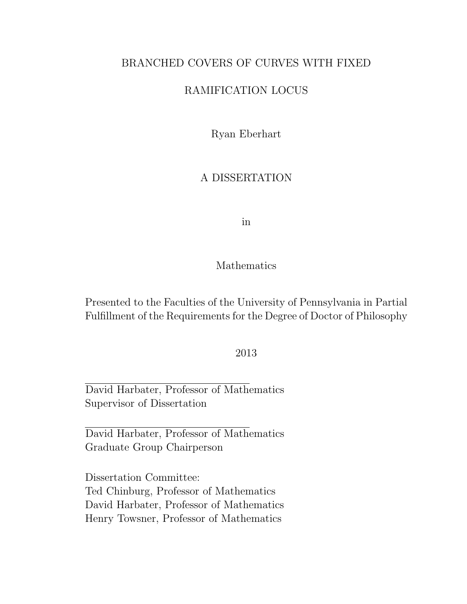### BRANCHED COVERS OF CURVES WITH FIXED

### RAMIFICATION LOCUS

Ryan Eberhart

### A DISSERTATION

in

#### Mathematics

Presented to the Faculties of the University of Pennsylvania in Partial Fulfillment of the Requirements for the Degree of Doctor of Philosophy

2013

David Harbater, Professor of Mathematics Supervisor of Dissertation

David Harbater, Professor of Mathematics Graduate Group Chairperson

Dissertation Committee: Ted Chinburg, Professor of Mathematics David Harbater, Professor of Mathematics Henry Towsner, Professor of Mathematics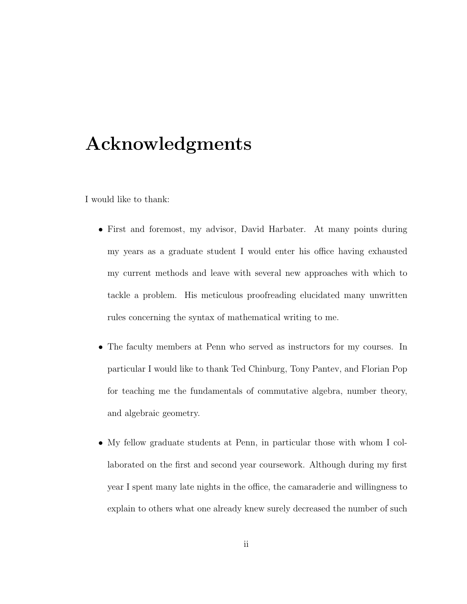# Acknowledgments

I would like to thank:

- First and foremost, my advisor, David Harbater. At many points during my years as a graduate student I would enter his office having exhausted my current methods and leave with several new approaches with which to tackle a problem. His meticulous proofreading elucidated many unwritten rules concerning the syntax of mathematical writing to me.
- The faculty members at Penn who served as instructors for my courses. In particular I would like to thank Ted Chinburg, Tony Pantev, and Florian Pop for teaching me the fundamentals of commutative algebra, number theory, and algebraic geometry.
- My fellow graduate students at Penn, in particular those with whom I collaborated on the first and second year coursework. Although during my first year I spent many late nights in the office, the camaraderie and willingness to explain to others what one already knew surely decreased the number of such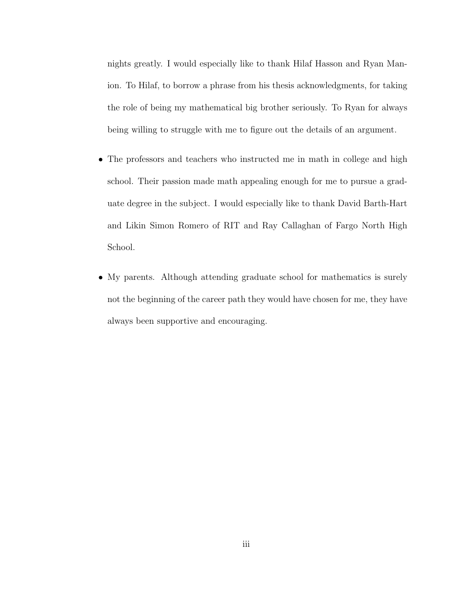nights greatly. I would especially like to thank Hilaf Hasson and Ryan Manion. To Hilaf, to borrow a phrase from his thesis acknowledgments, for taking the role of being my mathematical big brother seriously. To Ryan for always being willing to struggle with me to figure out the details of an argument.

- The professors and teachers who instructed me in math in college and high school. Their passion made math appealing enough for me to pursue a graduate degree in the subject. I would especially like to thank David Barth-Hart and Likin Simon Romero of RIT and Ray Callaghan of Fargo North High School.
- My parents. Although attending graduate school for mathematics is surely not the beginning of the career path they would have chosen for me, they have always been supportive and encouraging.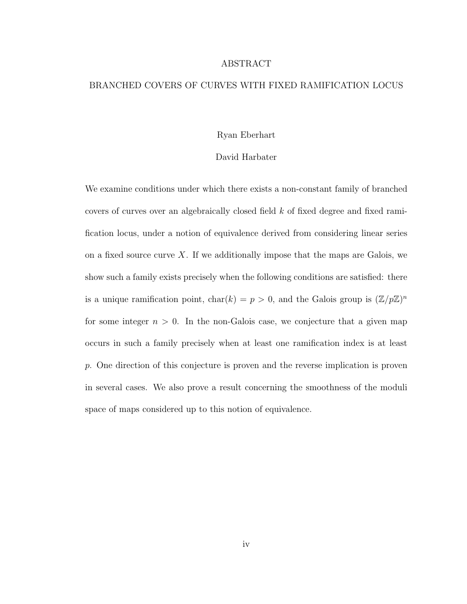#### ABSTRACT

#### BRANCHED COVERS OF CURVES WITH FIXED RAMIFICATION LOCUS

#### Ryan Eberhart

#### David Harbater

We examine conditions under which there exists a non-constant family of branched covers of curves over an algebraically closed field k of fixed degree and fixed ramification locus, under a notion of equivalence derived from considering linear series on a fixed source curve X. If we additionally impose that the maps are Galois, we show such a family exists precisely when the following conditions are satisfied: there is a unique ramification point,  $char(k) = p > 0$ , and the Galois group is  $(\mathbb{Z}/p\mathbb{Z})^n$ for some integer  $n > 0$ . In the non-Galois case, we conjecture that a given map occurs in such a family precisely when at least one ramification index is at least p. One direction of this conjecture is proven and the reverse implication is proven in several cases. We also prove a result concerning the smoothness of the moduli space of maps considered up to this notion of equivalence.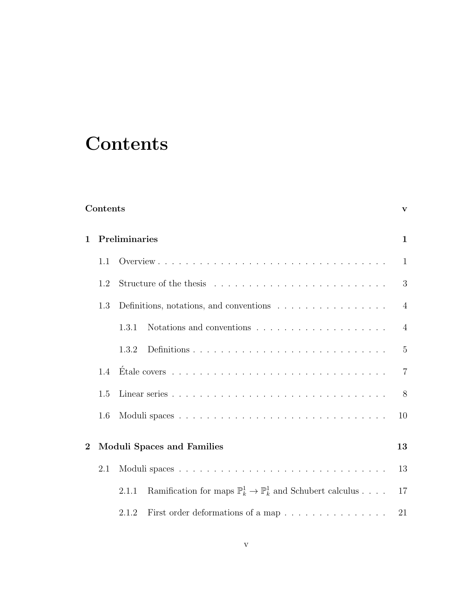# **Contents**

| Contents |     |                                                                                                  |                |  |  |  |
|----------|-----|--------------------------------------------------------------------------------------------------|----------------|--|--|--|
| 1        |     | Preliminaries                                                                                    |                |  |  |  |
|          | 1.1 |                                                                                                  | 1              |  |  |  |
|          | 1.2 |                                                                                                  | 3              |  |  |  |
|          | 1.3 | Definitions, notations, and conventions $\hfill\ldots\ldots\ldots\ldots\ldots\ldots\ldots\ldots$ | $\overline{4}$ |  |  |  |
|          |     | 1.3.1                                                                                            | $\overline{4}$ |  |  |  |
|          |     | 1.3.2                                                                                            | $\overline{5}$ |  |  |  |
|          | 1.4 | Étale covers $\dots \dots \dots \dots \dots \dots \dots \dots \dots \dots \dots \dots \dots$     | $\overline{7}$ |  |  |  |
|          | 1.5 |                                                                                                  |                |  |  |  |
|          | 1.6 |                                                                                                  |                |  |  |  |
| $\bf{2}$ |     | <b>Moduli Spaces and Families</b>                                                                |                |  |  |  |
|          | 2.1 | Ramification for maps $\mathbb{P}_k^1 \to \mathbb{P}_k^1$ and Schubert calculus<br>2.1.1         |                |  |  |  |
|          |     |                                                                                                  |                |  |  |  |
|          |     | First order deformations of a map $\ldots \ldots \ldots \ldots \ldots$<br>2.1.2                  | 21             |  |  |  |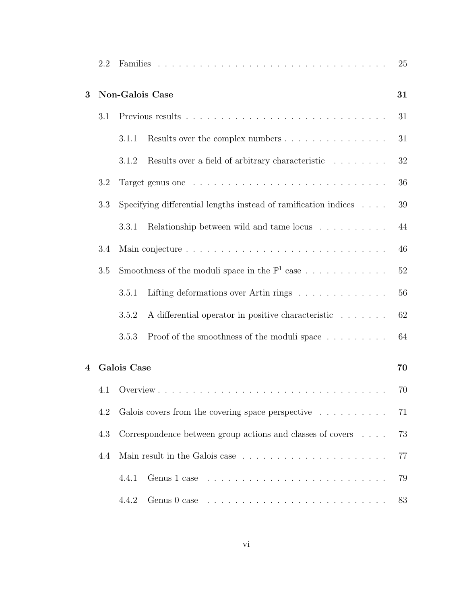|   | 2.2 | 25                                                                    |                                                                                 |    |  |  |
|---|-----|-----------------------------------------------------------------------|---------------------------------------------------------------------------------|----|--|--|
| 3 |     | Non-Galois Case<br>31                                                 |                                                                                 |    |  |  |
|   | 3.1 |                                                                       |                                                                                 |    |  |  |
|   |     | 3.1.1                                                                 | Results over the complex numbers                                                | 31 |  |  |
|   |     | 3.1.2                                                                 | Results over a field of arbitrary characteristic                                | 32 |  |  |
|   | 3.2 |                                                                       |                                                                                 | 36 |  |  |
|   | 3.3 | Specifying differential lengths instead of ramification indices       |                                                                                 |    |  |  |
|   |     | 3.3.1                                                                 | Relationship between wild and tame locus                                        | 44 |  |  |
|   | 3.4 |                                                                       |                                                                                 |    |  |  |
|   | 3.5 | Smoothness of the moduli space in the $\mathbb{P}^1$ case             |                                                                                 |    |  |  |
|   |     | 3.5.1                                                                 | Lifting deformations over Artin rings $\ldots \ldots \ldots \ldots$             | 56 |  |  |
|   |     | 3.5.2                                                                 | A differential operator in positive characteristic                              | 62 |  |  |
|   |     | 3.5.3                                                                 | Proof of the smoothness of the moduli space $\dots \dots$                       | 64 |  |  |
| 4 |     | Galois Case                                                           |                                                                                 |    |  |  |
|   | 4.1 |                                                                       |                                                                                 | 70 |  |  |
|   | 4.2 | Galois covers from the covering space perspective $\dots \dots \dots$ |                                                                                 |    |  |  |
|   | 4.3 | Correspondence between group actions and classes of covers            |                                                                                 |    |  |  |
|   | 4.4 |                                                                       |                                                                                 |    |  |  |
|   |     | 4.4.1                                                                 | Genus $1$ case $\ldots \ldots \ldots \ldots \ldots \ldots \ldots \ldots$        | 79 |  |  |
|   |     | 4.4.2                                                                 | Genus $0$ case $\ldots \ldots \ldots \ldots \ldots \ldots \ldots \ldots \ldots$ | 83 |  |  |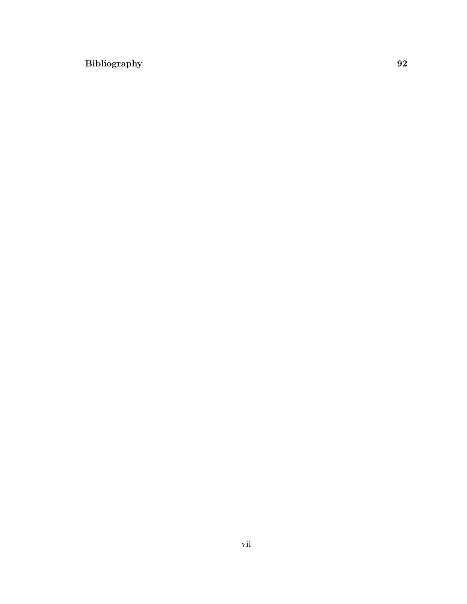### Bibliography 92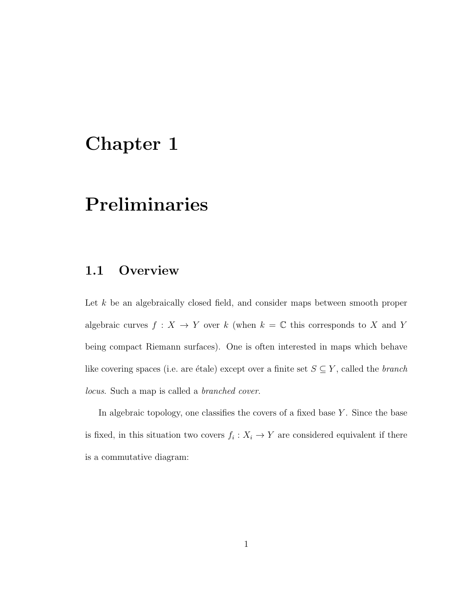## Chapter 1

# Preliminaries

## 1.1 Overview

Let k be an algebraically closed field, and consider maps between smooth proper algebraic curves  $f: X \to Y$  over k (when  $k = \mathbb{C}$  this corresponds to X and Y being compact Riemann surfaces). One is often interested in maps which behave like covering spaces (i.e. are étale) except over a finite set  $S \subseteq Y$ , called the *branch* locus. Such a map is called a branched cover.

In algebraic topology, one classifies the covers of a fixed base  $Y$ . Since the base is fixed, in this situation two covers  $f_i: X_i \to Y$  are considered equivalent if there is a commutative diagram: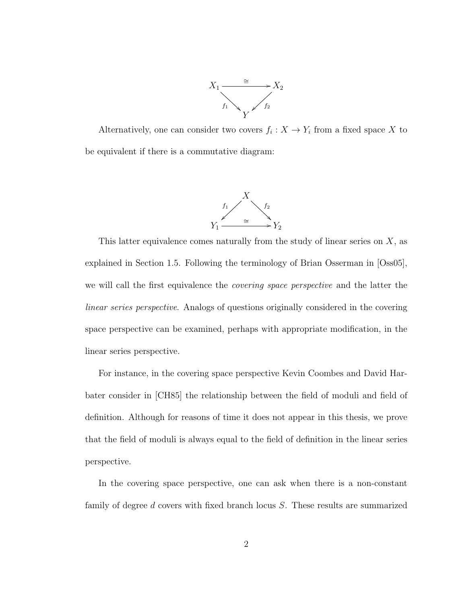

Alternatively, one can consider two covers  $f_i: X \to Y_i$  from a fixed space X to be equivalent if there is a commutative diagram:



This latter equivalence comes naturally from the study of linear series on  $X$ , as explained in Section 1.5. Following the terminology of Brian Osserman in [Oss05], we will call the first equivalence the covering space perspective and the latter the linear series perspective. Analogs of questions originally considered in the covering space perspective can be examined, perhaps with appropriate modification, in the linear series perspective.

For instance, in the covering space perspective Kevin Coombes and David Harbater consider in [CH85] the relationship between the field of moduli and field of definition. Although for reasons of time it does not appear in this thesis, we prove that the field of moduli is always equal to the field of definition in the linear series perspective.

In the covering space perspective, one can ask when there is a non-constant family of degree d covers with fixed branch locus S. These results are summarized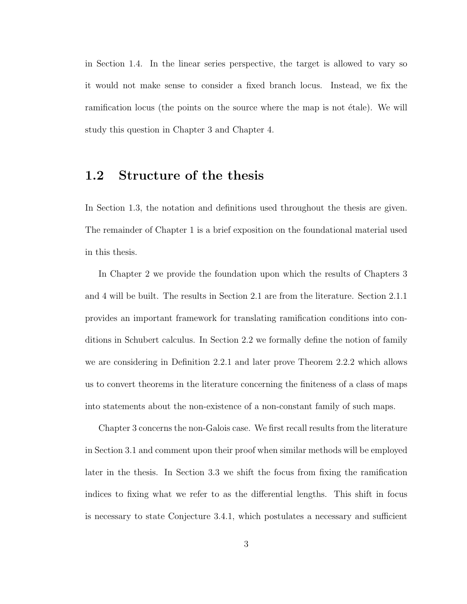in Section 1.4. In the linear series perspective, the target is allowed to vary so it would not make sense to consider a fixed branch locus. Instead, we fix the ramification locus (the points on the source where the map is not étale). We will study this question in Chapter 3 and Chapter 4.

### 1.2 Structure of the thesis

In Section 1.3, the notation and definitions used throughout the thesis are given. The remainder of Chapter 1 is a brief exposition on the foundational material used in this thesis.

In Chapter 2 we provide the foundation upon which the results of Chapters 3 and 4 will be built. The results in Section 2.1 are from the literature. Section 2.1.1 provides an important framework for translating ramification conditions into conditions in Schubert calculus. In Section 2.2 we formally define the notion of family we are considering in Definition 2.2.1 and later prove Theorem 2.2.2 which allows us to convert theorems in the literature concerning the finiteness of a class of maps into statements about the non-existence of a non-constant family of such maps.

Chapter 3 concerns the non-Galois case. We first recall results from the literature in Section 3.1 and comment upon their proof when similar methods will be employed later in the thesis. In Section 3.3 we shift the focus from fixing the ramification indices to fixing what we refer to as the differential lengths. This shift in focus is necessary to state Conjecture 3.4.1, which postulates a necessary and sufficient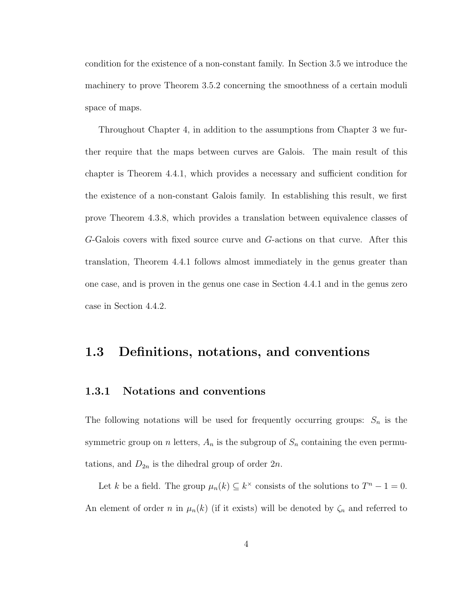condition for the existence of a non-constant family. In Section 3.5 we introduce the machinery to prove Theorem 3.5.2 concerning the smoothness of a certain moduli space of maps.

Throughout Chapter 4, in addition to the assumptions from Chapter 3 we further require that the maps between curves are Galois. The main result of this chapter is Theorem 4.4.1, which provides a necessary and sufficient condition for the existence of a non-constant Galois family. In establishing this result, we first prove Theorem 4.3.8, which provides a translation between equivalence classes of G-Galois covers with fixed source curve and G-actions on that curve. After this translation, Theorem 4.4.1 follows almost immediately in the genus greater than one case, and is proven in the genus one case in Section 4.4.1 and in the genus zero case in Section 4.4.2.

### 1.3 Definitions, notations, and conventions

#### 1.3.1 Notations and conventions

The following notations will be used for frequently occurring groups:  $S_n$  is the symmetric group on n letters,  $A_n$  is the subgroup of  $S_n$  containing the even permutations, and  $D_{2n}$  is the dihedral group of order  $2n$ .

Let k be a field. The group  $\mu_n(k) \subseteq k^{\times}$  consists of the solutions to  $T^n - 1 = 0$ . An element of order n in  $\mu_n(k)$  (if it exists) will be denoted by  $\zeta_n$  and referred to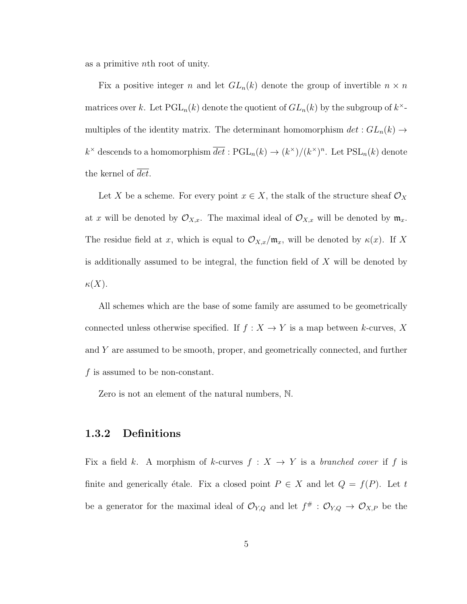as a primitive nth root of unity.

Fix a positive integer n and let  $GL_n(k)$  denote the group of invertible  $n \times n$ matrices over k. Let  $\text{PGL}_n(k)$  denote the quotient of  $GL_n(k)$  by the subgroup of  $k^{\times}$ multiples of the identity matrix. The determinant homomorphism  $det: GL_n(k) \to$  $k^{\times}$  descends to a homomorphism  $\overline{det}: \text{PGL}_n(k) \to (k^{\times})/(k^{\times})^n$ . Let  $\text{PSL}_n(k)$  denote the kernel of  $det.$ 

Let X be a scheme. For every point  $x \in X$ , the stalk of the structure sheaf  $\mathcal{O}_X$ at x will be denoted by  $\mathcal{O}_{X,x}$ . The maximal ideal of  $\mathcal{O}_{X,x}$  will be denoted by  $\mathfrak{m}_x$ . The residue field at x, which is equal to  $\mathcal{O}_{X,x}/\mathfrak{m}_x$ , will be denoted by  $\kappa(x)$ . If X is additionally assumed to be integral, the function field of X will be denoted by  $\kappa(X).$ 

All schemes which are the base of some family are assumed to be geometrically connected unless otherwise specified. If  $f : X \to Y$  is a map between k-curves, X and Y are assumed to be smooth, proper, and geometrically connected, and further  $f$  is assumed to be non-constant.

Zero is not an element of the natural numbers, N.

#### 1.3.2 Definitions

Fix a field k. A morphism of k-curves  $f : X \to Y$  is a branched cover if f is finite and generically étale. Fix a closed point  $P \in X$  and let  $Q = f(P)$ . Let t be a generator for the maximal ideal of  $\mathcal{O}_{Y,Q}$  and let  $f^{\#}: \mathcal{O}_{Y,Q} \to \mathcal{O}_{X,P}$  be the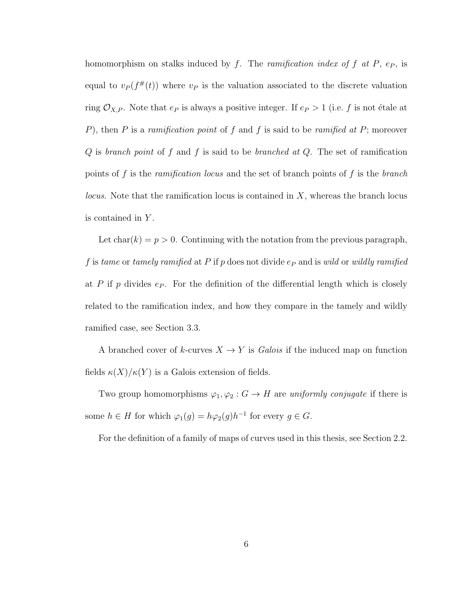homomorphism on stalks induced by f. The *ramification index of* f at  $P$ ,  $e_P$ , is equal to  $v_P(f^{\#}(t))$  where  $v_P$  is the valuation associated to the discrete valuation ring  $\mathcal{O}_{X,P}$ . Note that  $e_P$  is always a positive integer. If  $e_P > 1$  (i.e. f is not étale at P), then P is a ramification point of f and f is said to be ramified at P; moreover  $Q$  is branch point of f and f is said to be branched at  $Q$ . The set of ramification points of f is the *ramification locus* and the set of branch points of f is the *branch locus*. Note that the ramification locus is contained in  $X$ , whereas the branch locus is contained in Y.

Let  $char(k) = p > 0$ . Continuing with the notation from the previous paragraph, f is tame or tamely ramified at P if p does not divide  $e_P$  and is wild or wildly ramified at P if p divides  $e_P$ . For the definition of the differential length which is closely related to the ramification index, and how they compare in the tamely and wildly ramified case, see Section 3.3.

A branched cover of  $k$ -curves  $X \to Y$  is *Galois* if the induced map on function fields  $\kappa(X)/\kappa(Y)$  is a Galois extension of fields.

Two group homomorphisms  $\varphi_1, \varphi_2 : G \to H$  are uniformly conjugate if there is some  $h \in H$  for which  $\varphi_1(g) = h\varphi_2(g)h^{-1}$  for every  $g \in G$ .

For the definition of a family of maps of curves used in this thesis, see Section 2.2.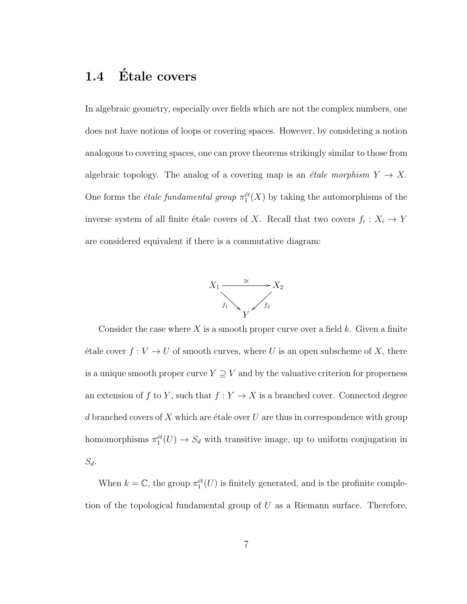## 1.4 Étale covers

In algebraic geometry, especially over fields which are not the complex numbers, one does not have notions of loops or covering spaces. However, by considering a notion analogous to covering spaces, one can prove theorems strikingly similar to those from algebraic topology. The analog of a covering map is an *étale morphism*  $Y \to X$ . One forms the *étale fundamental group*  $\pi_1^{\text{\'et}}(X)$  by taking the automorphisms of the inverse system of all finite étale covers of X. Recall that two covers  $f_i: X_i \to Y$ are considered equivalent if there is a commutative diagram:



Consider the case where  $X$  is a smooth proper curve over a field  $k$ . Given a finite étale cover  $f : V \to U$  of smooth curves, where U is an open subscheme of X, there is a unique smooth proper curve  $Y \supseteq V$  and by the valuative criterion for properness an extension of  $f$  to  $Y$ , such that  $f: Y \to X$  is a branched cover. Connected degree d branched covers of X which are étale over U are thus in correspondence with group homomorphisms  $\pi_1^{\text{\'et}}(U) \to S_d$  with transitive image, up to uniform conjugation in  $S_d$ .

When  $k = \mathbb{C}$ , the group  $\pi_1^{et}(U)$  is finitely generated, and is the profinite completion of the topological fundamental group of  $U$  as a Riemann surface. Therefore,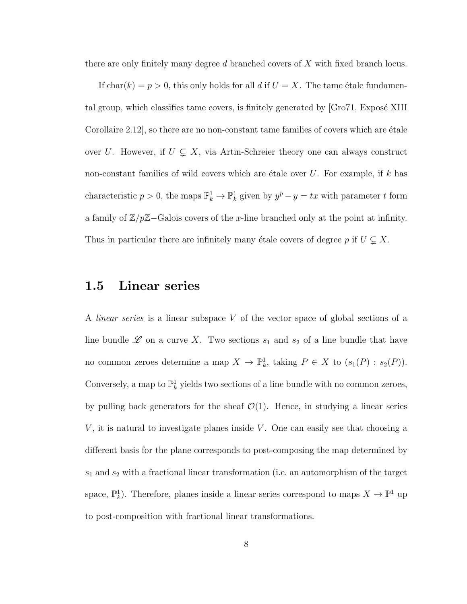there are only finitely many degree d branched covers of X with fixed branch locus.

If char(k) = p > 0, this only holds for all d if  $U = X$ . The tame étale fundamental group, which classifies tame covers, is finitely generated by  $\lbrack$ Gro71, Exposé XIII Corollaire  $2.12$ , so there are no non-constant tame families of covers which are  $\acute{e}$ tale over U. However, if  $U \subsetneq X$ , via Artin-Schreier theory one can always construct non-constant families of wild covers which are étale over  $U$ . For example, if k has characteristic  $p > 0$ , the maps  $\mathbb{P}_k^1 \to \mathbb{P}_k^1$  given by  $y^p - y = tx$  with parameter t form a family of  $\mathbb{Z}/p\mathbb{Z}$ –Galois covers of the x-line branched only at the point at infinity. Thus in particular there are infinitely many étale covers of degree p if  $U \subsetneq X$ .

### 1.5 Linear series

A linear series is a linear subspace V of the vector space of global sections of a line bundle  $\mathscr L$  on a curve X. Two sections  $s_1$  and  $s_2$  of a line bundle that have no common zeroes determine a map  $X \to \mathbb{P}^1_k$ , taking  $P \in X$  to  $(s_1(P) : s_2(P))$ . Conversely, a map to  $\mathbb{P}^1_k$  yields two sections of a line bundle with no common zeroes, by pulling back generators for the sheaf  $\mathcal{O}(1)$ . Hence, in studying a linear series  $V$ , it is natural to investigate planes inside  $V$ . One can easily see that choosing a different basis for the plane corresponds to post-composing the map determined by  $s_1$  and  $s_2$  with a fractional linear transformation (i.e. an automorphism of the target space,  $\mathbb{P}_k^1$ ). Therefore, planes inside a linear series correspond to maps  $X \to \mathbb{P}^1$  up to post-composition with fractional linear transformations.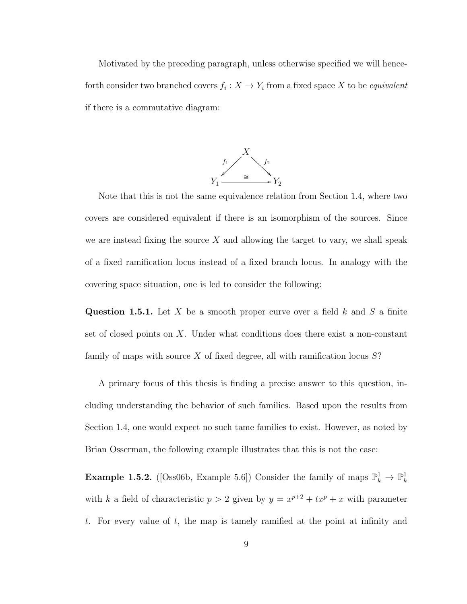Motivated by the preceding paragraph, unless otherwise specified we will henceforth consider two branched covers  $f_i: X \to Y_i$  from a fixed space X to be *equivalent* if there is a commutative diagram:



Note that this is not the same equivalence relation from Section 1.4, where two covers are considered equivalent if there is an isomorphism of the sources. Since we are instead fixing the source  $X$  and allowing the target to vary, we shall speak of a fixed ramification locus instead of a fixed branch locus. In analogy with the covering space situation, one is led to consider the following:

**Question 1.5.1.** Let X be a smooth proper curve over a field k and S a finite set of closed points on X. Under what conditions does there exist a non-constant family of maps with source  $X$  of fixed degree, all with ramification locus  $S$ ?

A primary focus of this thesis is finding a precise answer to this question, including understanding the behavior of such families. Based upon the results from Section 1.4, one would expect no such tame families to exist. However, as noted by Brian Osserman, the following example illustrates that this is not the case:

**Example 1.5.2.** ([Oss06b, Example 5.6]) Consider the family of maps  $\mathbb{P}_k^1 \to \mathbb{P}_k^1$ with k a field of characteristic  $p > 2$  given by  $y = x^{p+2} + tx^p + x$  with parameter t. For every value of t, the map is tamely ramified at the point at infinity and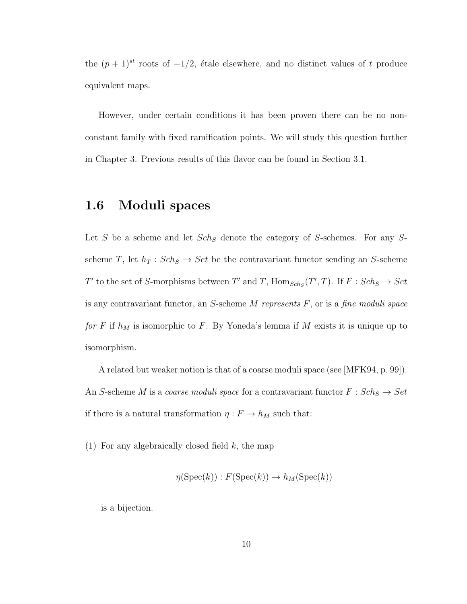the  $(p + 1)^{st}$  roots of  $-1/2$ , étale elsewhere, and no distinct values of t produce equivalent maps.

However, under certain conditions it has been proven there can be no nonconstant family with fixed ramification points. We will study this question further in Chapter 3. Previous results of this flavor can be found in Section 3.1.

### 1.6 Moduli spaces

Let S be a scheme and let  $Sch_S$  denote the category of S-schemes. For any Sscheme T, let  $h_T : Sch_S \to Set$  be the contravariant functor sending an S-scheme T' to the set of S-morphisms between T' and T,  $\text{Hom}_{Sch_S}(T',T)$ . If  $F : Sch_S \to Set$ is any contravariant functor, an  $S$ -scheme  $M$  represents  $F$ , or is a fine moduli space for F if  $h_M$  is isomorphic to F. By Yoneda's lemma if M exists it is unique up to isomorphism.

A related but weaker notion is that of a coarse moduli space (see [MFK94, p. 99]). An S-scheme M is a coarse moduli space for a contravariant functor  $F : Sch_S \rightarrow Set$ if there is a natural transformation  $\eta: F \to h_M$  such that:

(1) For any algebraically closed field  $k$ , the map

$$
\eta(\operatorname{Spec}(k)) : F(\operatorname{Spec}(k)) \to h_M(\operatorname{Spec}(k))
$$

is a bijection.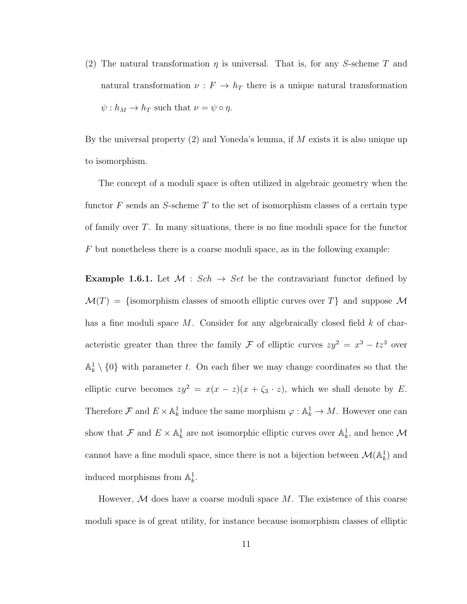(2) The natural transformation  $\eta$  is universal. That is, for any S-scheme T and natural transformation  $\nu : F \to h_T$  there is a unique natural transformation  $\psi : h_M \to h_T$  such that  $\nu = \psi \circ \eta$ .

By the universal property (2) and Yoneda's lemma, if M exists it is also unique up to isomorphism.

The concept of a moduli space is often utilized in algebraic geometry when the functor  $F$  sends an S-scheme T to the set of isomorphism classes of a certain type of family over  $T$ . In many situations, there is no fine moduli space for the functor  $F$  but nonetheless there is a coarse moduli space, as in the following example:

**Example 1.6.1.** Let  $M : Sch \rightarrow Set$  be the contravariant functor defined by  $\mathcal{M}(T) = \{\text{isomorphism classes of smooth elliptic curves over } T\}$  and suppose M has a fine moduli space  $M$ . Consider for any algebraically closed field  $k$  of characteristic greater than three the family F of elliptic curves  $zy^2 = x^3 - tz^3$  over  $\mathbb{A}^1_k \setminus \{0\}$  with parameter t. On each fiber we may change coordinates so that the elliptic curve becomes  $zy^2 = x(x - z)(x + \zeta_3 \cdot z)$ , which we shall denote by E. Therefore  $\mathcal F$  and  $E \times \mathbb A^1_k$  induce the same morphism  $\varphi : \mathbb A^1_k \to M$ . However one can show that  $\mathcal F$  and  $E \times \mathbb A^1_k$  are not isomorphic elliptic curves over  $\mathbb A^1_k$ , and hence  $\mathcal M$ cannot have a fine moduli space, since there is not a bijection between  $\mathcal{M}(\mathbb{A}_k^1)$  and induced morphisms from  $\mathbb{A}_k^1$ .

However,  $M$  does have a coarse moduli space  $M$ . The existence of this coarse moduli space is of great utility, for instance because isomorphism classes of elliptic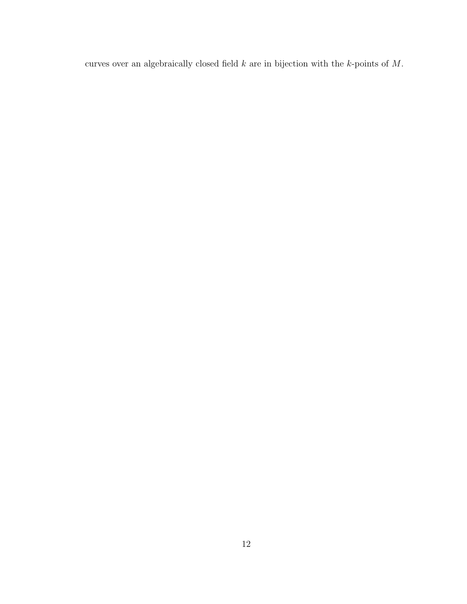curves over an algebraically closed field  $k$  are in bijection with the  $k$ -points of  $M$ .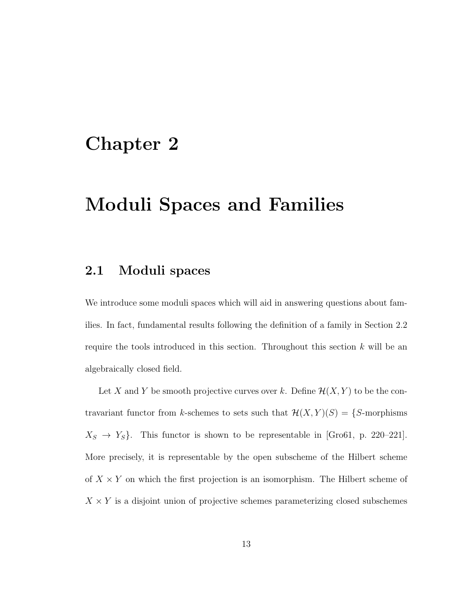## Chapter 2

## Moduli Spaces and Families

### 2.1 Moduli spaces

We introduce some moduli spaces which will aid in answering questions about families. In fact, fundamental results following the definition of a family in Section 2.2 require the tools introduced in this section. Throughout this section  $k$  will be an algebraically closed field.

Let X and Y be smooth projective curves over k. Define  $\mathcal{H}(X, Y)$  to be the contravariant functor from k-schemes to sets such that  $\mathcal{H}(X, Y)(S) = \{S\text{-morphisms}$  $X_S \rightarrow Y_S$ . This functor is shown to be representable in [Gro61, p. 220–221]. More precisely, it is representable by the open subscheme of the Hilbert scheme of  $X \times Y$  on which the first projection is an isomorphism. The Hilbert scheme of  $X \times Y$  is a disjoint union of projective schemes parameterizing closed subschemes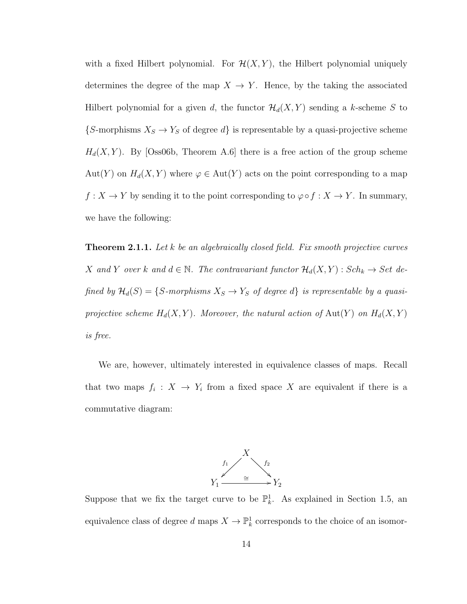with a fixed Hilbert polynomial. For  $\mathcal{H}(X, Y)$ , the Hilbert polynomial uniquely determines the degree of the map  $X \to Y$ . Hence, by the taking the associated Hilbert polynomial for a given d, the functor  $\mathcal{H}_d(X, Y)$  sending a k-scheme S to  ${S}\text{-morphisms } X_S \to Y_S$  of degree d} is representable by a quasi-projective scheme  $H_d(X, Y)$ . By [Oss06b, Theorem A.6] there is a free action of the group scheme Aut(Y) on  $H_d(X, Y)$  where  $\varphi \in Aut(Y)$  acts on the point corresponding to a map  $f: X \to Y$  by sending it to the point corresponding to  $\varphi \circ f: X \to Y$ . In summary, we have the following:

**Theorem 2.1.1.** Let k be an algebraically closed field. Fix smooth projective curves X and Y over k and  $d \in \mathbb{N}$ . The contravariant functor  $\mathcal{H}_d(X, Y)$ :  $Sch_k \to Set$  defined by  $\mathcal{H}_d(S) = \{S\text{-morphisms } X_S \to Y_S \text{ of degree } d\}$  is representable by a quasiprojective scheme  $H_d(X, Y)$ . Moreover, the natural action of  $Aut(Y)$  on  $H_d(X, Y)$ is free.

We are, however, ultimately interested in equivalence classes of maps. Recall that two maps  $f_i: X \to Y_i$  from a fixed space X are equivalent if there is a commutative diagram:



Suppose that we fix the target curve to be  $\mathbb{P}_k^1$ . As explained in Section 1.5, an equivalence class of degree  $d$  maps  $X \to \mathbb{P}^1_k$  corresponds to the choice of an isomor-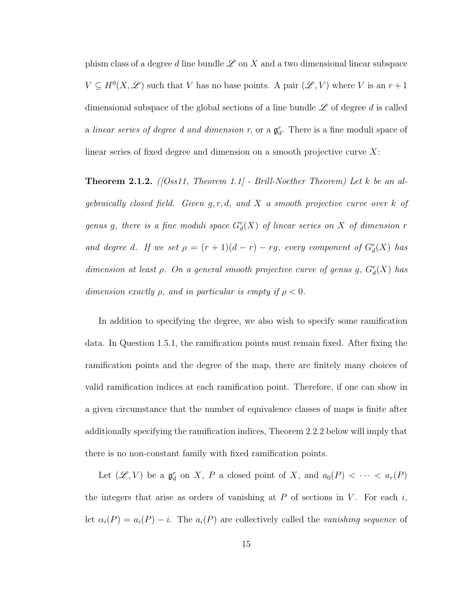phism class of a degree d line bundle  $\mathscr L$  on X and a two dimensional linear subspace  $V \subseteq H^0(X, \mathscr{L})$  such that V has no base points. A pair  $(\mathscr{L}, V)$  where V is an  $r + 1$ dimensional subspace of the global sections of a line bundle  $\mathscr L$  of degree d is called a linear series of degree d and dimension r, or a  $\mathfrak{g}_d^r$ . There is a fine moduli space of linear series of fixed degree and dimension on a smooth projective curve  $X$ :

**Theorem 2.1.2.** ([Oss11, Theorem 1.1] - Brill-Noether Theorem) Let k be an algebraically closed field. Given  $g, r, d$ , and X a smooth projective curve over k of genus g, there is a fine moduli space  $G_d^r(X)$  of linear series on X of dimension r and degree d. If we set  $\rho = (r+1)(d-r) - rg$ , every component of  $G_d^r(X)$  has dimension at least  $\rho$ . On a general smooth projective curve of genus g,  $G_d^r(X)$  has dimension exactly  $\rho$ , and in particular is empty if  $\rho < 0$ .

In addition to specifying the degree, we also wish to specify some ramification data. In Question 1.5.1, the ramification points must remain fixed. After fixing the ramification points and the degree of the map, there are finitely many choices of valid ramification indices at each ramification point. Therefore, if one can show in a given circumstance that the number of equivalence classes of maps is finite after additionally specifying the ramification indices, Theorem 2.2.2 below will imply that there is no non-constant family with fixed ramification points.

Let  $(\mathscr{L}, V)$  be a  $\mathfrak{g}_d^r$  on X, P a closed point of X, and  $a_0(P) < \cdots < a_r(P)$ the integers that arise as orders of vanishing at  $P$  of sections in  $V$ . For each  $i$ , let  $\alpha_i(P) = a_i(P) - i$ . The  $a_i(P)$  are collectively called the vanishing sequence of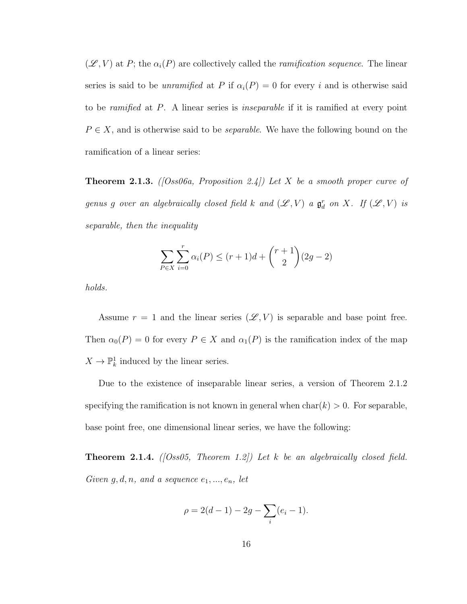$(\mathscr{L}, V)$  at P; the  $\alpha_i(P)$  are collectively called the *ramification sequence*. The linear series is said to be *unramified* at P if  $\alpha_i(P) = 0$  for every i and is otherwise said to be *ramified* at P. A linear series is *inseparable* if it is ramified at every point  $P \in X$ , and is otherwise said to be *separable*. We have the following bound on the ramification of a linear series:

**Theorem 2.1.3.** ([Oss06a, Proposition 2.4]) Let X be a smooth proper curve of genus g over an algebraically closed field k and  $(\mathscr{L}, V)$  a  $\mathfrak{g}^r_d$  on X. If  $(\mathscr{L}, V)$  is separable, then the inequality

$$
\sum_{P \in X} \sum_{i=0}^{r} \alpha_i(P) \le (r+1)d + \binom{r+1}{2}(2g-2)
$$

holds.

Assume  $r = 1$  and the linear series  $(\mathscr{L}, V)$  is separable and base point free. Then  $\alpha_0(P) = 0$  for every  $P \in X$  and  $\alpha_1(P)$  is the ramification index of the map  $X \to \mathbb{P}^1_k$  induced by the linear series.

Due to the existence of inseparable linear series, a version of Theorem 2.1.2 specifying the ramification is not known in general when  $char(k) > 0$ . For separable, base point free, one dimensional linear series, we have the following:

**Theorem 2.1.4.** ( $[Oss05, Theorem 1.2]$ ) Let k be an algebraically closed field. Given  $g, d, n$ , and a sequence  $e_1, ..., e_n$ , let

$$
\rho = 2(d - 1) - 2g - \sum_{i} (e_i - 1).
$$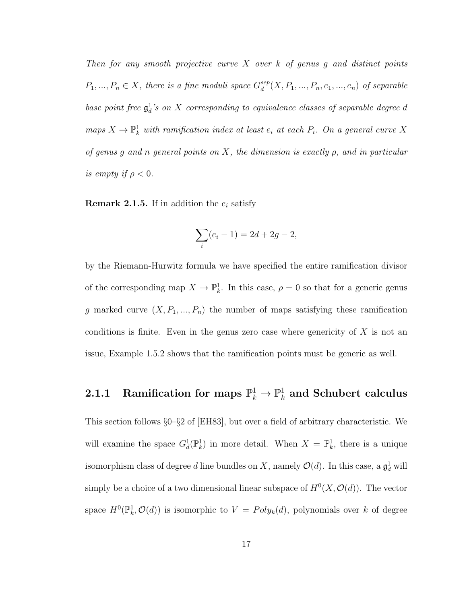Then for any smooth projective curve X over  $k$  of genus q and distinct points  $P_1, ..., P_n \in X$ , there is a fine moduli space  $G_d^{sep}$  $\mathcal{E}_d^{sep}(X, P_1, ..., P_n, e_1, ..., e_n)$  of separable base point free  $\mathfrak{g}^1_d$ 's on X corresponding to equivalence classes of separable degree d maps  $X \to \mathbb{P}^1_k$  with ramification index at least  $e_i$  at each  $P_i$ . On a general curve X of genus q and n general points on X, the dimension is exactly  $\rho$ , and in particular is empty if  $\rho < 0$ .

**Remark 2.1.5.** If in addition the  $e_i$  satisfy

$$
\sum_{i} (e_i - 1) = 2d + 2g - 2,
$$

by the Riemann-Hurwitz formula we have specified the entire ramification divisor of the corresponding map  $X \to \mathbb{P}^1_k$ . In this case,  $\rho = 0$  so that for a generic genus g marked curve  $(X, P_1, ..., P_n)$  the number of maps satisfying these ramification conditions is finite. Even in the genus zero case where genericity of  $X$  is not an issue, Example 1.5.2 shows that the ramification points must be generic as well.

#### $\textbf{2.1.1} \quad \textbf{Ramification for maps} \, \, \mathbb{P}^1_k \to \mathbb{P}^1_k$  $\frac{1}{k}$  and Schubert calculus

This section follows §0–§2 of [EH83], but over a field of arbitrary characteristic. We will examine the space  $G_d^1(\mathbb{P}_k^1)$  in more detail. When  $X = \mathbb{P}_k^1$ , there is a unique isomorphism class of degree d line bundles on X, namely  $\mathcal{O}(d)$ . In this case, a  $\mathfrak{g}^1_d$  will simply be a choice of a two dimensional linear subspace of  $H^0(X, \mathcal{O}(d))$ . The vector space  $H^0(\mathbb{P}_k^1, \mathcal{O}(d))$  is isomorphic to  $V = Poly_k(d)$ , polynomials over k of degree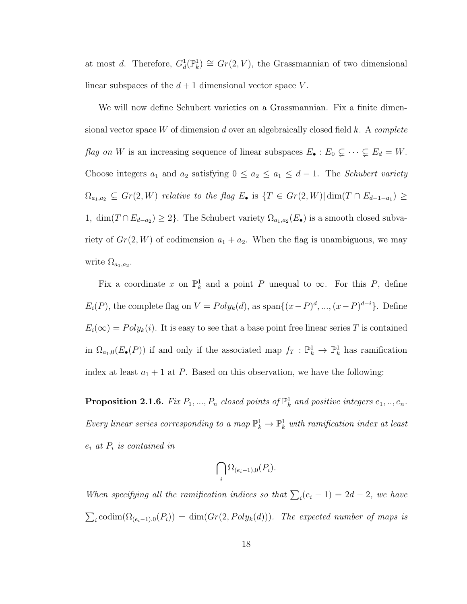at most d. Therefore,  $G_d^1(\mathbb{P}_k^1) \cong Gr(2, V)$ , the Grassmannian of two dimensional linear subspaces of the  $d+1$  dimensional vector space V.

We will now define Schubert varieties on a Grassmannian. Fix a finite dimensional vector space W of dimension d over an algebraically closed field  $k$ . A complete flag on W is an increasing sequence of linear subspaces  $E_{\bullet} : E_0 \subsetneq \cdots \subsetneq E_d = W$ . Choose integers  $a_1$  and  $a_2$  satisfying  $0 \le a_2 \le a_1 \le d-1$ . The *Schubert variety*  $\Omega_{a_1,a_2} \subseteq Gr(2,W)$  relative to the flag  $E_{\bullet}$  is  $\{T \in Gr(2,W)| \dim(T \cap E_{d-1-a_1}) \geq$ 1,  $\dim(T \cap E_{d-a_2}) \geq 2$ . The Schubert variety  $\Omega_{a_1,a_2}(E_{\bullet})$  is a smooth closed subvariety of  $Gr(2, W)$  of codimension  $a_1 + a_2$ . When the flag is unambiguous, we may write  $\Omega_{a_1,a_2}$ .

Fix a coordinate x on  $\mathbb{P}^1_k$  and a point P unequal to  $\infty$ . For this P, define  $E_i(P)$ , the complete flag on  $V = Poly_k(d)$ , as span $\{(x-P)^d, ..., (x-P)^{d-i}\}$ . Define  $E_i(\infty) = Poly_k(i)$ . It is easy to see that a base point free linear series T is contained in  $\Omega_{a_1,0}(E_{\bullet}(P))$  if and only if the associated map  $f_T : \mathbb{P}^1_k \to \mathbb{P}^1_k$  has ramification index at least  $a_1 + 1$  at P. Based on this observation, we have the following:

**Proposition 2.1.6.** Fix  $P_1, ..., P_n$  closed points of  $\mathbb{P}^1_k$  and positive integers  $e_1, ..., e_n$ . Every linear series corresponding to a map  $\mathbb{P}_k^1 \to \mathbb{P}_k^1$  with ramification index at least  $e_i$  at  $P_i$  is contained in

$$
\bigcap_i \Omega_{(e_i-1),0}(P_i).
$$

When specifying all the ramification indices so that  $\sum_i (e_i - 1) = 2d - 2$ , we have  $\sum_i \text{codim}(\Omega_{(e_i-1),0}(P_i)) = \dim(Gr(2, Poly_k(d)))$ . The expected number of maps is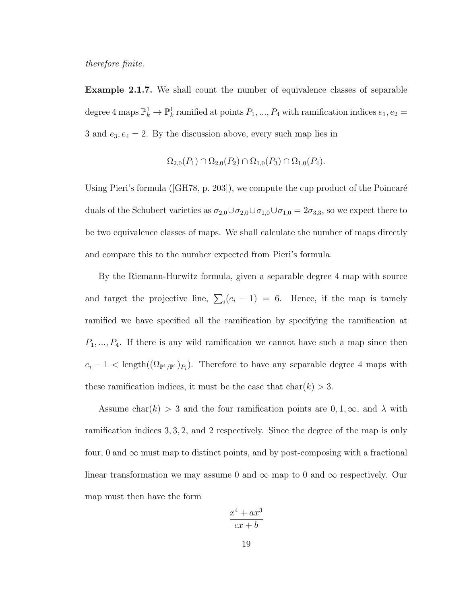therefore finite.

Example 2.1.7. We shall count the number of equivalence classes of separable degree 4 maps  $\mathbb{P}^1_k \to \mathbb{P}^1_k$  ramified at points  $P_1, ..., P_4$  with ramification indices  $e_1, e_2 =$ 3 and  $e_3, e_4 = 2$ . By the discussion above, every such map lies in

$$
\Omega_{2,0}(P_1) \cap \Omega_{2,0}(P_2) \cap \Omega_{1,0}(P_3) \cap \Omega_{1,0}(P_4).
$$

Using Pieri's formula ([GH78, p. 203]), we compute the cup product of the Poincaré duals of the Schubert varieties as  $\sigma_{2,0}\cup\sigma_{2,0}\cup\sigma_{1,0}\cup\sigma_{1,0}=2\sigma_{3,3}$ , so we expect there to be two equivalence classes of maps. We shall calculate the number of maps directly and compare this to the number expected from Pieri's formula.

By the Riemann-Hurwitz formula, given a separable degree 4 map with source and target the projective line,  $\sum_i (e_i - 1) = 6$ . Hence, if the map is tamely ramified we have specified all the ramification by specifying the ramification at  $P_1, \ldots, P_4$ . If there is any wild ramification we cannot have such a map since then  $e_i - 1 < \text{length}((\Omega_{\mathbb{P}^1/\mathbb{P}^1})_{P_i})$ . Therefore to have any separable degree 4 maps with these ramification indices, it must be the case that  $char(k) > 3$ .

Assume char(k) > 3 and the four ramification points are  $0, 1, \infty$ , and  $\lambda$  with ramification indices 3, 3, 2, and 2 respectively. Since the degree of the map is only four, 0 and  $\infty$  must map to distinct points, and by post-composing with a fractional linear transformation we may assume 0 and  $\infty$  map to 0 and  $\infty$  respectively. Our map must then have the form

$$
\frac{x^4 + ax^3}{cx + b}
$$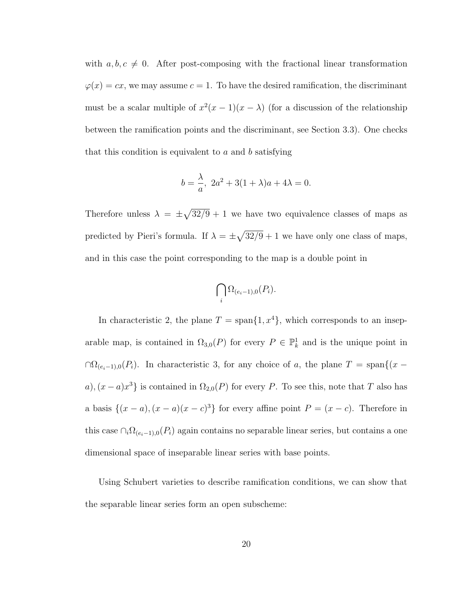with  $a, b, c \neq 0$ . After post-composing with the fractional linear transformation  $\varphi(x) = cx$ , we may assume  $c = 1$ . To have the desired ramification, the discriminant must be a scalar multiple of  $x^2(x-1)(x-\lambda)$  (for a discussion of the relationship between the ramification points and the discriminant, see Section 3.3). One checks that this condition is equivalent to  $a$  and  $b$  satisfying

$$
b = \frac{\lambda}{a}, \ 2a^2 + 3(1 + \lambda)a + 4\lambda = 0.
$$

Therefore unless  $\lambda = \pm \sqrt{32/9} + 1$  we have two equivalence classes of maps as predicted by Pieri's formula. If  $\lambda = \pm \sqrt{32/9} + 1$  we have only one class of maps, and in this case the point corresponding to the map is a double point in

$$
\bigcap_i \Omega_{(e_i-1),0}(P_i).
$$

In characteristic 2, the plane  $T = \text{span}\{1, x^4\}$ , which corresponds to an inseparable map, is contained in  $\Omega_{3,0}(P)$  for every  $P \in \mathbb{P}^1_k$  and is the unique point in  $\cap \Omega_{(e_i-1),0}(P_i)$ . In characteristic 3, for any choice of a, the plane  $T = \text{span}\{(x - p_i)\}$ a),  $(x-a)x^3$  is contained in  $\Omega_{2,0}(P)$  for every P. To see this, note that T also has a basis  $\{(x-a),(x-a)(x-c)^3\}$  for every affine point  $P=(x-c)$ . Therefore in this case  $\cap_i \Omega_{(e_i-1),0}(P_i)$  again contains no separable linear series, but contains a one dimensional space of inseparable linear series with base points.

Using Schubert varieties to describe ramification conditions, we can show that the separable linear series form an open subscheme: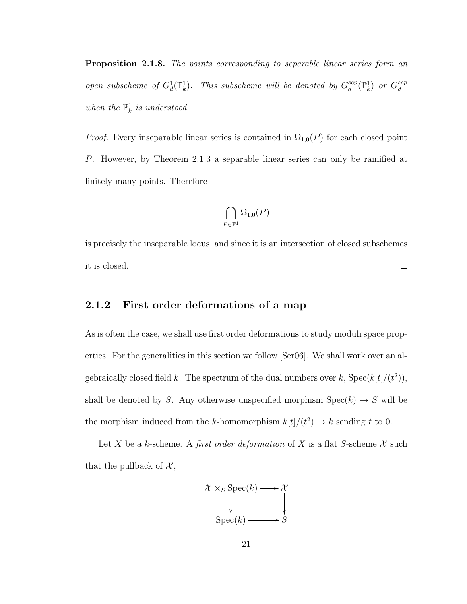Proposition 2.1.8. The points corresponding to separable linear series form an open subscheme of  $G_d^1(\mathbb{P}^1_k)$ . This subscheme will be denoted by  $G_d^{sep}$  $\binom{sep}{d}$  ( $\mathbb{P}^1_k$ ) or  $G_d^{sep}$ d when the  $\mathbb{P}^1_k$  is understood.

*Proof.* Every inseparable linear series is contained in  $\Omega_{1,0}(P)$  for each closed point P. However, by Theorem 2.1.3 a separable linear series can only be ramified at finitely many points. Therefore

$$
\bigcap_{P\in\mathbb{P}^1}\Omega_{1,0}(P)
$$

is precisely the inseparable locus, and since it is an intersection of closed subschemes  $\Box$ it is closed.

#### 2.1.2 First order deformations of a map

As is often the case, we shall use first order deformations to study moduli space properties. For the generalities in this section we follow [Ser06]. We shall work over an algebraically closed field k. The spectrum of the dual numbers over k,  $Spec(k[t]/(t^2))$ , shall be denoted by S. Any otherwise unspecified morphism  $Spec(k) \rightarrow S$  will be the morphism induced from the k-homomorphism  $k[t]/(t^2) \to k$  sending t to 0.

Let X be a k-scheme. A first order deformation of X is a flat S-scheme  $\mathcal X$  such that the pullback of  $\mathcal{X},$ 

$$
x \times_S \operatorname{Spec}(k) \longrightarrow x
$$
  
\n
$$
\downarrow \qquad \qquad \downarrow
$$
  
\n
$$
\operatorname{Spec}(k) \longrightarrow S
$$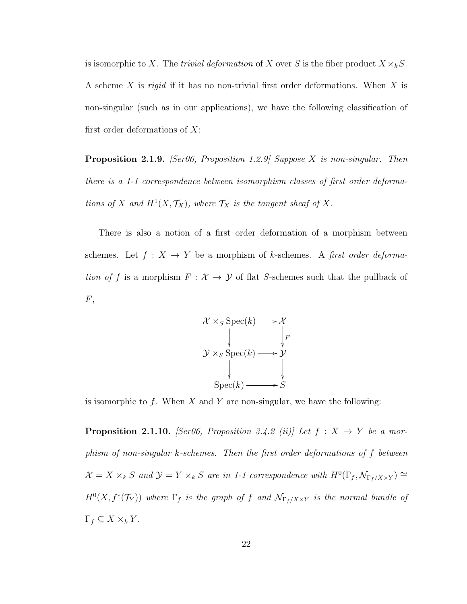is isomorphic to X. The *trivial deformation* of X over S is the fiber product  $X \times_k S$ . A scheme X is rigid if it has no non-trivial first order deformations. When X is non-singular (such as in our applications), we have the following classification of first order deformations of  $X$ :

**Proposition 2.1.9.** *[Ser06, Proposition 1.2.9] Suppose X is non-singular. Then* there is a 1-1 correspondence between isomorphism classes of first order deformations of X and  $H^1(X, \mathcal{T}_X)$ , where  $\mathcal{T}_X$  is the tangent sheaf of X.

There is also a notion of a first order deformation of a morphism between schemes. Let  $f: X \rightarrow Y$  be a morphism of k-schemes. A first order deformation of f is a morphism  $F: \mathcal{X} \to \mathcal{Y}$  of flat S-schemes such that the pullback of  $F,$ 



is isomorphic to f. When  $X$  and  $Y$  are non-singular, we have the following:

**Proposition 2.1.10.** [Ser06, Proposition 3.4.2 (ii)] Let  $f : X \rightarrow Y$  be a morphism of non-singular k-schemes. Then the first order deformations of f between  $\mathcal{X} = X \times_k S$  and  $\mathcal{Y} = Y \times_k S$  are in 1-1 correspondence with  $H^0(\Gamma_f, \mathcal{N}_{\Gamma_f/X \times Y}) \cong$  $H^0(X, f^*(\mathcal{T}_Y))$  where  $\Gamma_f$  is the graph of f and  $\mathcal{N}_{\Gamma_f/X \times Y}$  is the normal bundle of  $\Gamma_f \subseteq X \times_k Y$ .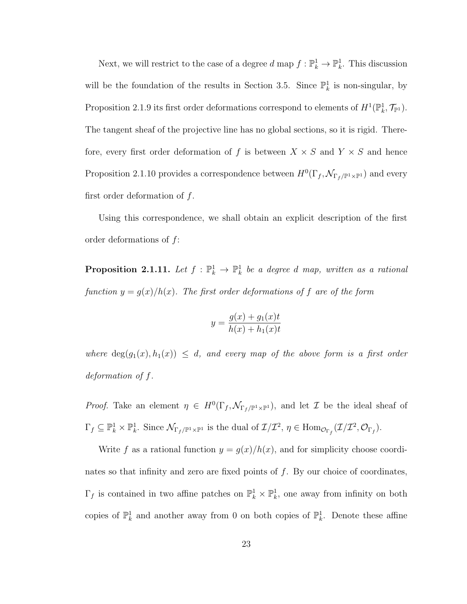Next, we will restrict to the case of a degree  $d$  map  $f: \mathbb{P}_k^1 \to \mathbb{P}_k^1$ . This discussion will be the foundation of the results in Section 3.5. Since  $\mathbb{P}_k^1$  is non-singular, by Proposition 2.1.9 its first order deformations correspond to elements of  $H^1(\mathbb{P}_k^1, \mathcal{T}_{\mathbb{P}^1})$ . The tangent sheaf of the projective line has no global sections, so it is rigid. Therefore, every first order deformation of f is between  $X \times S$  and  $Y \times S$  and hence Proposition 2.1.10 provides a correspondence between  $H^0(\Gamma_f, \mathcal{N}_{\Gamma_f/\mathbb{P}^1 \times \mathbb{P}^1})$  and every first order deformation of  $f$ .

Using this correspondence, we shall obtain an explicit description of the first order deformations of f:

**Proposition 2.1.11.** Let  $f : \mathbb{P}_k^1 \to \mathbb{P}_k^1$  be a degree d map, written as a rational function  $y = g(x)/h(x)$ . The first order deformations of f are of the form

$$
y = \frac{g(x) + g_1(x)t}{h(x) + h_1(x)t}
$$

where  $deg(g_1(x), h_1(x)) \leq d$ , and every map of the above form is a first order deformation of f.

*Proof.* Take an element  $\eta \in H^0(\Gamma_f, \mathcal{N}_{\Gamma_f/\mathbb{P}^1 \times \mathbb{P}^1})$ , and let  $\mathcal I$  be the ideal sheaf of  $\Gamma_f \subseteq \mathbb{P}_k^1 \times \mathbb{P}_k^1$ . Since  $\mathcal{N}_{\Gamma_f/\mathbb{P}^1 \times \mathbb{P}^1}$  is the dual of  $\mathcal{I}/\mathcal{I}^2$ ,  $\eta \in \text{Hom}_{\mathcal{O}_{\Gamma_f}}(\mathcal{I}/\mathcal{I}^2, \mathcal{O}_{\Gamma_f})$ .

Write f as a rational function  $y = g(x)/h(x)$ , and for simplicity choose coordinates so that infinity and zero are fixed points of  $f$ . By our choice of coordinates,  $\Gamma_f$  is contained in two affine patches on  $\mathbb{P}_k^1 \times \mathbb{P}_k^1$ , one away from infinity on both copies of  $\mathbb{P}_k^1$  and another away from 0 on both copies of  $\mathbb{P}_k^1$ . Denote these affine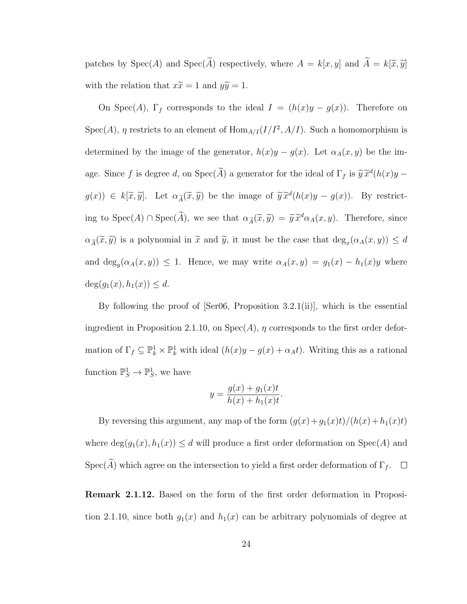patches by  $Spec(A)$  and  $Spec(\widetilde{A})$  respectively, where  $A = k[x, y]$  and  $\widetilde{A} = k[\widetilde{x}, \widetilde{y}]$ with the relation that  $x\tilde{x} = 1$  and  $y\tilde{y} = 1$ .

On Spec(A),  $\Gamma_f$  corresponds to the ideal  $I = (h(x)y - g(x))$ . Therefore on  $Spec(A), \eta$  restricts to an element of  $Hom_{A/I}(I/I^2, A/I)$ . Such a homomorphism is determined by the image of the generator,  $h(x)y - g(x)$ . Let  $\alpha_A(x, y)$  be the image. Since f is degree d, on  $Spec(\tilde{A})$  a generator for the ideal of  $\Gamma_f$  is  $\tilde{y} \tilde{x}^d(h(x)y$  $g(x)$   $\in k[\tilde{x}, \tilde{y}]$ . Let  $\alpha_{\tilde{A}}(\tilde{x}, \tilde{y})$  be the image of  $\tilde{y}\tilde{x}^d(h(x)y - g(x))$ . By restricting to  $Spec(A) \cap Spec(\tilde{A})$ , we see that  $\alpha_{\tilde{A}}(\tilde{x}, \tilde{y}) = \tilde{y} \tilde{x}^d \alpha_A(x, y)$ . Therefore, since  $\alpha_{\widetilde{A}}(\widetilde{x},\widetilde{y})$  is a polynomial in  $\widetilde{x}$  and  $\widetilde{y}$ , it must be the case that  $\deg_x(\alpha_A(x,y)) \leq d$ and  $\deg_y(\alpha_A(x,y)) \leq 1$ . Hence, we may write  $\alpha_A(x,y) = g_1(x) - h_1(x)y$  where  $deg(g_1(x), h_1(x)) \leq d.$ 

By following the proof of  $\text{Ser06}$ , Proposition 3.2.1(ii), which is the essential ingredient in Proposition 2.1.10, on  $Spec(A)$ ,  $\eta$  corresponds to the first order deformation of  $\Gamma_f \subseteq \mathbb{P}_k^1 \times \mathbb{P}_k^1$  with ideal  $(h(x)y - g(x) + \alpha_A t)$ . Writing this as a rational function  $\mathbb{P}_S^1 \to \mathbb{P}_S^1$ , we have

$$
y = \frac{g(x) + g_1(x)t}{h(x) + h_1(x)t}.
$$

By reversing this argument, any map of the form  $(g(x) + g_1(x)t)/(h(x) + h_1(x)t)$ where  $deg(g_1(x), h_1(x)) \leq d$  will produce a first order deformation on  $Spec(A)$  and Spec( $\widetilde{A}$ ) which agree on the intersection to yield a first order deformation of  $\Gamma_f$ .  $\Box$ 

Remark 2.1.12. Based on the form of the first order deformation in Proposition 2.1.10, since both  $g_1(x)$  and  $h_1(x)$  can be arbitrary polynomials of degree at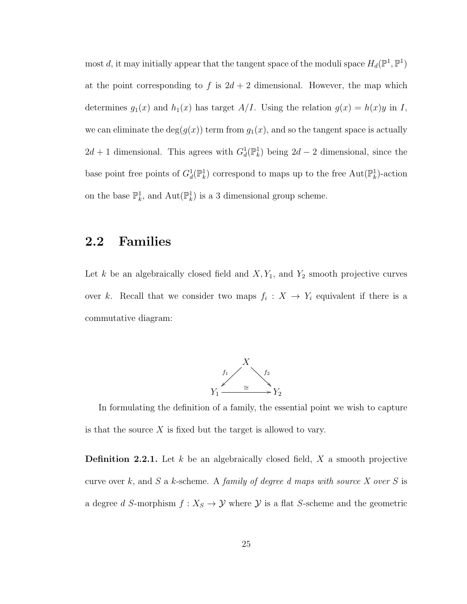most d, it may initially appear that the tangent space of the moduli space  $H_d(\mathbb{P}^1, \mathbb{P}^1)$ at the point corresponding to f is  $2d + 2$  dimensional. However, the map which determines  $g_1(x)$  and  $h_1(x)$  has target  $A/I$ . Using the relation  $g(x) = h(x)y$  in I, we can eliminate the  $deg(g(x))$  term from  $g_1(x)$ , and so the tangent space is actually  $2d + 1$  dimensional. This agrees with  $G_d^1(\mathbb{P}_k^1)$  being  $2d - 2$  dimensional, since the base point free points of  $G_d^1(\mathbb{P}_k^1)$  correspond to maps up to the free  $\text{Aut}(\mathbb{P}_k^1)$ -action on the base  $\mathbb{P}_k^1$ , and  $\mathrm{Aut}(\mathbb{P}_k^1)$  is a 3 dimensional group scheme.

### 2.2 Families

Let  $k$  be an algebraically closed field and  $X, Y_1$ , and  $Y_2$  smooth projective curves over k. Recall that we consider two maps  $f_i: X \to Y_i$  equivalent if there is a commutative diagram:



In formulating the definition of a family, the essential point we wish to capture is that the source  $X$  is fixed but the target is allowed to vary.

**Definition 2.2.1.** Let k be an algebraically closed field,  $X$  a smooth projective curve over k, and S a k-scheme. A family of degree d maps with source X over S is a degree  $d$   $S\text{-morphism } f: X_S \to \mathcal{Y}$  where  $\mathcal{Y}$  is a flat  $S\text{-scheme}$  and the geometric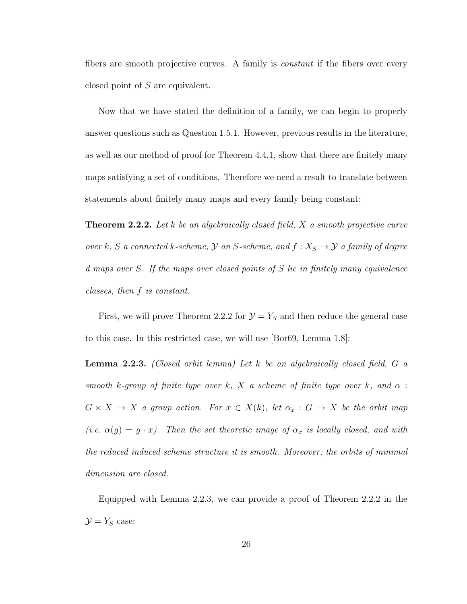fibers are smooth projective curves. A family is *constant* if the fibers over every closed point of S are equivalent.

Now that we have stated the definition of a family, we can begin to properly answer questions such as Question 1.5.1. However, previous results in the literature, as well as our method of proof for Theorem 4.4.1, show that there are finitely many maps satisfying a set of conditions. Therefore we need a result to translate between statements about finitely many maps and every family being constant:

**Theorem 2.2.2.** Let k be an algebraically closed field,  $X$  a smooth projective curve over k, S a connected k-scheme,  $\mathcal Y$  an S-scheme, and  $f: X_S \to \mathcal Y$  a family of degree d maps over S. If the maps over closed points of S lie in finitely many equivalence classes, then f is constant.

First, we will prove Theorem 2.2.2 for  $\mathcal{Y} = Y_S$  and then reduce the general case to this case. In this restricted case, we will use [Bor69, Lemma 1.8]:

**Lemma 2.2.3.** (Closed orbit lemma) Let  $k$  be an algebraically closed field,  $G$  a smooth k-group of finite type over k, X a scheme of finite type over k, and  $\alpha$ :  $G \times X \to X$  a group action. For  $x \in X(k)$ , let  $\alpha_x : G \to X$  be the orbit map (i.e.  $\alpha(g) = g \cdot x$ ). Then the set theoretic image of  $\alpha_x$  is locally closed, and with the reduced induced scheme structure it is smooth. Moreover, the orbits of minimal dimension are closed.

Equipped with Lemma 2.2.3, we can provide a proof of Theorem 2.2.2 in the  $\mathcal{Y} = Y_S$  case: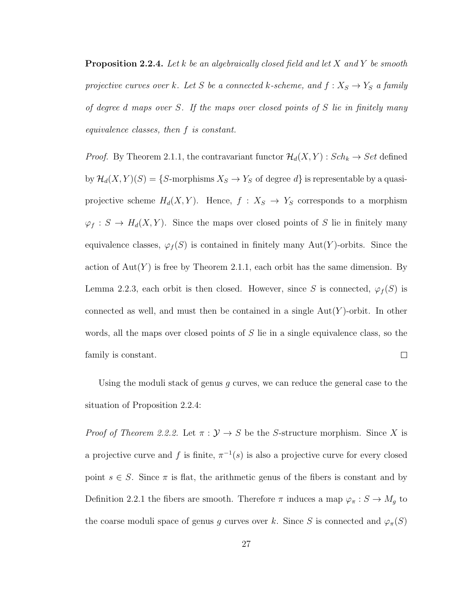**Proposition 2.2.4.** Let k be an algebraically closed field and let X and Y be smooth projective curves over k. Let S be a connected k-scheme, and  $f: X_S \to Y_S$  a family of degree d maps over S. If the maps over closed points of S lie in finitely many equivalence classes, then f is constant.

*Proof.* By Theorem 2.1.1, the contravariant functor  $\mathcal{H}_d(X, Y)$  :  $Sch_k \to Set$  defined by  $\mathcal{H}_d(X, Y)(S) = \{S\text{-morphisms } X_S \to Y_S \text{ of degree } d\}$  is representable by a quasiprojective scheme  $H_d(X, Y)$ . Hence,  $f : X_S \to Y_S$  corresponds to a morphism  $\varphi_f : S \to H_d(X, Y)$ . Since the maps over closed points of S lie in finitely many equivalence classes,  $\varphi_f(S)$  is contained in finitely many Aut(Y)-orbits. Since the action of  $Aut(Y)$  is free by Theorem 2.1.1, each orbit has the same dimension. By Lemma 2.2.3, each orbit is then closed. However, since S is connected,  $\varphi_f(S)$  is connected as well, and must then be contained in a single  $Aut(Y)$ -orbit. In other words, all the maps over closed points of  $S$  lie in a single equivalence class, so the  $\Box$ family is constant.

Using the moduli stack of genus  $g$  curves, we can reduce the general case to the situation of Proposition 2.2.4:

*Proof of Theorem 2.2.2.* Let  $\pi : \mathcal{Y} \to S$  be the S-structure morphism. Since X is a projective curve and f is finite,  $\pi^{-1}(s)$  is also a projective curve for every closed point  $s \in S$ . Since  $\pi$  is flat, the arithmetic genus of the fibers is constant and by Definition 2.2.1 the fibers are smooth. Therefore  $\pi$  induces a map  $\varphi_{\pi}: S \to M_g$  to the coarse moduli space of genus g curves over k. Since S is connected and  $\varphi_{\pi}(S)$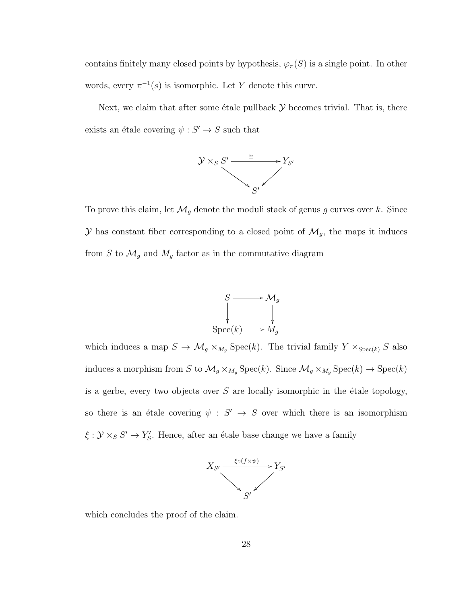contains finitely many closed points by hypothesis,  $\varphi_{\pi}(S)$  is a single point. In other words, every  $\pi^{-1}(s)$  is isomorphic. Let Y denote this curve.

Next, we claim that after some étale pullback  $\mathcal Y$  becomes trivial. That is, there exists an étale covering  $\psi : S' \to S$  such that



To prove this claim, let  $\mathcal{M}_g$  denote the moduli stack of genus g curves over k. Since  $\mathcal Y$  has constant fiber corresponding to a closed point of  $\mathcal M_g$ , the maps it induces from  $S$  to  $\mathcal{M}_g$  and  $M_g$  factor as in the commutative diagram



which induces a map  $S \to \mathcal{M}_g \times_{M_g} \text{Spec}(k)$ . The trivial family  $Y \times_{\text{Spec}(k)} S$  also induces a morphism from S to  $\mathcal{M}_g \times_{M_g} \text{Spec}(k)$ . Since  $\mathcal{M}_g \times_{M_g} \text{Spec}(k) \to \text{Spec}(k)$ is a gerbe, every two objects over  $S$  are locally isomorphic in the étale topology, so there is an étale covering  $\psi : S' \to S$  over which there is an isomorphism  $\xi : \mathcal{Y} \times_S S' \to Y'_{S}$ . Hence, after an étale base change we have a family



which concludes the proof of the claim.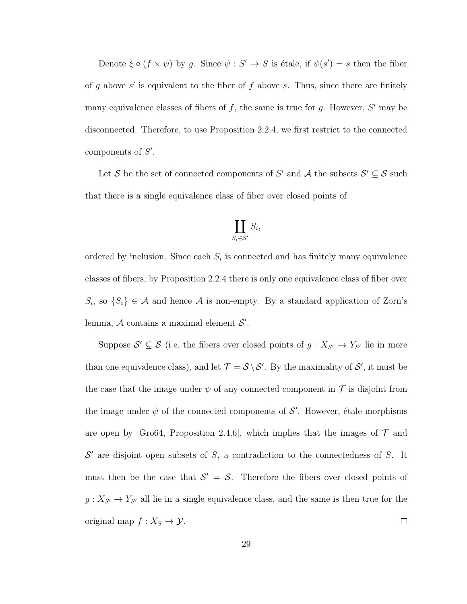Denote  $\xi \circ (f \times \psi)$  by g. Since  $\psi : S' \to S$  is étale, if  $\psi(s') = s$  then the fiber of g above  $s'$  is equivalent to the fiber of f above s. Thus, since there are finitely many equivalence classes of fibers of  $f$ , the same is true for  $g$ . However,  $S'$  may be disconnected. Therefore, to use Proposition 2.2.4, we first restrict to the connected components of  $S'$ .

Let S be the set of connected components of S' and A the subsets  $S' \subseteq S$  such that there is a single equivalence class of fiber over closed points of

$$
\coprod_{S_i \in \mathcal{S}'} S_i,
$$

ordered by inclusion. Since each  $S_i$  is connected and has finitely many equivalence classes of fibers, by Proposition 2.2.4 there is only one equivalence class of fiber over  $S_i$ , so  $\{S_i\} \in \mathcal{A}$  and hence  $\mathcal{A}$  is non-empty. By a standard application of Zorn's lemma,  $A$  contains a maximal element  $S'$ .

Suppose  $S' \subsetneq S$  (i.e. the fibers over closed points of  $g: X_{S'} \to Y_{S'}$  lie in more than one equivalence class), and let  $\mathcal{T} = \mathcal{S} \backslash \mathcal{S}'$ . By the maximality of  $\mathcal{S}'$ , it must be the case that the image under  $\psi$  of any connected component in  $\mathcal T$  is disjoint from the image under  $\psi$  of the connected components of  $\mathcal{S}'$ . However, étale morphisms are open by [Gro64, Proposition 2.4.6], which implies that the images of  $\mathcal T$  and  $\mathcal{S}'$  are disjoint open subsets of S, a contradiction to the connectedness of S. It must then be the case that  $S' = S$ . Therefore the fibers over closed points of  $g: X_{S'} \to Y_{S'}$  all lie in a single equivalence class, and the same is then true for the original map  $f: X_S \to \mathcal{Y}$ .  $\Box$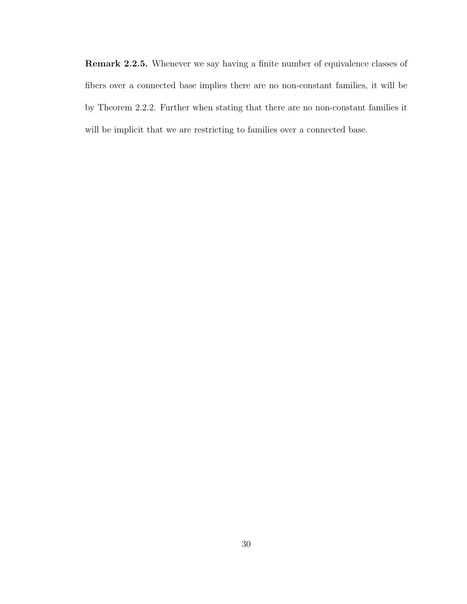Remark 2.2.5. Whenever we say having a finite number of equivalence classes of fibers over a connected base implies there are no non-constant families, it will be by Theorem 2.2.2. Further when stating that there are no non-constant families it will be implicit that we are restricting to families over a connected base.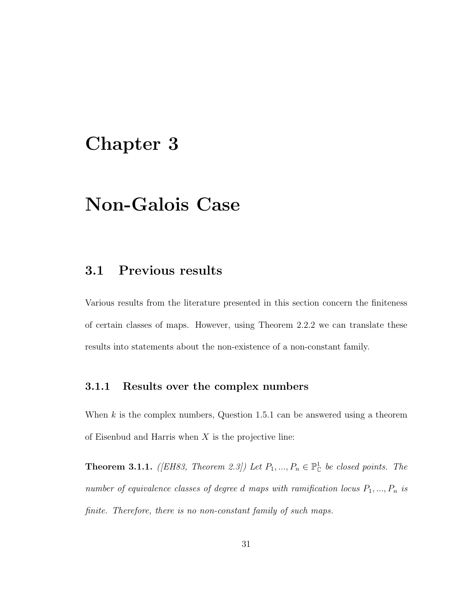# Chapter 3

# Non-Galois Case

## 3.1 Previous results

Various results from the literature presented in this section concern the finiteness of certain classes of maps. However, using Theorem 2.2.2 we can translate these results into statements about the non-existence of a non-constant family.

### 3.1.1 Results over the complex numbers

When  $k$  is the complex numbers, Question 1.5.1 can be answered using a theorem of Eisenbud and Harris when  $X$  is the projective line:

**Theorem 3.1.1.** ([EH83, Theorem 2.3]) Let  $P_1, ..., P_n \in \mathbb{P}_{\mathbb{C}}^1$  be closed points. The number of equivalence classes of degree d maps with ramification locus  $P_1, ..., P_n$  is finite. Therefore, there is no non-constant family of such maps.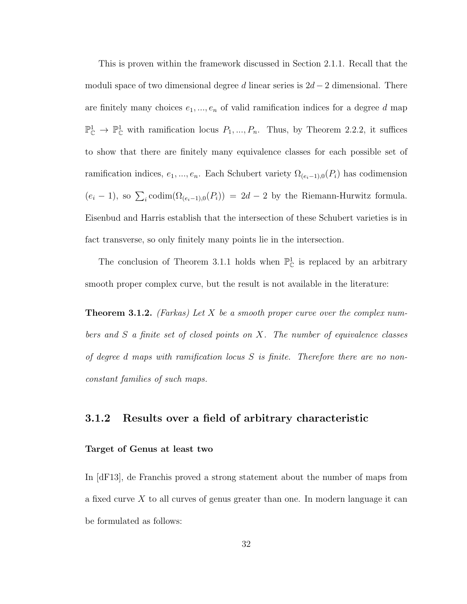This is proven within the framework discussed in Section 2.1.1. Recall that the moduli space of two dimensional degree d linear series is  $2d-2$  dimensional. There are finitely many choices  $e_1, ..., e_n$  of valid ramification indices for a degree d map  $\mathbb{P}^1_{\mathbb{C}} \to \mathbb{P}^1_{\mathbb{C}}$  with ramification locus  $P_1, ..., P_n$ . Thus, by Theorem 2.2.2, it suffices to show that there are finitely many equivalence classes for each possible set of ramification indices,  $e_1, ..., e_n$ . Each Schubert variety  $\Omega_{(e_i-1),0}(P_i)$  has codimension  $(e_i - 1)$ , so  $\sum_i \text{codim}(\Omega_{(e_i-1),0}(P_i)) = 2d - 2$  by the Riemann-Hurwitz formula. Eisenbud and Harris establish that the intersection of these Schubert varieties is in fact transverse, so only finitely many points lie in the intersection.

The conclusion of Theorem 3.1.1 holds when  $\mathbb{P}^1_{\mathbb{C}}$  is replaced by an arbitrary smooth proper complex curve, but the result is not available in the literature:

**Theorem 3.1.2.** (Farkas) Let X be a smooth proper curve over the complex numbers and S a finite set of closed points on X. The number of equivalence classes of degree d maps with ramification locus S is finite. Therefore there are no nonconstant families of such maps.

### 3.1.2 Results over a field of arbitrary characteristic

#### Target of Genus at least two

In [dF13], de Franchis proved a strong statement about the number of maps from a fixed curve  $X$  to all curves of genus greater than one. In modern language it can be formulated as follows: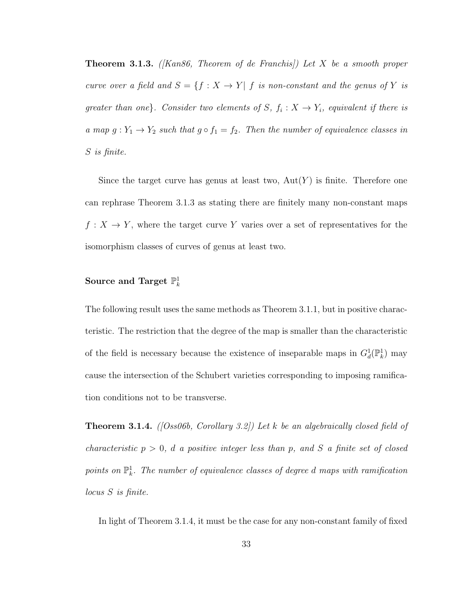**Theorem 3.1.3.** (*Kan86, Theorem of de Franchis*)) Let X be a smooth proper curve over a field and  $S = \{f : X \to Y | f$  is non-constant and the genus of Y is greater than one}. Consider two elements of  $S, f_i : X \to Y_i$ , equivalent if there is a map  $g: Y_1 \to Y_2$  such that  $g \circ f_1 = f_2$ . Then the number of equivalence classes in S is finite.

Since the target curve has genus at least two,  $Aut(Y)$  is finite. Therefore one can rephrase Theorem 3.1.3 as stating there are finitely many non-constant maps  $f: X \to Y$ , where the target curve Y varies over a set of representatives for the isomorphism classes of curves of genus at least two.

## Source and Target  $\mathbb{P}_k^1$

The following result uses the same methods as Theorem 3.1.1, but in positive characteristic. The restriction that the degree of the map is smaller than the characteristic of the field is necessary because the existence of inseparable maps in  $G_d^1(\mathbb{P}_k^1)$  may cause the intersection of the Schubert varieties corresponding to imposing ramification conditions not to be transverse.

**Theorem 3.1.4.** ([Oss06b, Corollary 3.2]) Let k be an algebraically closed field of characteristic  $p > 0$ , d a positive integer less than p, and S a finite set of closed points on  $\mathbb{P}^1_k$ . The number of equivalence classes of degree d maps with ramification locus S is finite.

In light of Theorem 3.1.4, it must be the case for any non-constant family of fixed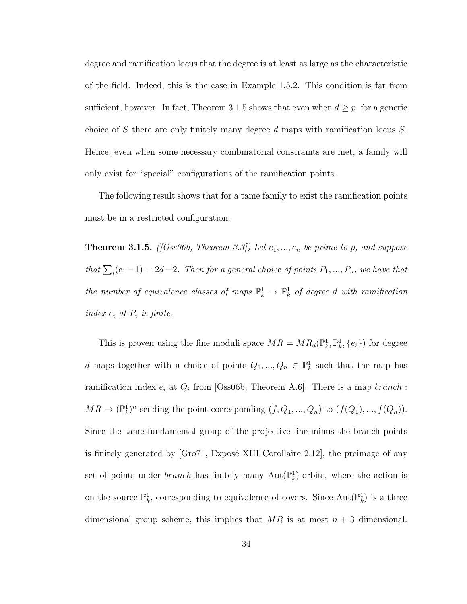degree and ramification locus that the degree is at least as large as the characteristic of the field. Indeed, this is the case in Example 1.5.2. This condition is far from sufficient, however. In fact, Theorem 3.1.5 shows that even when  $d \geq p$ , for a generic choice of S there are only finitely many degree d maps with ramification locus S. Hence, even when some necessary combinatorial constraints are met, a family will only exist for "special" configurations of the ramification points.

The following result shows that for a tame family to exist the ramification points must be in a restricted configuration:

**Theorem 3.1.5.** ([Oss06b, Theorem 3.3]) Let  $e_1, ..., e_n$  be prime to p, and suppose that  $\sum_i(e_1-1) = 2d-2$ . Then for a general choice of points  $P_1, ..., P_n$ , we have that the number of equivalence classes of maps  $\mathbb{P}_k^1 \to \mathbb{P}_k^1$  of degree d with ramification index  $e_i$  at  $P_i$  is finite.

This is proven using the fine moduli space  $MR = MR_d(\mathbb{P}_k^1, \mathbb{P}_k^1, \{e_i\})$  for degree d maps together with a choice of points  $Q_1, ..., Q_n \in \mathbb{P}^1_k$  such that the map has ramification index  $e_i$  at  $Q_i$  from [Oss06b, Theorem A.6]. There is a map *branch*:  $MR \to (\mathbb{P}_k^1)^n$  sending the point corresponding  $(f, Q_1, ..., Q_n)$  to  $(f(Q_1), ..., f(Q_n))$ . Since the tame fundamental group of the projective line minus the branch points is finitely generated by  $\lbrack$ Gro71, Exposé XIII Corollaire 2.12, the preimage of any set of points under *branch* has finitely many  $Aut(\mathbb{P}_k^1)$ -orbits, where the action is on the source  $\mathbb{P}_k^1$ , corresponding to equivalence of covers. Since  $\text{Aut}(\mathbb{P}_k^1)$  is a three dimensional group scheme, this implies that  $MR$  is at most  $n + 3$  dimensional.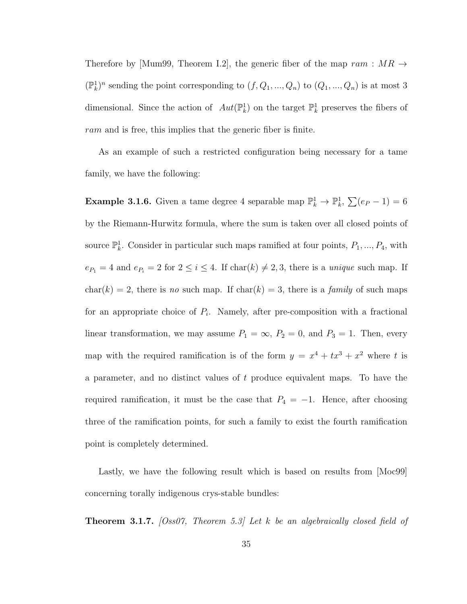Therefore by [Mum99, Theorem I.2], the generic fiber of the map  $ram : MR \rightarrow$  $(\mathbb{P}_k^1)^n$  sending the point corresponding to  $(f, Q_1, ..., Q_n)$  to  $(Q_1, ..., Q_n)$  is at most 3 dimensional. Since the action of  $Aut(\mathbb{P}_k^1)$  on the target  $\mathbb{P}_k^1$  preserves the fibers of ram and is free, this implies that the generic fiber is finite.

As an example of such a restricted configuration being necessary for a tame family, we have the following:

**Example 3.1.6.** Given a tame degree 4 separable map  $\mathbb{P}_k^1 \to \mathbb{P}_k^1$ ,  $\sum (e_P - 1) = 6$ by the Riemann-Hurwitz formula, where the sum is taken over all closed points of source  $\mathbb{P}_k^1$ . Consider in particular such maps ramified at four points,  $P_1, ..., P_4$ , with  $e_{P_1} = 4$  and  $e_{P_i} = 2$  for  $2 \le i \le 4$ . If  $char(k) \ne 2, 3$ , there is a *unique* such map. If  $char(k) = 2$ , there is no such map. If  $char(k) = 3$ , there is a *family* of such maps for an appropriate choice of  $P_i$ . Namely, after pre-composition with a fractional linear transformation, we may assume  $P_1 = \infty$ ,  $P_2 = 0$ , and  $P_3 = 1$ . Then, every map with the required ramification is of the form  $y = x^4 + tx^3 + x^2$  where t is a parameter, and no distinct values of  $t$  produce equivalent maps. To have the required ramification, it must be the case that  $P_4 = -1$ . Hence, after choosing three of the ramification points, for such a family to exist the fourth ramification point is completely determined.

Lastly, we have the following result which is based on results from [Moc99] concerning torally indigenous crys-stable bundles:

**Theorem 3.1.7.** [Oss07, Theorem 5.3] Let k be an algebraically closed field of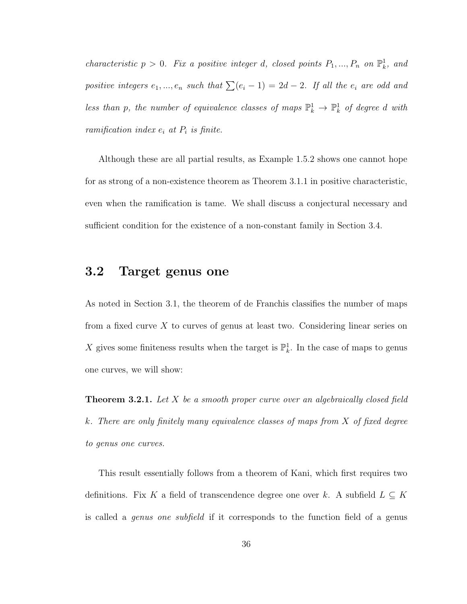characteristic  $p > 0$ . Fix a positive integer d, closed points  $P_1, ..., P_n$  on  $\mathbb{P}^1_k$ , and positive integers  $e_1, ..., e_n$  such that  $\sum(e_i - 1) = 2d - 2$ . If all the  $e_i$  are odd and less than p, the number of equivalence classes of maps  $\mathbb{P}^1_k \to \mathbb{P}^1_k$  of degree d with ramification index  $e_i$  at  $P_i$  is finite.

Although these are all partial results, as Example 1.5.2 shows one cannot hope for as strong of a non-existence theorem as Theorem 3.1.1 in positive characteristic, even when the ramification is tame. We shall discuss a conjectural necessary and sufficient condition for the existence of a non-constant family in Section 3.4.

### 3.2 Target genus one

As noted in Section 3.1, the theorem of de Franchis classifies the number of maps from a fixed curve X to curves of genus at least two. Considering linear series on X gives some finiteness results when the target is  $\mathbb{P}_k^1$ . In the case of maps to genus one curves, we will show:

**Theorem 3.2.1.** Let X be a smooth proper curve over an algebraically closed field k. There are only finitely many equivalence classes of maps from X of fixed degree to genus one curves.

This result essentially follows from a theorem of Kani, which first requires two definitions. Fix K a field of transcendence degree one over k. A subfield  $L \subseteq K$ is called a *genus one subfield* if it corresponds to the function field of a genus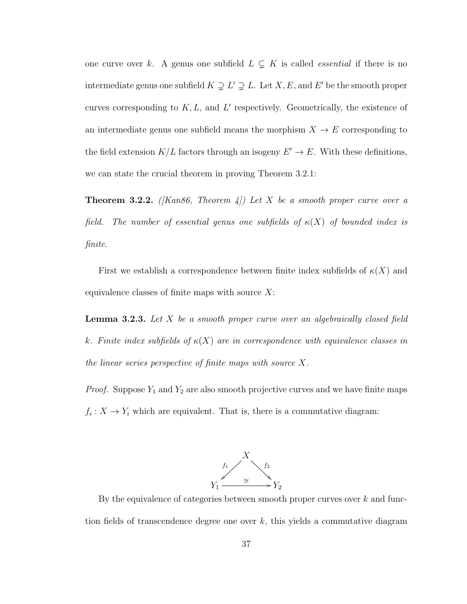one curve over k. A genus one subfield  $L \subsetneq K$  is called *essential* if there is no intermediate genus one subfield  $K \supsetneq L' \supsetneq L$ . Let  $X, E$ , and  $E'$  be the smooth proper curves corresponding to  $K, L$ , and  $L'$  respectively. Geometrically, the existence of an intermediate genus one subfield means the morphism  $X \to E$  corresponding to the field extension  $K/L$  factors through an isogeny  $E' \to E$ . With these definitions, we can state the crucial theorem in proving Theorem 3.2.1:

**Theorem 3.2.2.** ([Kan86, Theorem 4]) Let X be a smooth proper curve over a field. The number of essential genus one subfields of  $\kappa(X)$  of bounded index is finite.

First we establish a correspondence between finite index subfields of  $\kappa(X)$  and equivalence classes of finite maps with source  $X$ :

**Lemma 3.2.3.** Let  $X$  be a smooth proper curve over an algebraically closed field k. Finite index subfields of  $\kappa(X)$  are in correspondence with equivalence classes in the linear series perspective of finite maps with source X.

*Proof.* Suppose  $Y_1$  and  $Y_2$  are also smooth projective curves and we have finite maps  $f_i: X \to Y_i$  which are equivalent. That is, there is a commutative diagram:



By the equivalence of categories between smooth proper curves over  $k$  and function fields of transcendence degree one over  $k$ , this yields a commutative diagram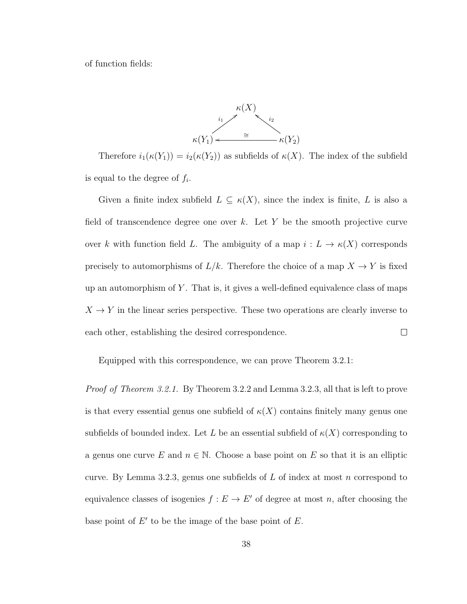of function fields:



Therefore  $i_1(\kappa(Y_1)) = i_2(\kappa(Y_2))$  as subfields of  $\kappa(X)$ . The index of the subfield is equal to the degree of  $f_i$ .

Given a finite index subfield  $L \subseteq \kappa(X)$ , since the index is finite, L is also a field of transcendence degree one over  $k$ . Let Y be the smooth projective curve over k with function field L. The ambiguity of a map  $i: L \to \kappa(X)$  corresponds precisely to automorphisms of  $L/k$ . Therefore the choice of a map  $X \to Y$  is fixed up an automorphism of  $Y$ . That is, it gives a well-defined equivalence class of maps  $X \to Y$  in the linear series perspective. These two operations are clearly inverse to each other, establishing the desired correspondence.  $\Box$ 

Equipped with this correspondence, we can prove Theorem 3.2.1:

Proof of Theorem 3.2.1. By Theorem 3.2.2 and Lemma 3.2.3, all that is left to prove is that every essential genus one subfield of  $\kappa(X)$  contains finitely many genus one subfields of bounded index. Let L be an essential subfield of  $\kappa(X)$  corresponding to a genus one curve E and  $n \in \mathbb{N}$ . Choose a base point on E so that it is an elliptic curve. By Lemma 3.2.3, genus one subfields of  $L$  of index at most  $n$  correspond to equivalence classes of isogenies  $f : E \to E'$  of degree at most n, after choosing the base point of  $E'$  to be the image of the base point of  $E$ .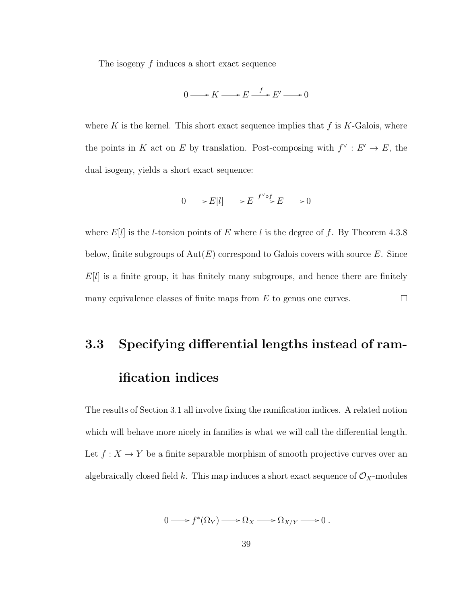The isogeny f induces a short exact sequence

$$
0 \longrightarrow K \longrightarrow E \stackrel{f}{\longrightarrow} E' \longrightarrow 0
$$

where K is the kernel. This short exact sequence implies that  $f$  is  $K$ -Galois, where the points in K act on E by translation. Post-composing with  $f^{\vee}: E' \to E$ , the dual isogeny, yields a short exact sequence:

$$
0 \longrightarrow E[l] \longrightarrow E \xrightarrow{f^{\vee} \circ f} E \longrightarrow 0
$$

where  $E[l]$  is the *l*-torsion points of E where *l* is the degree of f. By Theorem 4.3.8 below, finite subgroups of  $Aut(E)$  correspond to Galois covers with source E. Since  $E[l]$  is a finite group, it has finitely many subgroups, and hence there are finitely  $\Box$ many equivalence classes of finite maps from  $E$  to genus one curves.

# 3.3 Specifying differential lengths instead of ramification indices

The results of Section 3.1 all involve fixing the ramification indices. A related notion which will behave more nicely in families is what we will call the differential length. Let  $f: X \to Y$  be a finite separable morphism of smooth projective curves over an algebraically closed field k. This map induces a short exact sequence of  $\mathcal{O}_X$ -modules

$$
0 \longrightarrow f^*(\Omega_Y) \longrightarrow \Omega_X \longrightarrow \Omega_{X/Y} \longrightarrow 0.
$$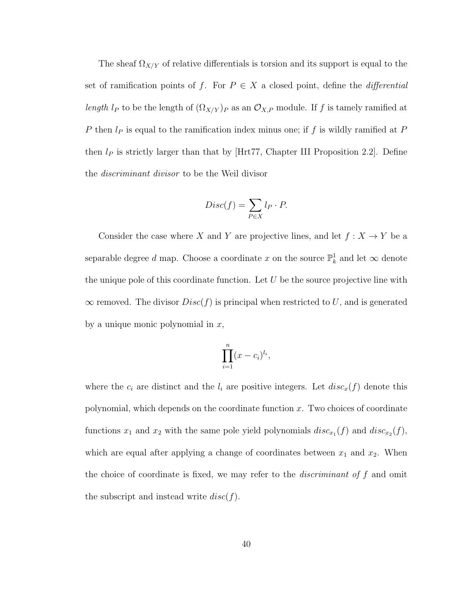The sheaf  $\Omega_{X/Y}$  of relative differentials is torsion and its support is equal to the set of ramification points of f. For  $P \in X$  a closed point, define the *differential* length  $l_P$  to be the length of  $(\Omega_{X/Y})_P$  as an  $\mathcal{O}_{X,P}$  module. If f is tamely ramified at P then  $l_P$  is equal to the ramification index minus one; if f is wildly ramified at P then  $l_P$  is strictly larger than that by [Hrt77, Chapter III Proposition 2.2]. Define the discriminant divisor to be the Weil divisor

$$
Disc(f) = \sum_{P \in X} l_P \cdot P.
$$

Consider the case where X and Y are projective lines, and let  $f: X \to Y$  be a separable degree d map. Choose a coordinate x on the source  $\mathbb{P}^1_k$  and let  $\infty$  denote the unique pole of this coordinate function. Let  $U$  be the source projective line with  $\infty$  removed. The divisor  $Disc(f)$  is principal when restricted to U, and is generated by a unique monic polynomial in  $x$ ,

$$
\prod_{i=1}^n (x-c_i)^{l_i},
$$

where the  $c_i$  are distinct and the  $l_i$  are positive integers. Let  $disc_x(f)$  denote this polynomial, which depends on the coordinate function  $x$ . Two choices of coordinate functions  $x_1$  and  $x_2$  with the same pole yield polynomials  $disc_{x_1}(f)$  and  $disc_{x_2}(f)$ , which are equal after applying a change of coordinates between  $x_1$  and  $x_2$ . When the choice of coordinate is fixed, we may refer to the *discriminant of f* and omit the subscript and instead write  $disc(f)$ .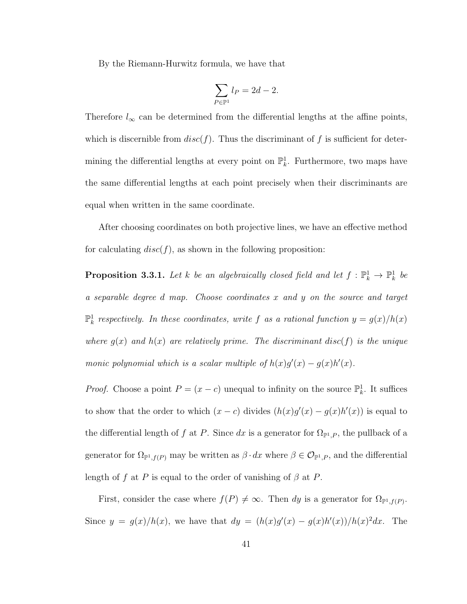By the Riemann-Hurwitz formula, we have that

$$
\sum_{P \in \mathbb{P}^1} l_P = 2d - 2.
$$

Therefore  $l_{\infty}$  can be determined from the differential lengths at the affine points, which is discernible from  $disc(f)$ . Thus the discriminant of f is sufficient for determining the differential lengths at every point on  $\mathbb{P}_k^1$ . Furthermore, two maps have the same differential lengths at each point precisely when their discriminants are equal when written in the same coordinate.

After choosing coordinates on both projective lines, we have an effective method for calculating  $disc(f)$ , as shown in the following proposition:

**Proposition 3.3.1.** Let k be an algebraically closed field and let  $f : \mathbb{P}_k^1 \to \mathbb{P}_k^1$  be a separable degree d map. Choose coordinates x and y on the source and target  $\mathbb{P}^1_k$  respectively. In these coordinates, write f as a rational function  $y = g(x)/h(x)$ where  $g(x)$  and  $h(x)$  are relatively prime. The discriminant disc(f) is the unique monic polynomial which is a scalar multiple of  $h(x)g'(x) - g(x)h'(x)$ .

*Proof.* Choose a point  $P = (x - c)$  unequal to infinity on the source  $\mathbb{P}^1_k$ . It suffices to show that the order to which  $(x - c)$  divides  $(h(x)g'(x) - g(x)h'(x))$  is equal to the differential length of f at P. Since dx is a generator for  $\Omega_{\mathbb{P}^1,P}$ , the pullback of a generator for  $\Omega_{\mathbb{P}^1,f(P)}$  may be written as  $\beta \cdot dx$  where  $\beta \in \mathcal{O}_{\mathbb{P}^1,P}$ , and the differential length of f at P is equal to the order of vanishing of  $\beta$  at P.

First, consider the case where  $f(P) \neq \infty$ . Then dy is a generator for  $\Omega_{\mathbb{P}^1,f(P)}$ . Since  $y = g(x)/h(x)$ , we have that  $dy = (h(x)g'(x) - g(x)h'(x))/h(x)^2 dx$ . The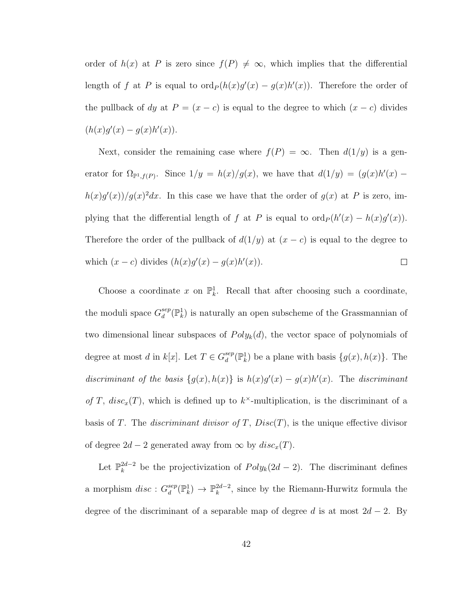order of  $h(x)$  at P is zero since  $f(P) \neq \infty$ , which implies that the differential length of f at P is equal to  $\text{ord}_P(h(x)g'(x) - g(x)h'(x))$ . Therefore the order of the pullback of dy at  $P = (x - c)$  is equal to the degree to which  $(x - c)$  divides  $(h(x)g'(x) - g(x)h'(x)).$ 

Next, consider the remaining case where  $f(P) = \infty$ . Then  $d(1/y)$  is a generator for  $\Omega_{\mathbb{P}^1,f(P)}$ . Since  $1/y = h(x)/g(x)$ , we have that  $d(1/y) = (g(x)h'(x)$  $h(x)g'(x)/g(x)^2dx$ . In this case we have that the order of  $g(x)$  at P is zero, implying that the differential length of f at P is equal to  $\text{ord}_P (h'(x) - h(x)g'(x))$ . Therefore the order of the pullback of  $d(1/y)$  at  $(x - c)$  is equal to the degree to which  $(x - c)$  divides  $(h(x)g'(x) - g(x)h'(x))$ .  $\Box$ 

Choose a coordinate x on  $\mathbb{P}_k^1$ . Recall that after choosing such a coordinate, the moduli space  $G_d^{sep}$  $_{d}^{sep}({\mathbb{P}}^1_k)$  is naturally an open subscheme of the Grassmannian of two dimensional linear subspaces of  $Poly_k(d)$ , the vector space of polynomials of degree at most d in  $k[x]$ . Let  $T \in G_d^{sep}$  $_{d}^{sep}(\mathbb{P}^{1}_{k})$  be a plane with basis  ${g(x), h(x)}$ . The discriminant of the basis  $\{g(x), h(x)\}\$ is  $h(x)g'(x) - g(x)h'(x)$ . The discriminant of T,  $disc_x(T)$ , which is defined up to  $k^{\times}$ -multiplication, is the discriminant of a basis of T. The *discriminant divisor of T*,  $Disc(T)$ , is the unique effective divisor of degree  $2d - 2$  generated away from  $\infty$  by  $disc_x(T)$ .

Let  $\mathbb{P}_k^{2d-2}$  $\frac{2d-2}{k}$  be the projectivization of  $Poly_k(2d-2)$ . The discriminant defines a morphism  $disc: G_d^{sep}$  $\mathbb{P}_d^{sep}(\mathbb{P}_k^1) \rightarrow \mathbb{P}_k^{2d-2}$  $k^{2d-2}$ , since by the Riemann-Hurwitz formula the degree of the discriminant of a separable map of degree d is at most  $2d - 2$ . By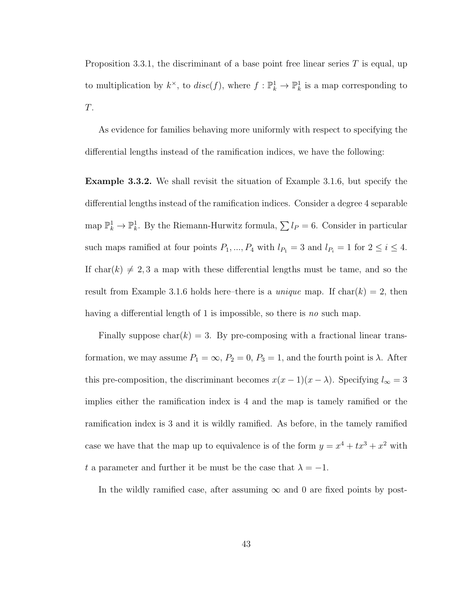Proposition 3.3.1, the discriminant of a base point free linear series  $T$  is equal, up to multiplication by  $k^{\times}$ , to  $disc(f)$ , where  $f: \mathbb{P}^1_k \to \mathbb{P}^1_k$  is a map corresponding to T.

As evidence for families behaving more uniformly with respect to specifying the differential lengths instead of the ramification indices, we have the following:

Example 3.3.2. We shall revisit the situation of Example 3.1.6, but specify the differential lengths instead of the ramification indices. Consider a degree 4 separable map  $\mathbb{P}_k^1 \to \mathbb{P}_k^1$ . By the Riemann-Hurwitz formula,  $\sum l_P = 6$ . Consider in particular such maps ramified at four points  $P_1, ..., P_4$  with  $l_{P_1} = 3$  and  $l_{P_i} = 1$  for  $2 \le i \le 4$ . If char(k)  $\neq 2, 3$  a map with these differential lengths must be tame, and so the result from Example 3.1.6 holds here–there is a *unique* map. If char( $k$ ) = 2, then having a differential length of 1 is impossible, so there is no such map.

Finally suppose  $char(k) = 3$ . By pre-composing with a fractional linear transformation, we may assume  $P_1 = \infty$ ,  $P_2 = 0$ ,  $P_3 = 1$ , and the fourth point is  $\lambda$ . After this pre-composition, the discriminant becomes  $x(x - 1)(x - \lambda)$ . Specifying  $l_{\infty} = 3$ implies either the ramification index is 4 and the map is tamely ramified or the ramification index is 3 and it is wildly ramified. As before, in the tamely ramified case we have that the map up to equivalence is of the form  $y = x^4 + tx^3 + x^2$  with t a parameter and further it be must be the case that  $\lambda = -1$ .

In the wildly ramified case, after assuming  $\infty$  and 0 are fixed points by post-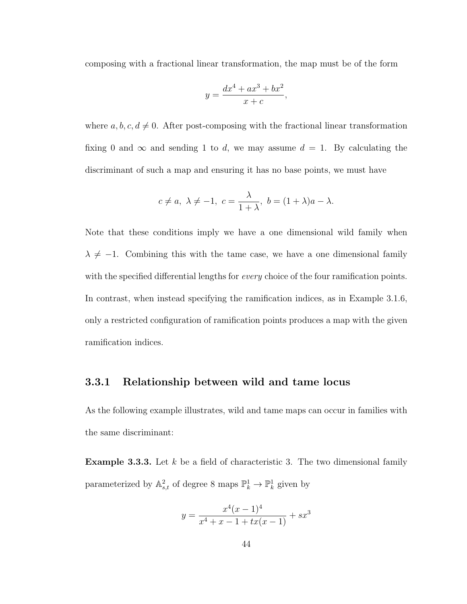composing with a fractional linear transformation, the map must be of the form

$$
y = \frac{dx^4 + ax^3 + bx^2}{x + c},
$$

where  $a, b, c, d \neq 0$ . After post-composing with the fractional linear transformation fixing 0 and  $\infty$  and sending 1 to d, we may assume  $d = 1$ . By calculating the discriminant of such a map and ensuring it has no base points, we must have

$$
c \neq a, \lambda \neq -1, c = \frac{\lambda}{1+\lambda}, b = (1+\lambda)a - \lambda.
$$

Note that these conditions imply we have a one dimensional wild family when  $\lambda \neq -1$ . Combining this with the tame case, we have a one dimensional family with the specified differential lengths for *every* choice of the four ramification points. In contrast, when instead specifying the ramification indices, as in Example 3.1.6, only a restricted configuration of ramification points produces a map with the given ramification indices.

### 3.3.1 Relationship between wild and tame locus

As the following example illustrates, wild and tame maps can occur in families with the same discriminant:

**Example 3.3.3.** Let  $k$  be a field of characteristic 3. The two dimensional family parameterized by  $\mathbb{A}^2_{s,t}$  of degree 8 maps  $\mathbb{P}^1_k \to \mathbb{P}^1_k$  given by

$$
y = \frac{x^4(x-1)^4}{x^4 + x - 1 + tx(x-1)} + sx^3
$$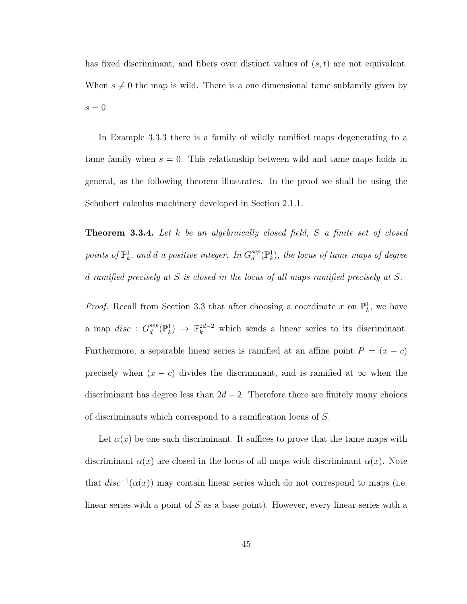has fixed discriminant, and fibers over distinct values of  $(s, t)$  are not equivalent. When  $s \neq 0$  the map is wild. There is a one dimensional tame subfamily given by  $s = 0$ .

In Example 3.3.3 there is a family of wildly ramified maps degenerating to a tame family when  $s = 0$ . This relationship between wild and tame maps holds in general, as the following theorem illustrates. In the proof we shall be using the Schubert calculus machinery developed in Section 2.1.1.

**Theorem 3.3.4.** Let k be an algebraically closed field, S a finite set of closed points of  $\mathbb{P}^1_k$ , and d a positive integer. In  $G_d^{sep}$  $_{d}^{sep}(\mathbb{P}^{1}_{k}),$  the locus of tame maps of degree d ramified precisely at S is closed in the locus of all maps ramified precisely at S.

*Proof.* Recall from Section 3.3 that after choosing a coordinate x on  $\mathbb{P}_k^1$ , we have a map  $disc: G_d^{sep}$  $\mathcal{L}_d^{sep}(\mathbb{P}_k^1) \to \mathbb{P}_k^{2d-2}$  which sends a linear series to its discriminant. Furthermore, a separable linear series is ramified at an affine point  $P = (x - c)$ precisely when  $(x - c)$  divides the discriminant, and is ramified at  $\infty$  when the discriminant has degree less than  $2d - 2$ . Therefore there are finitely many choices of discriminants which correspond to a ramification locus of S.

Let  $\alpha(x)$  be one such discriminant. It suffices to prove that the tame maps with discriminant  $\alpha(x)$  are closed in the locus of all maps with discriminant  $\alpha(x)$ . Note that  $disc^{-1}(\alpha(x))$  may contain linear series which do not correspond to maps (i.e. linear series with a point of  $S$  as a base point). However, every linear series with a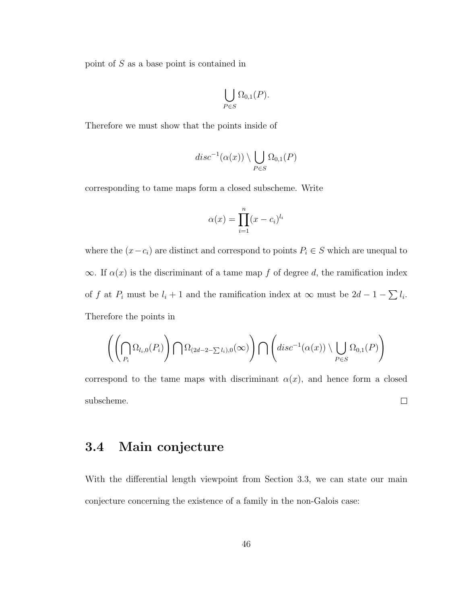point of S as a base point is contained in

$$
\bigcup_{P \in S} \Omega_{0,1}(P).
$$

Therefore we must show that the points inside of

$$
disc^{-1}(\alpha(x)) \setminus \bigcup_{P \in S} \Omega_{0,1}(P)
$$

corresponding to tame maps form a closed subscheme. Write

$$
\alpha(x) = \prod_{i=1}^{n} (x - c_i)^{l_i}
$$

where the  $(x-c_i)$  are distinct and correspond to points  $P_i \in S$  which are unequal to  $\infty$ . If  $\alpha(x)$  is the discriminant of a tame map f of degree d, the ramification index of f at  $P_i$  must be  $l_i + 1$  and the ramification index at  $\infty$  must be  $2d - 1 - \sum l_i$ . Therefore the points in

$$
\left(\left(\bigcap_{P_i} \Omega_{l_i,0}(P_i)\right) \bigcap \Omega_{(2d-2-\sum l_i),0}(\infty)\right) \bigcap \left(disc^{-1}(\alpha(x)) \setminus \bigcup_{P \in S} \Omega_{0,1}(P)\right)
$$

correspond to the tame maps with discriminant  $\alpha(x)$ , and hence form a closed subscheme.  $\Box$ 

## 3.4 Main conjecture

With the differential length viewpoint from Section 3.3, we can state our main conjecture concerning the existence of a family in the non-Galois case: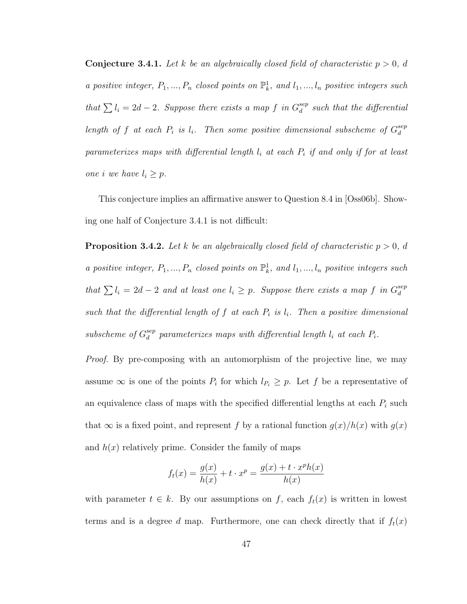**Conjecture 3.4.1.** Let k be an algebraically closed field of characteristic  $p > 0$ , d a positive integer,  $P_1, ..., P_n$  closed points on  $\mathbb{P}^1_k$ , and  $l_1, ..., l_n$  positive integers such that  $\sum l_i = 2d - 2$ . Suppose there exists a map f in  $G_d^{sep}$  $a_d^{sep}$  such that the differential length of f at each  $P_i$  is  $l_i$ . Then some positive dimensional subscheme of  $G_d^{sep}$ d parameterizes maps with differential length  $l_i$  at each  $P_i$  if and only if for at least one i we have  $l_i \geq p$ .

This conjecture implies an affirmative answer to Question 8.4 in [Oss06b]. Showing one half of Conjecture 3.4.1 is not difficult:

**Proposition 3.4.2.** Let k be an algebraically closed field of characteristic  $p > 0$ , d a positive integer,  $P_1, ..., P_n$  closed points on  $\mathbb{P}^1_k$ , and  $l_1, ..., l_n$  positive integers such that  $\sum l_i = 2d - 2$  and at least one  $l_i \geq p$ . Suppose there exists a map f in  $G_d^{sep}$ d such that the differential length of  $f$  at each  $P_i$  is  $l_i$ . Then a positive dimensional subscheme of  $G_d^{sep}$  $\mathcal{E}_d^{sep}$  parameterizes maps with differential length  $l_i$  at each  $P_i.$ 

Proof. By pre-composing with an automorphism of the projective line, we may assume  $\infty$  is one of the points  $P_i$  for which  $l_{P_i} \geq p$ . Let f be a representative of an equivalence class of maps with the specified differential lengths at each  $P_i$  such that  $\infty$  is a fixed point, and represent f by a rational function  $g(x)/h(x)$  with  $g(x)$ and  $h(x)$  relatively prime. Consider the family of maps

$$
f_t(x) = \frac{g(x)}{h(x)} + t \cdot x^p = \frac{g(x) + t \cdot x^p h(x)}{h(x)}
$$

with parameter  $t \in k$ . By our assumptions on f, each  $f_t(x)$  is written in lowest terms and is a degree d map. Furthermore, one can check directly that if  $f_t(x)$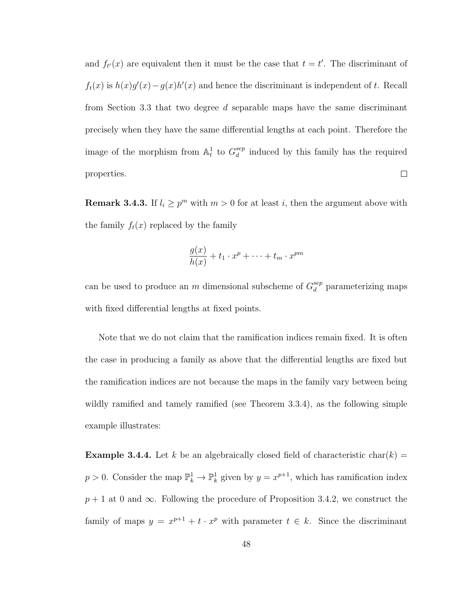and  $f_{t'}(x)$  are equivalent then it must be the case that  $t = t'$ . The discriminant of  $f_t(x)$  is  $h(x)g'(x) - g(x)h'(x)$  and hence the discriminant is independent of t. Recall from Section 3.3 that two degree  $d$  separable maps have the same discriminant precisely when they have the same differential lengths at each point. Therefore the image of the morphism from  $\mathbb{A}^1_t$  to  $G_d^{sep}$  $\frac{sep}{d}$  induced by this family has the required properties.  $\Box$ 

**Remark 3.4.3.** If  $l_i \geq p^m$  with  $m > 0$  for at least i, then the argument above with the family  $f_t(x)$  replaced by the family

$$
\frac{g(x)}{h(x)} + t_1 \cdot x^p + \dots + t_m \cdot x^{pm}
$$

can be used to produce an m dimensional subscheme of  $G_d^{sep}$  $a_d^{sep}$  parameterizing maps with fixed differential lengths at fixed points.

Note that we do not claim that the ramification indices remain fixed. It is often the case in producing a family as above that the differential lengths are fixed but the ramification indices are not because the maps in the family vary between being wildly ramified and tamely ramified (see Theorem 3.3.4), as the following simple example illustrates:

**Example 3.4.4.** Let k be an algebraically closed field of characteristic char(k) =  $p > 0$ . Consider the map  $\mathbb{P}_k^1 \to \mathbb{P}_k^1$  given by  $y = x^{p+1}$ , which has ramification index  $p + 1$  at 0 and  $\infty$ . Following the procedure of Proposition 3.4.2, we construct the family of maps  $y = x^{p+1} + t \cdot x^p$  with parameter  $t \in k$ . Since the discriminant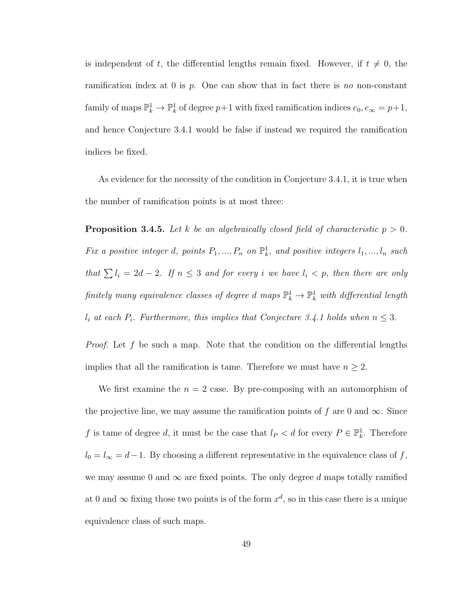is independent of t, the differential lengths remain fixed. However, if  $t \neq 0$ , the ramification index at 0 is p. One can show that in fact there is no non-constant family of maps  $\mathbb{P}_k^1 \to \mathbb{P}_k^1$  of degree  $p+1$  with fixed ramification indices  $e_0, e_\infty = p+1$ , and hence Conjecture 3.4.1 would be false if instead we required the ramification indices be fixed.

As evidence for the necessity of the condition in Conjecture 3.4.1, it is true when the number of ramification points is at most three:

**Proposition 3.4.5.** Let k be an algebraically closed field of characteristic  $p > 0$ . Fix a positive integer d, points  $P_1, ..., P_n$  on  $\mathbb{P}^1_k$ , and positive integers  $l_1, ..., l_n$  such that  $\sum l_i = 2d - 2$ . If  $n \leq 3$  and for every i we have  $l_i < p$ , then there are only finitely many equivalence classes of degree  $d$  maps  $\mathbb{P}^1_k \to \mathbb{P}^1_k$  with differential length  $l_i$  at each  $P_i$ . Furthermore, this implies that Conjecture 3.4.1 holds when  $n \leq 3$ .

*Proof.* Let f be such a map. Note that the condition on the differential lengths implies that all the ramification is tame. Therefore we must have  $n \geq 2$ .

We first examine the  $n = 2$  case. By pre-composing with an automorphism of the projective line, we may assume the ramification points of f are 0 and  $\infty$ . Since f is tame of degree d, it must be the case that  $l_P < d$  for every  $P \in \mathbb{P}^1_k$ . Therefore  $l_0 = l_\infty = d-1$ . By choosing a different representative in the equivalence class of f, we may assume 0 and  $\infty$  are fixed points. The only degree d maps totally ramified at 0 and  $\infty$  fixing those two points is of the form  $x^d$ , so in this case there is a unique equivalence class of such maps.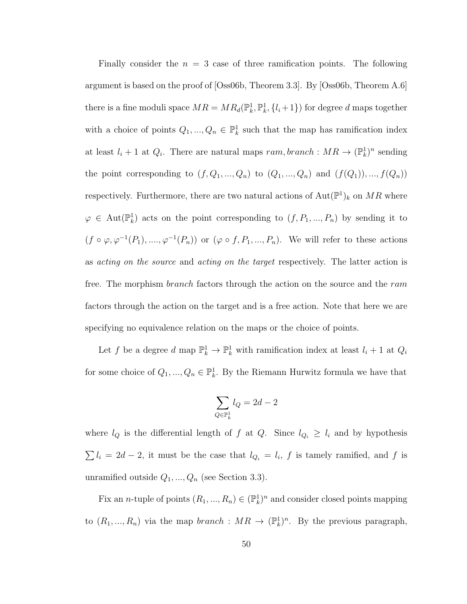Finally consider the  $n = 3$  case of three ramification points. The following argument is based on the proof of [Oss06b, Theorem 3.3]. By [Oss06b, Theorem A.6] there is a fine moduli space  $MR = MR_d(\mathbb{P}_k^1, \mathbb{P}_k^1, \{l_i+1\})$  for degree d maps together with a choice of points  $Q_1, ..., Q_n \in \mathbb{P}^1_k$  such that the map has ramification index at least  $l_i + 1$  at  $Q_i$ . There are natural maps  $ram, branch : MR \rightarrow (\mathbb{P}_k^1)^n$  sending the point corresponding to  $(f, Q_1, ..., Q_n)$  to  $(Q_1, ..., Q_n)$  and  $(f(Q_1)), ..., f(Q_n)$ respectively. Furthermore, there are two natural actions of  $\text{Aut}(\mathbb{P}^1)_k$  on  $MR$  where  $\varphi \in \text{Aut}(\mathbb{P}^1_k)$  acts on the point corresponding to  $(f, P_1, ..., P_n)$  by sending it to  $(f \circ \varphi, \varphi^{-1}(P_1), \ldots, \varphi^{-1}(P_n))$  or  $(\varphi \circ f, P_1, \ldots, P_n)$ . We will refer to these actions as acting on the source and acting on the target respectively. The latter action is free. The morphism *branch* factors through the action on the source and the ram factors through the action on the target and is a free action. Note that here we are specifying no equivalence relation on the maps or the choice of points.

Let f be a degree  $d$  map  $\mathbb{P}_k^1 \to \mathbb{P}_k^1$  with ramification index at least  $l_i + 1$  at  $Q_i$ for some choice of  $Q_1, ..., Q_n \in \mathbb{P}^1_k$ . By the Riemann Hurwitz formula we have that

$$
\sum_{Q \in \mathbb{P}^1_k} l_Q = 2d - 2
$$

where  $l_Q$  is the differential length of f at Q. Since  $l_{Q_i} \geq l_i$  and by hypothesis  $\sum l_i = 2d - 2$ , it must be the case that  $l_{Q_i} = l_i$ , f is tamely ramified, and f is unramified outside  $Q_1, ..., Q_n$  (see Section 3.3).

Fix an *n*-tuple of points  $(R_1, ..., R_n) \in (\mathbb{P}_k^1)^n$  and consider closed points mapping to  $(R_1, ..., R_n)$  via the map *branch* :  $MR \to (\mathbb{P}_k^1)^n$ . By the previous paragraph,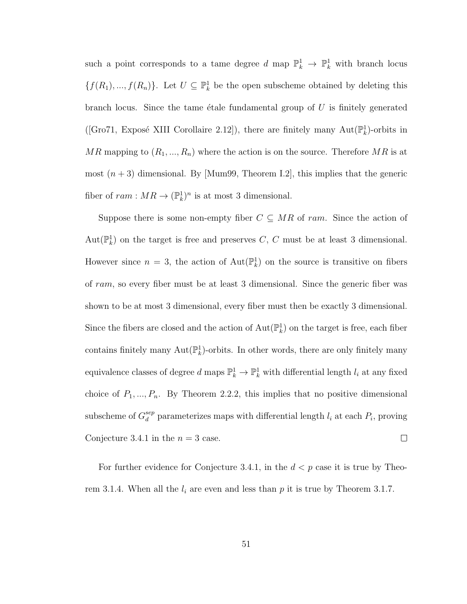such a point corresponds to a tame degree d map  $\mathbb{P}_k^1 \to \mathbb{P}_k^1$  with branch locus  $\{f(R_1),..., f(R_n)\}\$ . Let  $U \subseteq \mathbb{P}_k^1$  be the open subscheme obtained by deleting this branch locus. Since the tame etale fundamental group of  $U$  is finitely generated ([Gro71, Exposé XIII Corollaire 2.12]), there are finitely many  $\text{Aut}(\mathbb{P}_k^1)$ -orbits in MR mapping to  $(R_1, ..., R_n)$  where the action is on the source. Therefore MR is at most  $(n+3)$  dimensional. By [Mum99, Theorem I.2], this implies that the generic fiber of  $ram : MR \to (\mathbb{P}_k^1)^n$  is at most 3 dimensional.

Suppose there is some non-empty fiber  $C \subseteq MR$  of ram. Since the action of Aut $(\mathbb{P}_k^1)$  on the target is free and preserves C, C must be at least 3 dimensional. However since  $n = 3$ , the action of  $Aut(\mathbb{P}_k^1)$  on the source is transitive on fibers of ram, so every fiber must be at least 3 dimensional. Since the generic fiber was shown to be at most 3 dimensional, every fiber must then be exactly 3 dimensional. Since the fibers are closed and the action of  $\text{Aut}(\mathbb{P}^1_k)$  on the target is free, each fiber contains finitely many  $\text{Aut}(\mathbb{P}_k^1)$ -orbits. In other words, there are only finitely many equivalence classes of degree  $d$  maps  $\mathbb{P}^1_k \to \mathbb{P}^1_k$  with differential length  $l_i$  at any fixed choice of  $P_1, ..., P_n$ . By Theorem 2.2.2, this implies that no positive dimensional subscheme of  $G_d^{sep}$  $\frac{sep}{d}$  parameterizes maps with differential length  $l_i$  at each  $P_i$ , proving Conjecture 3.4.1 in the  $n = 3$  case.  $\Box$ 

For further evidence for Conjecture 3.4.1, in the  $d < p$  case it is true by Theorem 3.1.4. When all the  $l_i$  are even and less than p it is true by Theorem 3.1.7.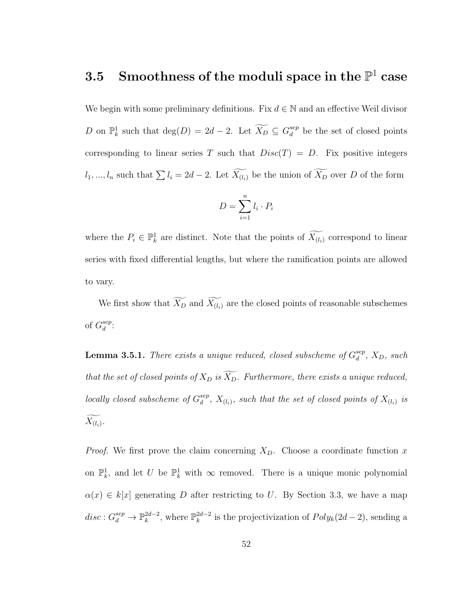# $3.5$  Smoothness of the moduli space in the  $\mathbb{P}^1$  case

We begin with some preliminary definitions. Fix  $d \in \mathbb{N}$  and an effective Weil divisor D on  $\mathbb{P}_k^1$  such that  $\deg(D) = 2d - 2$ . Let  $\widetilde{X_D} \subseteq G_d^{sep}$  $\frac{sep}{d}$  be the set of closed points corresponding to linear series T such that  $Disc(T) = D$ . Fix positive integers  $l_1, ..., l_n$  such that  $\sum l_i = 2d - 2$ . Let  $\widetilde{X_{(l_i)}}$  be the union of  $\widetilde{X_D}$  over D of the form

$$
D = \sum_{i=1}^{n} l_i \cdot P_i
$$

where the  $P_i \in \mathbb{P}^1_k$  are distinct. Note that the points of  $\widetilde{X_{(l_i)}}$  correspond to linear series with fixed differential lengths, but where the ramification points are allowed to vary.

We first show that  $\widetilde{X_D}$  and  $\widetilde{X_{(l_i)}}$  are the closed points of reasonable subschemes of  $G_d^{sep}$  $_{d}^{sep}.$ 

**Lemma 3.5.1.** There exists a unique reduced, closed subscheme of  $G_d^{sep}$  $_{d}^{sep}$ ,  $X_D$ , such that the set of closed points of  $X_D$  is  $\widetilde{X_D}$ . Furthermore, there exists a unique reduced, locally closed subscheme of  $G_d^{sep}$  $\mathcal{E}_{d}^{sep},\ X_{(l_{i})},\ \textit{such that the set of closed points of}\ X_{(l_{i})}\ \textit{is}$  $X_{(l_i)}$ .

*Proof.* We first prove the claim concerning  $X_D$ . Choose a coordinate function x on  $\mathbb{P}_k^1$ , and let U be  $\mathbb{P}_k^1$  with  $\infty$  removed. There is a unique monic polynomial  $\alpha(x) \in k[x]$  generating D after restricting to U. By Section 3.3, we have a map  $disc: G_d^{sep} \to \mathbb{P}_k^{2d-2}$  $_k^{2d-2}$ , where  $\mathbb{P}_k^{2d-2}$  $k^{2d-2}$  is the projectivization of  $Poly_k(2d-2)$ , sending a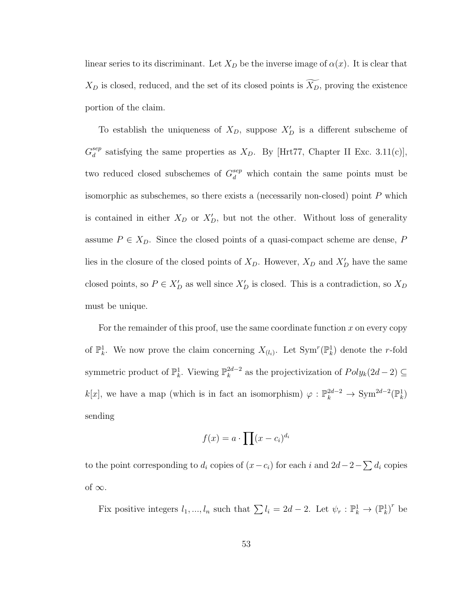linear series to its discriminant. Let  $X_D$  be the inverse image of  $\alpha(x)$ . It is clear that  $X_D$  is closed, reduced, and the set of its closed points is  $\widetilde{X_D}$ , proving the existence portion of the claim.

To establish the uniqueness of  $X_D$ , suppose  $X_D'$  is a different subscheme of  $G_d^{sep}$  $\frac{sep}{d}$  satisfying the same properties as  $X_D$ . By [Hrt77, Chapter II Exc. 3.11(c)], two reduced closed subschemes of  $G_d^{sep}$  which contain the same points must be isomorphic as subschemes, so there exists a (necessarily non-closed) point  $P$  which is contained in either  $X_D$  or  $X_D'$ , but not the other. Without loss of generality assume  $P \in X_D$ . Since the closed points of a quasi-compact scheme are dense, P lies in the closure of the closed points of  $X_D$ . However,  $X_D$  and  $X'_D$  have the same closed points, so  $P \in X_D'$  as well since  $X_D'$  is closed. This is a contradiction, so  $X_D$ must be unique.

For the remainder of this proof, use the same coordinate function  $x$  on every copy of  $\mathbb{P}_k^1$ . We now prove the claim concerning  $X_{(l_i)}$ . Let  $\text{Sym}^r(\mathbb{P}_k^1)$  denote the r-fold symmetric product of  $\mathbb{P}_k^1$ . Viewing  $\mathbb{P}_k^{2d-2}$  $k^{2d-2}$  as the projectivization of  $Poly_k(2d-2) \subseteq$  $k[x]$ , we have a map (which is in fact an isomorphism)  $\varphi : \mathbb{P}_k^{2d-2} \to \text{Sym}^{2d-2}(\mathbb{P}_k^1)$ sending

$$
f(x) = a \cdot \prod (x - c_i)^{d_i}
$$

to the point corresponding to  $d_i$  copies of  $(x - c_i)$  for each i and  $2d-2-\sum d_i$  copies of  $\infty$ .

Fix positive integers  $l_1, ..., l_n$  such that  $\sum l_i = 2d - 2$ . Let  $\psi_r : \mathbb{P}_k^1 \to (\mathbb{P}_k^1)^r$  be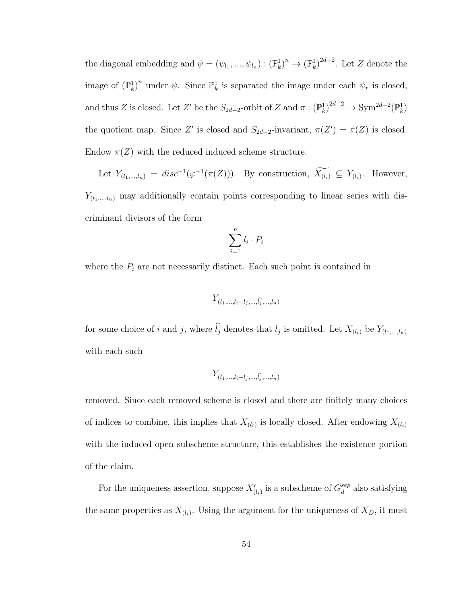the diagonal embedding and  $\psi = (\psi_{l_1}, ..., \psi_{l_n}) : (\mathbb{P}_k^1)^n \to (\mathbb{P}_k^1)^{2d-2}$ . Let Z denote the image of  $(\mathbb{P}_k^1)^n$  under  $\psi$ . Since  $\mathbb{P}_k^1$  is separated the image under each  $\psi_r$  is closed, and thus Z is closed. Let Z' be the  $S_{2d-2}$ -orbit of Z and  $\pi: (\mathbb{P}^1_k)^{2d-2} \to \text{Sym}^{2d-2}(\mathbb{P}^1_k)$ the quotient map. Since Z' is closed and  $S_{2d-2}$ -invariant,  $\pi(Z') = \pi(Z)$  is closed. Endow  $\pi(Z)$  with the reduced induced scheme structure.

Let  $Y_{(l_1,\ldots,l_n)} = disc^{-1}(\varphi^{-1}(\pi(Z))).$  By construction,  $X_{(l_i)} \subseteq Y_{(l_i)}$ . However,  $Y_{(l_1,\ldots,l_n)}$  may additionally contain points corresponding to linear series with discriminant divisors of the form

$$
\sum_{i=1}^{n} l_i \cdot P_i
$$

where the  $P_i$  are not necessarily distinct. Each such point is contained in

$$
Y_{(l_1,\ldots,l_i+l_j,\ldots,\widehat{l_j},\ldots,l_n)}
$$

for some choice of i and j, where  $l_j$  denotes that  $l_j$  is omitted. Let  $X_{(l_i)}$  be  $Y_{(l_1,\ldots,l_n)}$ with each such

$$
Y_{(l_1,\ldots,l_i+l_j,\ldots,\widehat{l_j},\ldots,l_n)}
$$

removed. Since each removed scheme is closed and there are finitely many choices of indices to combine, this implies that  $X_{(l_i)}$  is locally closed. After endowing  $X_{(l_i)}$ with the induced open subscheme structure, this establishes the existence portion of the claim.

For the uniqueness assertion, suppose  $X'_{(l_i)}$  is a subscheme of  $G_d^{sep}$  $a_d^{sep}$  also satisfying the same properties as  $X_{(l_i)}$ . Using the argument for the uniqueness of  $X_D$ , it must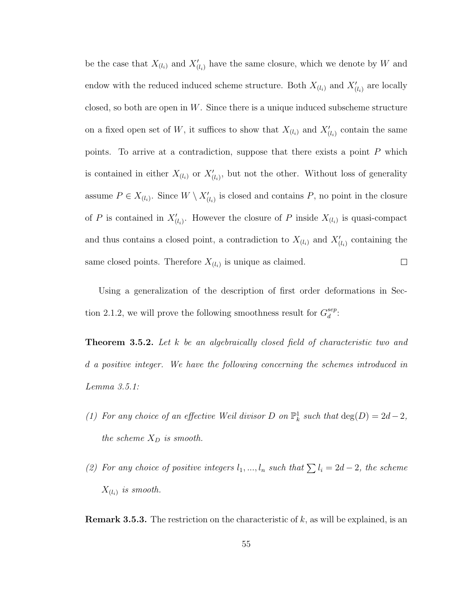be the case that  $X_{(l_i)}$  and  $X'_{(l_i)}$  have the same closure, which we denote by W and endow with the reduced induced scheme structure. Both  $X_{(l_i)}$  and  $X'_{(l_i)}$  are locally closed, so both are open in  $W$ . Since there is a unique induced subscheme structure on a fixed open set of W, it suffices to show that  $X_{(l_i)}$  and  $X'_{(l_i)}$  contain the same points. To arrive at a contradiction, suppose that there exists a point  $P$  which is contained in either  $X_{(l_i)}$  or  $X'_{(l_i)}$ , but not the other. Without loss of generality assume  $P \in X_{(l_i)}$ . Since  $W \setminus X'_{(l_i)}$  is closed and contains P, no point in the closure of P is contained in  $X'_{(l_i)}$ . However the closure of P inside  $X_{(l_i)}$  is quasi-compact and thus contains a closed point, a contradiction to  $X_{(l_i)}$  and  $X'_{(l_i)}$  containing the same closed points. Therefore  $X_{(l_i)}$  is unique as claimed.  $\Box$ 

Using a generalization of the description of first order deformations in Section 2.1.2, we will prove the following smoothness result for  $G_d^{sep}$  $_{d}^{sep}.$ 

**Theorem 3.5.2.** Let k be an algebraically closed field of characteristic two and d a positive integer. We have the following concerning the schemes introduced in Lemma 3.5.1:

- (1) For any choice of an effective Weil divisor D on  $\mathbb{P}^1_k$  such that  $\deg(D) = 2d 2$ , the scheme  $X_D$  is smooth.
- (2) For any choice of positive integers  $l_1, ..., l_n$  such that  $\sum l_i = 2d 2$ , the scheme  $X_{(l_i)}$  is smooth.

**Remark 3.5.3.** The restriction on the characteristic of  $k$ , as will be explained, is an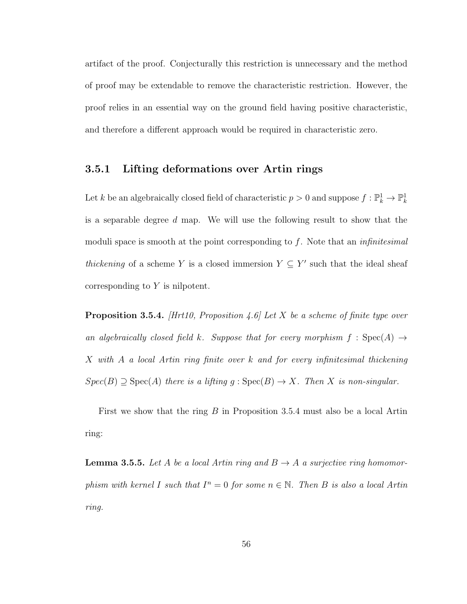artifact of the proof. Conjecturally this restriction is unnecessary and the method of proof may be extendable to remove the characteristic restriction. However, the proof relies in an essential way on the ground field having positive characteristic, and therefore a different approach would be required in characteristic zero.

### 3.5.1 Lifting deformations over Artin rings

Let k be an algebraically closed field of characteristic  $p > 0$  and suppose  $f: \mathbb{P}_k^1 \to \mathbb{P}_k^1$ is a separable degree d map. We will use the following result to show that the moduli space is smooth at the point corresponding to  $f$ . Note that an *infinitesimal* thickening of a scheme Y is a closed immersion  $Y \subseteq Y'$  such that the ideal sheaf corresponding to Y is nilpotent.

**Proposition 3.5.4.** [Hrt10, Proposition 4.6] Let X be a scheme of finite type over an algebraically closed field k. Suppose that for every morphism  $f : Spec(A) \rightarrow$ X with A a local Artin ring finite over k and for every infinitesimal thickening  $Spec(B) \supseteq Spec(A)$  there is a lifting  $g : Spec(B) \rightarrow X$ . Then X is non-singular.

First we show that the ring B in Proposition 3.5.4 must also be a local Artin ring:

**Lemma 3.5.5.** Let A be a local Artin ring and  $B \to A$  a surjective ring homomorphism with kernel I such that  $I^n = 0$  for some  $n \in \mathbb{N}$ . Then B is also a local Artin ring.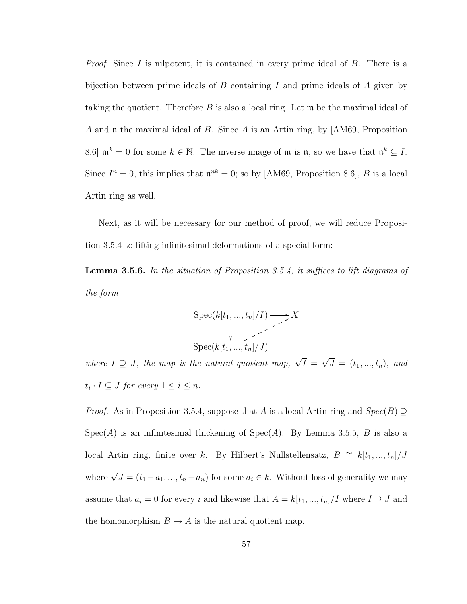*Proof.* Since I is nilpotent, it is contained in every prime ideal of  $B$ . There is a bijection between prime ideals of B containing I and prime ideals of A given by taking the quotient. Therefore  $B$  is also a local ring. Let  $\mathfrak{m}$  be the maximal ideal of A and  $\mathfrak n$  the maximal ideal of B. Since A is an Artin ring, by [AM69, Proposition 8.6 |  $\mathfrak{m}^k = 0$  for some  $k \in \mathbb{N}$ . The inverse image of  $\mathfrak{m}$  is  $\mathfrak{n}$ , so we have that  $\mathfrak{n}^k \subseteq I$ . Since  $I^n = 0$ , this implies that  $\mathfrak{n}^{nk} = 0$ ; so by [AM69, Proposition 8.6], B is a local Artin ring as well.  $\Box$ 

Next, as it will be necessary for our method of proof, we will reduce Proposition 3.5.4 to lifting infinitesimal deformations of a special form:

Lemma 3.5.6. In the situation of Proposition 3.5.4, it suffices to lift diagrams of the form

$$
\operatorname{Spec}(k[t_1, ..., t_n]/I) \longrightarrow X
$$
  
 
$$
\downarrow \qquad \qquad \searrow X
$$
  
 
$$
\operatorname{Spec}(k[t_1, ..., t_n]/J)
$$

where  $I \supseteq J$ , the map is the natural quotient map,  $\sqrt{I} =$ √  $J = (t_1, ..., t_n),$  and  $t_i \cdot I \subseteq J$  for every  $1 \leq i \leq n$ .

*Proof.* As in Proposition 3.5.4, suppose that A is a local Artin ring and  $Spec(B) \supseteq$  $Spec(A)$  is an infinitesimal thickening of  $Spec(A)$ . By Lemma 3.5.5, B is also a local Artin ring, finite over k. By Hilbert's Nullstellensatz,  $B \cong k[t_1, ..., t_n]/J$ where  $\sqrt{J} = (t_1 - a_1, ..., t_n - a_n)$  for some  $a_i \in k$ . Without loss of generality we may assume that  $a_i = 0$  for every i and likewise that  $A = k[t_1, ..., t_n]/I$  where  $I \supseteq J$  and the homomorphism  $B \to A$  is the natural quotient map.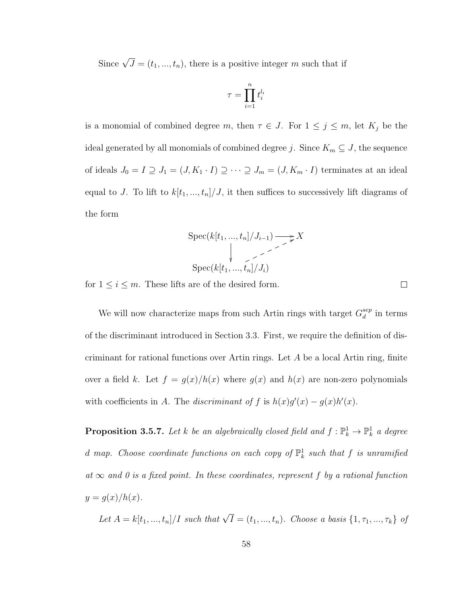Since  $\sqrt{J} = (t_1, ..., t_n)$ , there is a positive integer m such that if

$$
\tau = \prod_{i=1}^n t_i^{l_i}
$$

is a monomial of combined degree m, then  $\tau \in J$ . For  $1 \leq j \leq m$ , let  $K_j$  be the ideal generated by all monomials of combined degree j. Since  $K_m \subseteq J$ , the sequence of ideals  $J_0 = I \supseteq J_1 = (J, K_1 \cdot I) \supseteq \cdots \supseteq J_m = (J, K_m \cdot I)$  terminates at an ideal equal to J. To lift to  $k[t_1, ..., t_n]/J$ , it then suffices to successively lift diagrams of the form

$$
\operatorname{Spec}(k[t_1, ..., t_n]/J_{i-1}) \longrightarrow X
$$
  
 
$$
\downarrow \qquad \qquad \searrow \qquad X
$$
  
 
$$
\operatorname{Spec}(k[t_1, ..., t_n]/J_i)
$$

for  $1\leq i\leq m.$  These lifts are of the desired form.

 $\Box$ 

We will now characterize maps from such Artin rings with target  $G_d^{sep}$  $\frac{sep}{d}$  in terms of the discriminant introduced in Section 3.3. First, we require the definition of discriminant for rational functions over Artin rings. Let A be a local Artin ring, finite over a field k. Let  $f = g(x)/h(x)$  where  $g(x)$  and  $h(x)$  are non-zero polynomials with coefficients in A. The discriminant of f is  $h(x)g'(x) - g(x)h'(x)$ .

**Proposition 3.5.7.** Let k be an algebraically closed field and  $f: \mathbb{P}_k^1 \to \mathbb{P}_k^1$  a degree d map. Choose coordinate functions on each copy of  $\mathbb{P}^1_k$  such that f is unramified at  $\infty$  and 0 is a fixed point. In these coordinates, represent f by a rational function  $y = g(x)/h(x)$ .

Let  $A = k[t_1, ..., t_n] / I$  such that  $\sqrt{I} = (t_1, ..., t_n)$ . Choose a basis  $\{1, \tau_1, ..., \tau_k\}$  of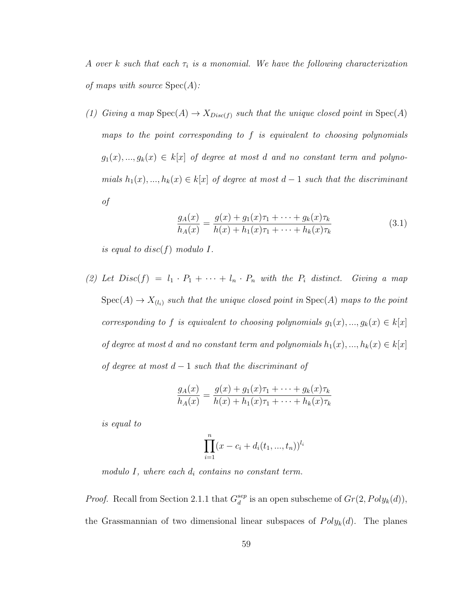A over k such that each  $\tau_i$  is a monomial. We have the following characterization of maps with source  $Spec(A)$ :

(1) Giving a map  $Spec(A) \to X_{Disc(f)}$  such that the unique closed point in  $Spec(A)$ maps to the point corresponding to  $f$  is equivalent to choosing polynomials  $g_1(x),..., g_k(x) \in k[x]$  of degree at most d and no constant term and polynomials  $h_1(x),..., h_k(x) \in k[x]$  of degree at most  $d-1$  such that the discriminant of

$$
\frac{g_A(x)}{h_A(x)} = \frac{g(x) + g_1(x)\tau_1 + \dots + g_k(x)\tau_k}{h(x) + h_1(x)\tau_1 + \dots + h_k(x)\tau_k}
$$
(3.1)

is equal to disc(f) modulo  $I$ .

(2) Let  $Disc(f) = l_1 \cdot P_1 + \cdots + l_n \cdot P_n$  with the  $P_i$  distinct. Giving a map  $Spec(A) \to X_{(l_i)}$  such that the unique closed point in  $Spec(A)$  maps to the point corresponding to f is equivalent to choosing polynomials  $g_1(x),..., g_k(x) \in k[x]$ of degree at most d and no constant term and polynomials  $h_1(x),..., h_k(x) \in k[x]$ of degree at most  $d-1$  such that the discriminant of

$$
\frac{g_A(x)}{h_A(x)} = \frac{g(x) + g_1(x)\tau_1 + \dots + g_k(x)\tau_k}{h(x) + h_1(x)\tau_1 + \dots + h_k(x)\tau_k}
$$

is equal to

$$
\prod_{i=1}^{n} (x - c_i + d_i(t_1, ..., t_n))^{l_i}
$$

modulo I, where each  $d_i$  contains no constant term.

*Proof.* Recall from Section 2.1.1 that  $G_d^{sep}$  $_{d}^{sep}$  is an open subscheme of  $Gr(2, Poly<sub>k</sub>(d)),$ the Grassmannian of two dimensional linear subspaces of  $Poly_k(d)$ . The planes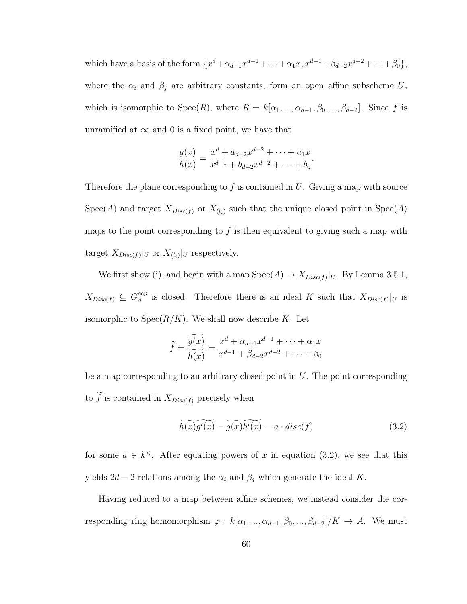which have a basis of the form  $\{x^d + \alpha_{d-1}x^{d-1} + \cdots + \alpha_1x, x^{d-1} + \beta_{d-2}x^{d-2} + \cdots + \beta_0\},\$ where the  $\alpha_i$  and  $\beta_j$  are arbitrary constants, form an open affine subscheme U, which is isomorphic to  $Spec(R)$ , where  $R = k[\alpha_1, ..., \alpha_{d-1}, \beta_0, ..., \beta_{d-2}]$ . Since f is unramified at  $\infty$  and 0 is a fixed point, we have that

$$
\frac{g(x)}{h(x)} = \frac{x^d + a_{d-2}x^{d-2} + \dots + a_1x}{x^{d-1} + b_{d-2}x^{d-2} + \dots + b_0}.
$$

Therefore the plane corresponding to f is contained in  $U$ . Giving a map with source  $Spec(A)$  and target  $X_{Disc(f)}$  or  $X_{(l_i)}$  such that the unique closed point in  $Spec(A)$ maps to the point corresponding to  $f$  is then equivalent to giving such a map with target  $X_{Disc(f)}|_U$  or  $X_{(l_i)}|_U$  respectively.

We first show (i), and begin with a map  $Spec(A) \to X_{Disc(f)}|_{U}$ . By Lemma 3.5.1,  $X_{Disc(f)} \subseteq G_d^{sep}$  $\frac{e^{i\theta}}{d}$  is closed. Therefore there is an ideal K such that  $X_{Disc(f)}|_{U}$  is isomorphic to  $Spec(R/K)$ . We shall now describe K. Let

$$
\widetilde{f} = \frac{\widetilde{g(x)}}{\widetilde{h(x)}} = \frac{x^d + \alpha_{d-1}x^{d-1} + \dots + \alpha_1 x}{x^{d-1} + \beta_{d-2}x^{d-2} + \dots + \beta_0}
$$

be a map corresponding to an arbitrary closed point in  $U$ . The point corresponding to  $\widetilde{f}$  is contained in  $X_{Disc(f)}$  precisely when

$$
\widetilde{h(x)}\widetilde{g'(x)} - \widetilde{g(x)}\widetilde{h'(x)} = a \cdot disc(f)
$$
\n(3.2)

for some  $a \in k^{\times}$ . After equating powers of x in equation (3.2), we see that this yields  $2d - 2$  relations among the  $\alpha_i$  and  $\beta_j$  which generate the ideal K.

Having reduced to a map between affine schemes, we instead consider the corresponding ring homomorphism  $\varphi : k[\alpha_1, ..., \alpha_{d-1}, \beta_0, ..., \beta_{d-2}]/K \to A$ . We must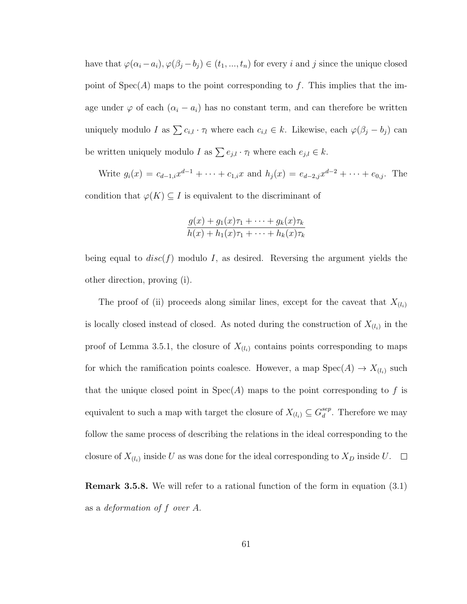have that  $\varphi(\alpha_i - a_i), \varphi(\beta_j - b_j) \in (t_1, ..., t_n)$  for every i and j since the unique closed point of  $Spec(A)$  maps to the point corresponding to f. This implies that the image under  $\varphi$  of each  $(\alpha_i - a_i)$  has no constant term, and can therefore be written uniquely modulo I as  $\sum c_{i,l} \cdot \tau_l$  where each  $c_{i,l} \in k$ . Likewise, each  $\varphi(\beta_j - b_j)$  can be written uniquely modulo I as  $\sum e_{j,l} \cdot \tau_l$  where each  $e_{j,l} \in k$ .

Write  $g_i(x) = c_{d-1,i}x^{d-1} + \cdots + c_{1,i}x$  and  $h_j(x) = e_{d-2,j}x^{d-2} + \cdots + e_{0,j}$ . The condition that  $\varphi(K) \subseteq I$  is equivalent to the discriminant of

$$
\frac{g(x) + g_1(x)\tau_1 + \dots + g_k(x)\tau_k}{h(x) + h_1(x)\tau_1 + \dots + h_k(x)\tau_k}
$$

being equal to  $disc(f)$  modulo I, as desired. Reversing the argument yields the other direction, proving (i).

The proof of (ii) proceeds along similar lines, except for the caveat that  $X_{(l_i)}$ is locally closed instead of closed. As noted during the construction of  $X_{(l_i)}$  in the proof of Lemma 3.5.1, the closure of  $X_{(l_i)}$  contains points corresponding to maps for which the ramification points coalesce. However, a map  $Spec(A) \to X_{(l_i)}$  such that the unique closed point in  $Spec(A)$  maps to the point corresponding to f is equivalent to such a map with target the closure of  $X_{(l_i)} \subseteq G_d^{sep}$  $\frac{sep}{d}$ . Therefore we may follow the same process of describing the relations in the ideal corresponding to the closure of  $X_{(l_i)}$  inside U as was done for the ideal corresponding to  $X_D$  inside U.

Remark 3.5.8. We will refer to a rational function of the form in equation (3.1) as a deformation of f over A.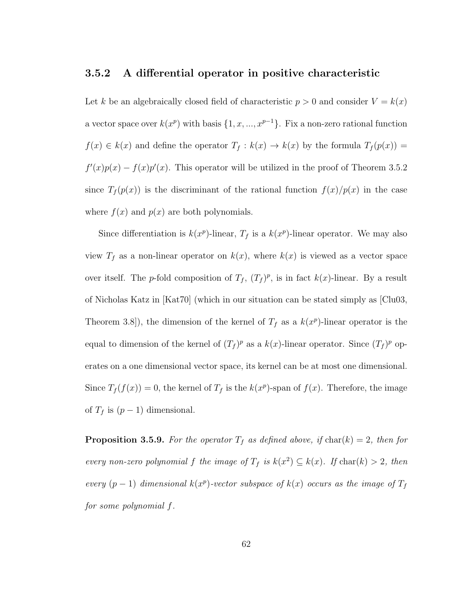### 3.5.2 A differential operator in positive characteristic

Let k be an algebraically closed field of characteristic  $p > 0$  and consider  $V = k(x)$ a vector space over  $k(x^p)$  with basis  $\{1, x, ..., x^{p-1}\}$ . Fix a non-zero rational function  $f(x) \in k(x)$  and define the operator  $T_f : k(x) \to k(x)$  by the formula  $T_f(p(x)) =$  $f'(x)p(x) - f(x)p'(x)$ . This operator will be utilized in the proof of Theorem 3.5.2 since  $T_f(p(x))$  is the discriminant of the rational function  $f(x)/p(x)$  in the case where  $f(x)$  and  $p(x)$  are both polynomials.

Since differentiation is  $k(x^p)$ -linear,  $T_f$  is a  $k(x^p)$ -linear operator. We may also view  $T_f$  as a non-linear operator on  $k(x)$ , where  $k(x)$  is viewed as a vector space over itself. The p-fold composition of  $T_f$ ,  $(T_f)^p$ , is in fact  $k(x)$ -linear. By a result of Nicholas Katz in [Kat70] (which in our situation can be stated simply as [Clu03, Theorem 3.8]), the dimension of the kernel of  $T_f$  as a  $k(x^p)$ -linear operator is the equal to dimension of the kernel of  $(T_f)^p$  as a  $k(x)$ -linear operator. Since  $(T_f)^p$  operates on a one dimensional vector space, its kernel can be at most one dimensional. Since  $T_f(f(x)) = 0$ , the kernel of  $T_f$  is the  $k(x^p)$ -span of  $f(x)$ . Therefore, the image of  $T_f$  is  $(p-1)$  dimensional.

**Proposition 3.5.9.** For the operator  $T_f$  as defined above, if char(k) = 2, then for every non-zero polynomial f the image of  $T_f$  is  $k(x^2) \subseteq k(x)$ . If  $char(k) > 2$ , then every  $(p-1)$  dimensional  $k(x^p)$ -vector subspace of  $k(x)$  occurs as the image of  $T_f$ for some polynomial f.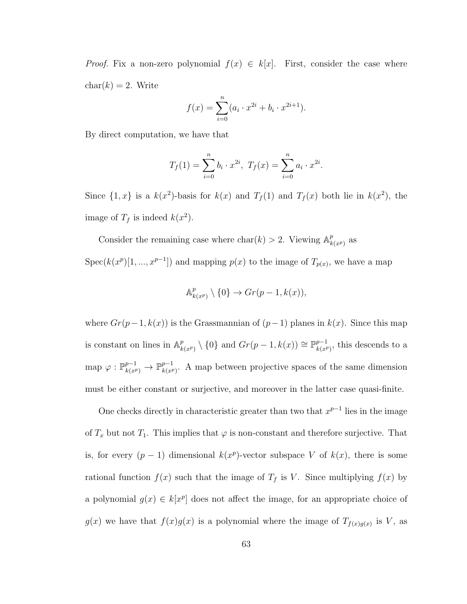*Proof.* Fix a non-zero polynomial  $f(x) \in k[x]$ . First, consider the case where  $char(k) = 2$ . Write

$$
f(x) = \sum_{i=0}^{n} (a_i \cdot x^{2i} + b_i \cdot x^{2i+1}).
$$

By direct computation, we have that

$$
T_f(1) = \sum_{i=0}^{n} b_i \cdot x^{2i}, \ T_f(x) = \sum_{i=0}^{n} a_i \cdot x^{2i}.
$$

Since  $\{1, x\}$  is a  $k(x^2)$ -basis for  $k(x)$  and  $T_f(1)$  and  $T_f(x)$  both lie in  $k(x^2)$ , the image of  $T_f$  is indeed  $k(x^2)$ .

Consider the remaining case where  $char(k) > 2$ . Viewing  $\mathbb{A}_k^p$  $_{k(x^p)}^p$  as

Spec( $k(x^p)[1, ..., x^{p-1}]$ ) and mapping  $p(x)$  to the image of  $T_{p(x)}$ , we have a map

$$
\mathbb{A}^p_{k(x^p)} \setminus \{0\} \to Gr(p-1, k(x)),
$$

where  $Gr(p-1, k(x))$  is the Grassmannian of  $(p-1)$  planes in  $k(x)$ . Since this map is constant on lines in  $\mathbb{A}_k^p$  $_{k(x^p)}^p \setminus \{0\}$  and  $Gr(p-1, k(x)) \cong \mathbb{P}_{k(x^p)}^{p-1}$  $_{k(x^p)}^{p-1}$ , this descends to a map  $\varphi: \mathbb{P}_{k(x^p)}^{p-1} \to \mathbb{P}_{k(x^p)}^{p-1}$  $_{k(x^p)}^{p-1}$ . A map between projective spaces of the same dimension must be either constant or surjective, and moreover in the latter case quasi-finite.

One checks directly in characteristic greater than two that  $x^{p-1}$  lies in the image of  $T_x$  but not  $T_1$ . This implies that  $\varphi$  is non-constant and therefore surjective. That is, for every  $(p-1)$  dimensional  $k(x^p)$ -vector subspace V of  $k(x)$ , there is some rational function  $f(x)$  such that the image of  $T_f$  is V. Since multiplying  $f(x)$  by a polynomial  $g(x) \in k[x^p]$  does not affect the image, for an appropriate choice of  $g(x)$  we have that  $f(x)g(x)$  is a polynomial where the image of  $T_{f(x)g(x)}$  is V, as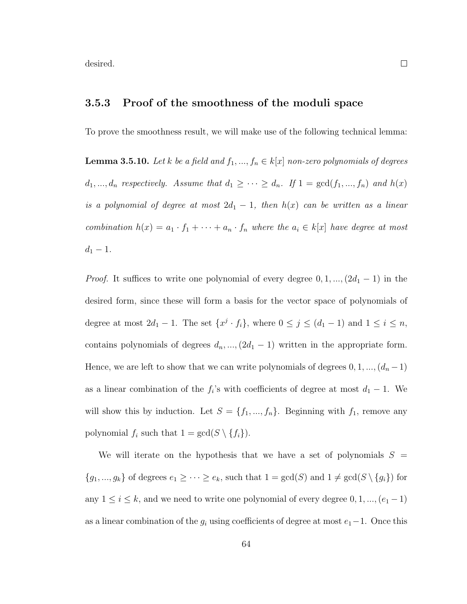desired.

### 3.5.3 Proof of the smoothness of the moduli space

To prove the smoothness result, we will make use of the following technical lemma:

**Lemma 3.5.10.** Let k be a field and  $f_1, ..., f_n \in k[x]$  non-zero polynomials of degrees  $d_1, ..., d_n$  respectively. Assume that  $d_1 \geq ... \geq d_n$ . If  $1 = \gcd(f_1, ..., f_n)$  and  $h(x)$ is a polynomial of degree at most  $2d_1 - 1$ , then  $h(x)$  can be written as a linear combination  $h(x) = a_1 \cdot f_1 + \cdots + a_n \cdot f_n$  where the  $a_i \in k[x]$  have degree at most  $d_1 - 1$ .

*Proof.* It suffices to write one polynomial of every degree  $0, 1, ..., (2d_1 - 1)$  in the desired form, since these will form a basis for the vector space of polynomials of degree at most  $2d_1 - 1$ . The set  $\{x^j \cdot f_i\}$ , where  $0 \le j \le (d_1 - 1)$  and  $1 \le i \le n$ , contains polynomials of degrees  $d_n$ , ...,  $(2d_1 - 1)$  written in the appropriate form. Hence, we are left to show that we can write polynomials of degrees  $0, 1, ..., (d_n - 1)$ as a linear combination of the  $f_i$ 's with coefficients of degree at most  $d_1 - 1$ . We will show this by induction. Let  $S = \{f_1, ..., f_n\}$ . Beginning with  $f_1$ , remove any polynomial  $f_i$  such that  $1 = \gcd(S \setminus \{f_i\}).$ 

We will iterate on the hypothesis that we have a set of polynomials  $S =$  ${g_1, ..., g_k}$  of degrees  $e_1 \geq ... \geq e_k$ , such that  $1 = \gcd(S)$  and  $1 \neq \gcd(S \setminus \{g_i\})$  for any  $1 \leq i \leq k$ , and we need to write one polynomial of every degree  $0, 1, ..., (e_1 - 1)$ as a linear combination of the  $g_i$  using coefficients of degree at most  $e_1-1$ . Once this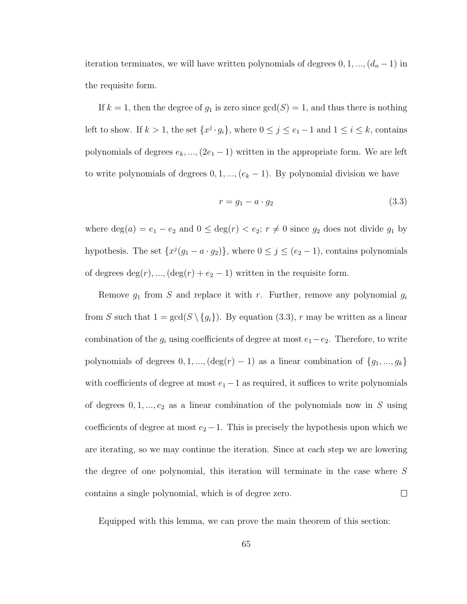iteration terminates, we will have written polynomials of degrees  $0, 1, ..., (d_n - 1)$  in the requisite form.

If  $k = 1$ , then the degree of  $g_1$  is zero since  $gcd(S) = 1$ , and thus there is nothing left to show. If  $k > 1$ , the set  $\{x^j \cdot g_i\}$ , where  $0 \le j \le e_1 - 1$  and  $1 \le i \le k$ , contains polynomials of degrees  $e_k$ , ...,  $(2e_1 - 1)$  written in the appropriate form. We are left to write polynomials of degrees  $0, 1, ..., (e_k - 1)$ . By polynomial division we have

$$
r = g_1 - a \cdot g_2 \tag{3.3}
$$

where  $deg(a) = e_1 - e_2$  and  $0 \leq deg(r) < e_2$ ;  $r \neq 0$  since  $g_2$  does not divide  $g_1$  by hypothesis. The set  $\{x^j(g_1 - a \cdot g_2)\}\$ , where  $0 \le j \le (e_2 - 1)$ , contains polynomials of degrees  $deg(r)$ , ...,  $deg(r) + e_2 - 1$ ) written in the requisite form.

Remove  $g_1$  from S and replace it with r. Further, remove any polynomial  $g_i$ from S such that  $1 = \gcd(S \setminus \{g_i\})$ . By equation (3.3), r may be written as a linear combination of the  $g_i$  using coefficients of degree at most  $e_1 - e_2$ . Therefore, to write polynomials of degrees  $0, 1, ..., (\deg(r) - 1)$  as a linear combination of  $\{g_1, ..., g_k\}$ with coefficients of degree at most  $e_1-1$  as required, it suffices to write polynomials of degrees  $0, 1, \ldots, e_2$  as a linear combination of the polynomials now in S using coefficients of degree at most  $e_2 - 1$ . This is precisely the hypothesis upon which we are iterating, so we may continue the iteration. Since at each step we are lowering the degree of one polynomial, this iteration will terminate in the case where S contains a single polynomial, which is of degree zero.  $\Box$ 

Equipped with this lemma, we can prove the main theorem of this section: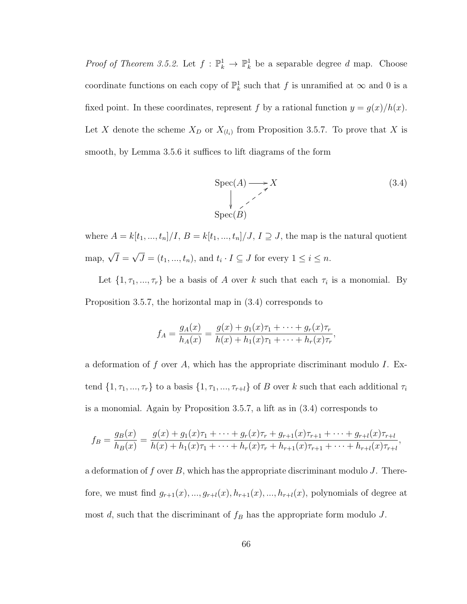*Proof of Theorem 3.5.2.* Let  $f : \mathbb{P}_k^1 \to \mathbb{P}_k^1$  be a separable degree d map. Choose coordinate functions on each copy of  $\mathbb{P}^1_k$  such that f is unramified at  $\infty$  and 0 is a fixed point. In these coordinates, represent f by a rational function  $y = g(x)/h(x)$ . Let X denote the scheme  $X_D$  or  $X_{(l_i)}$  from Proposition 3.5.7. To prove that X is smooth, by Lemma 3.5.6 it suffices to lift diagrams of the form

$$
\text{Spec}(A) \longrightarrow X
$$
\n
$$
\downarrow \qquad \qquad (3.4)
$$
\n
$$
\text{Spec}(B)
$$

where  $A = k[t_1, ..., t_n]/I$ ,  $B = k[t_1, ..., t_n]/J$ ,  $I \supseteq J$ , the map is the natural quotient map,  $\sqrt{I}$  = √  $J = (t_1, ..., t_n)$ , and  $t_i \cdot I \subseteq J$  for every  $1 \leq i \leq n$ .

Let  $\{1, \tau_1, ..., \tau_r\}$  be a basis of A over k such that each  $\tau_i$  is a monomial. By Proposition 3.5.7, the horizontal map in (3.4) corresponds to

$$
f_A = \frac{g_A(x)}{h_A(x)} = \frac{g(x) + g_1(x)\tau_1 + \dots + g_r(x)\tau_r}{h(x) + h_1(x)\tau_1 + \dots + h_r(x)\tau_r},
$$

a deformation of  $f$  over  $A$ , which has the appropriate discriminant modulo  $I$ . Extend  $\{1, \tau_1, ..., \tau_r\}$  to a basis  $\{1, \tau_1, ..., \tau_{r+l}\}$  of B over k such that each additional  $\tau_i$ is a monomial. Again by Proposition 3.5.7, a lift as in (3.4) corresponds to

$$
f_B = \frac{g_B(x)}{h_B(x)} = \frac{g(x) + g_1(x)\tau_1 + \dots + g_r(x)\tau_r + g_{r+1}(x)\tau_{r+1} + \dots + g_{r+l}(x)\tau_{r+l}}{h(x) + h_1(x)\tau_1 + \dots + h_r(x)\tau_r + h_{r+1}(x)\tau_{r+1} + \dots + h_{r+l}(x)\tau_{r+l}},
$$

a deformation of f over  $B$ , which has the appropriate discriminant modulo J. Therefore, we must find  $g_{r+1}(x),...,g_{r+l}(x),h_{r+1}(x),...,h_{r+l}(x)$ , polynomials of degree at most d, such that the discriminant of  $f_B$  has the appropriate form modulo J.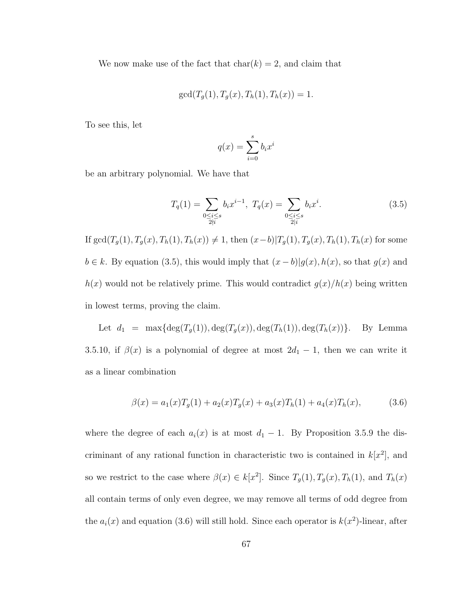We now make use of the fact that  $char(k) = 2$ , and claim that

$$
gcd(T_g(1), T_g(x), T_h(1), T_h(x)) = 1.
$$

To see this, let

$$
q(x) = \sum_{i=0}^{s} b_i x^i
$$

be an arbitrary polynomial. We have that

$$
T_q(1) = \sum_{\substack{0 \le i \le s \\ 2 \nmid i}} b_i x^{i-1}, \ T_q(x) = \sum_{\substack{0 \le i \le s \\ 2 \nmid i}} b_i x^i. \tag{3.5}
$$

If  $\gcd(T_g(1), T_g(x), T_h(1), T_h(x)) \neq 1$ , then  $(x-b) | T_g(1), T_g(x), T_h(1), T_h(x)$  for some  $b \in k$ . By equation (3.5), this would imply that  $(x - b)|g(x), h(x)$ , so that  $g(x)$  and  $h(x)$  would not be relatively prime. This would contradict  $g(x)/h(x)$  being written in lowest terms, proving the claim.

Let  $d_1 = \max{\deg(T_g(1))}, \deg(T_g(x)), \deg(T_h(1)), \deg(T_h(x))\}$ . By Lemma 3.5.10, if  $\beta(x)$  is a polynomial of degree at most  $2d_1 - 1$ , then we can write it as a linear combination

$$
\beta(x) = a_1(x)T_g(1) + a_2(x)T_g(x) + a_3(x)T_h(1) + a_4(x)T_h(x), \qquad (3.6)
$$

where the degree of each  $a_i(x)$  is at most  $d_1 - 1$ . By Proposition 3.5.9 the discriminant of any rational function in characteristic two is contained in  $k[x^2]$ , and so we restrict to the case where  $\beta(x) \in k[x^2]$ . Since  $T_g(1), T_g(x), T_h(1)$ , and  $T_h(x)$ all contain terms of only even degree, we may remove all terms of odd degree from the  $a_i(x)$  and equation (3.6) will still hold. Since each operator is  $k(x^2)$ -linear, after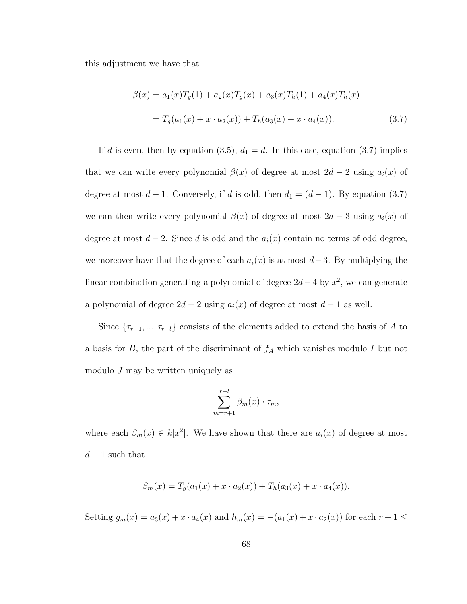this adjustment we have that

$$
\beta(x) = a_1(x)T_g(1) + a_2(x)T_g(x) + a_3(x)T_h(1) + a_4(x)T_h(x)
$$
  
=  $T_g(a_1(x) + x \cdot a_2(x)) + T_h(a_3(x) + x \cdot a_4(x)).$  (3.7)

If d is even, then by equation (3.5),  $d_1 = d$ . In this case, equation (3.7) implies that we can write every polynomial  $\beta(x)$  of degree at most  $2d - 2$  using  $a_i(x)$  of degree at most  $d-1$ . Conversely, if d is odd, then  $d_1 = (d-1)$ . By equation (3.7) we can then write every polynomial  $\beta(x)$  of degree at most  $2d-3$  using  $a_i(x)$  of degree at most  $d-2$ . Since d is odd and the  $a_i(x)$  contain no terms of odd degree, we moreover have that the degree of each  $a_i(x)$  is at most  $d-3$ . By multiplying the linear combination generating a polynomial of degree  $2d-4$  by  $x^2$ , we can generate a polynomial of degree  $2d - 2$  using  $a_i(x)$  of degree at most  $d - 1$  as well.

Since  $\{\tau_{r+1}, ..., \tau_{r+l}\}$  consists of the elements added to extend the basis of A to a basis for  $B$ , the part of the discriminant of  $f_A$  which vanishes modulo  $I$  but not modulo  $J$  may be written uniquely as

$$
\sum_{m=r+1}^{r+l} \beta_m(x) \cdot \tau_m,
$$

where each  $\beta_m(x) \in k[x^2]$ . We have shown that there are  $a_i(x)$  of degree at most  $d-1$  such that

$$
\beta_m(x) = T_g(a_1(x) + x \cdot a_2(x)) + T_h(a_3(x) + x \cdot a_4(x)).
$$

Setting  $g_m(x) = a_3(x) + x \cdot a_4(x)$  and  $h_m(x) = -(a_1(x) + x \cdot a_2(x))$  for each  $r + 1 \leq$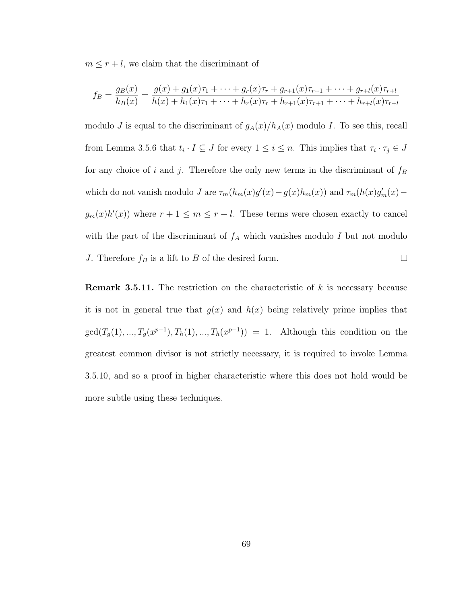$m \leq r + l$ , we claim that the discriminant of

$$
f_B = \frac{g_B(x)}{h_B(x)} = \frac{g(x) + g_1(x)\tau_1 + \dots + g_r(x)\tau_r + g_{r+1}(x)\tau_{r+1} + \dots + g_{r+l}(x)\tau_{r+l}}{h(x) + h_1(x)\tau_1 + \dots + h_r(x)\tau_r + h_{r+1}(x)\tau_{r+1} + \dots + h_{r+l}(x)\tau_{r+l}}
$$

modulo J is equal to the discriminant of  $g_A(x)/h_A(x)$  modulo I. To see this, recall from Lemma 3.5.6 that  $t_i \cdot I \subseteq J$  for every  $1 \leq i \leq n$ . This implies that  $\tau_i \cdot \tau_j \in J$ for any choice of i and j. Therefore the only new terms in the discriminant of  $f_B$ which do not vanish modulo J are  $\tau_m(h_m(x)g'(x) - g(x)h_m(x))$  and  $\tau_m(h(x)g'_m(x) - g(x)h_m(x))$  $g_m(x)h'(x)$  where  $r+1 \leq m \leq r+l$ . These terms were chosen exactly to cancel with the part of the discriminant of  $f_A$  which vanishes modulo I but not modulo J. Therefore  $f_B$  is a lift to B of the desired form.  $\Box$ 

**Remark 3.5.11.** The restriction on the characteristic of  $k$  is necessary because it is not in general true that  $g(x)$  and  $h(x)$  being relatively prime implies that  $gcd(T_g(1),...,T_g(x^{p-1}),T_h(1),...,T_h(x^{p-1})) = 1.$  Although this condition on the greatest common divisor is not strictly necessary, it is required to invoke Lemma 3.5.10, and so a proof in higher characteristic where this does not hold would be more subtle using these techniques.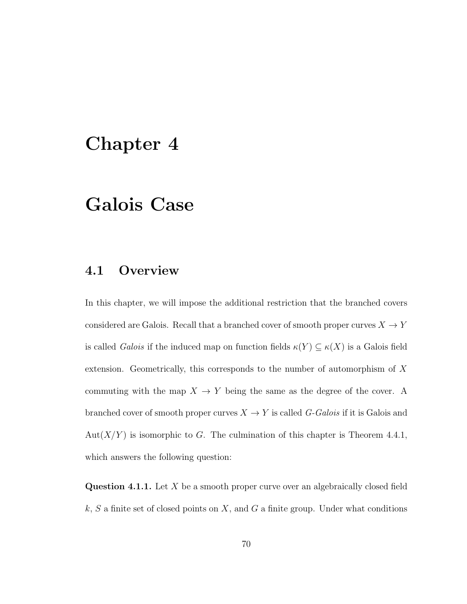## Chapter 4

## Galois Case

### 4.1 Overview

In this chapter, we will impose the additional restriction that the branched covers considered are Galois. Recall that a branched cover of smooth proper curves  $X\to Y$ is called *Galois* if the induced map on function fields  $\kappa(Y) \subseteq \kappa(X)$  is a Galois field extension. Geometrically, this corresponds to the number of automorphism of X commuting with the map  $X \to Y$  being the same as the degree of the cover. A branched cover of smooth proper curves  $X \to Y$  is called G-Galois if it is Galois and Aut $(X/Y)$  is isomorphic to G. The culmination of this chapter is Theorem 4.4.1, which answers the following question:

**Question 4.1.1.** Let  $X$  be a smooth proper curve over an algebraically closed field  $k, S$  a finite set of closed points on X, and G a finite group. Under what conditions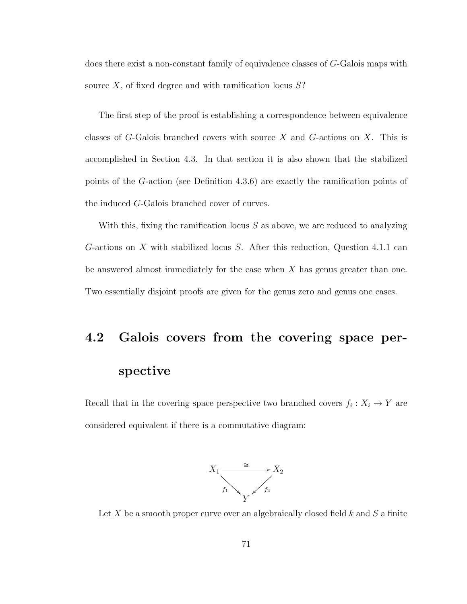does there exist a non-constant family of equivalence classes of G-Galois maps with source  $X$ , of fixed degree and with ramification locus  $S$ ?

The first step of the proof is establishing a correspondence between equivalence classes of  $G$ -Galois branched covers with source  $X$  and  $G$ -actions on  $X$ . This is accomplished in Section 4.3. In that section it is also shown that the stabilized points of the G-action (see Definition 4.3.6) are exactly the ramification points of the induced G-Galois branched cover of curves.

With this, fixing the ramification locus  $S$  as above, we are reduced to analyzing G-actions on X with stabilized locus S. After this reduction, Question 4.1.1 can be answered almost immediately for the case when  $X$  has genus greater than one. Two essentially disjoint proofs are given for the genus zero and genus one cases.

# 4.2 Galois covers from the covering space perspective

Recall that in the covering space perspective two branched covers  $f_i: X_i \to Y$  are considered equivalent if there is a commutative diagram:



Let X be a smooth proper curve over an algebraically closed field  $k$  and  $S$  a finite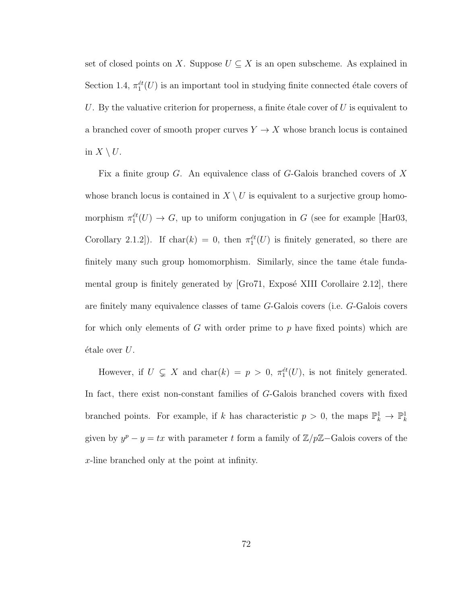set of closed points on X. Suppose  $U \subseteq X$  is an open subscheme. As explained in Section 1.4,  $\pi_1^{\text{\'et}}(U)$  is an important tool in studying finite connected étale covers of U. By the valuative criterion for properness, a finite étale cover of  $U$  is equivalent to a branched cover of smooth proper curves  $Y \to X$  whose branch locus is contained in  $X \setminus U$ .

Fix a finite group G. An equivalence class of G-Galois branched covers of X whose branch locus is contained in  $X \setminus U$  is equivalent to a surjective group homomorphism  $\pi_1^{et}(U) \to G$ , up to uniform conjugation in G (see for example [Har03, Corollary 2.1.2]). If char(k) = 0, then  $\pi_1^{et}(U)$  is finitely generated, so there are finitely many such group homomorphism. Similarly, since the tame etale fundamental group is finitely generated by  $[Gr 71, Exp 0.1]$  Corollaire 2.12, there are finitely many equivalence classes of tame G-Galois covers (i.e. G-Galois covers for which only elements of G with order prime to  $p$  have fixed points) which are  $\acute{e}$ tale over  $U$ .

However, if  $U \subsetneq X$  and  $char(k) = p > 0$ ,  $\pi_1^{et}(U)$ , is not finitely generated. In fact, there exist non-constant families of G-Galois branched covers with fixed branched points. For example, if k has characteristic  $p > 0$ , the maps  $\mathbb{P}_k^1 \to \mathbb{P}_k^1$ given by  $y^p - y = tx$  with parameter t form a family of  $\mathbb{Z}/p\mathbb{Z}-G$ alois covers of the x-line branched only at the point at infinity.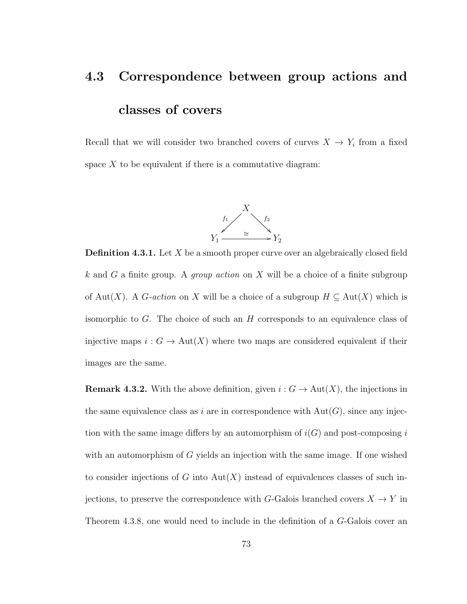# 4.3 Correspondence between group actions and classes of covers

Recall that we will consider two branched covers of curves  $X \to Y_i$  from a fixed space  $X$  to be equivalent if there is a commutative diagram:



**Definition 4.3.1.** Let  $X$  be a smooth proper curve over an algebraically closed field k and G a finite group. A *group action* on X will be a choice of a finite subgroup of Aut(X). A G-action on X will be a choice of a subgroup  $H \subseteq Aut(X)$  which is isomorphic to  $G$ . The choice of such an  $H$  corresponds to an equivalence class of injective maps  $i : G \to \text{Aut}(X)$  where two maps are considered equivalent if their images are the same.

**Remark 4.3.2.** With the above definition, given  $i: G \to \text{Aut}(X)$ , the injections in the same equivalence class as i are in correspondence with  $Aut(G)$ , since any injection with the same image differs by an automorphism of  $i(G)$  and post-composing i with an automorphism of G yields an injection with the same image. If one wished to consider injections of G into  $Aut(X)$  instead of equivalences classes of such injections, to preserve the correspondence with G-Galois branched covers  $X \to Y$  in Theorem 4.3.8, one would need to include in the definition of a G-Galois cover an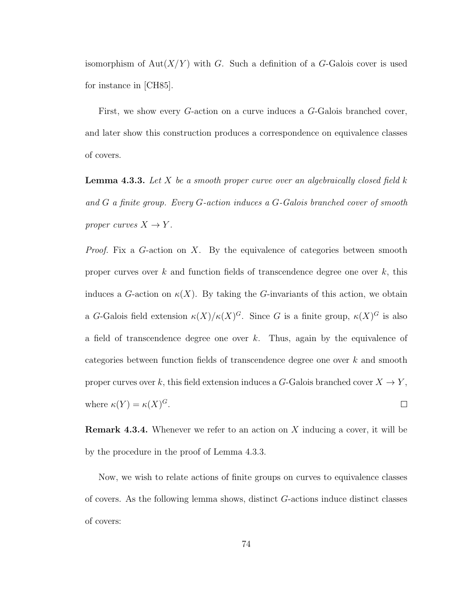isomorphism of Aut $(X/Y)$  with G. Such a definition of a G-Galois cover is used for instance in [CH85].

First, we show every G-action on a curve induces a G-Galois branched cover, and later show this construction produces a correspondence on equivalence classes of covers.

**Lemma 4.3.3.** Let X be a smooth proper curve over an algebraically closed field  $k$ and G a finite group. Every G-action induces a G-Galois branched cover of smooth proper curves  $X \to Y$ .

*Proof.* Fix a G-action on X. By the equivalence of categories between smooth proper curves over  $k$  and function fields of transcendence degree one over  $k$ , this induces a G-action on  $\kappa(X)$ . By taking the G-invariants of this action, we obtain a G-Galois field extension  $\kappa(X)/\kappa(X)^G$ . Since G is a finite group,  $\kappa(X)^G$  is also a field of transcendence degree one over  $k$ . Thus, again by the equivalence of categories between function fields of transcendence degree one over k and smooth proper curves over k, this field extension induces a G-Galois branched cover  $X \to Y$ , where  $\kappa(Y) = \kappa(X)^G$ .  $\Box$ 

**Remark 4.3.4.** Whenever we refer to an action on X inducing a cover, it will be by the procedure in the proof of Lemma 4.3.3.

Now, we wish to relate actions of finite groups on curves to equivalence classes of covers. As the following lemma shows, distinct G-actions induce distinct classes of covers: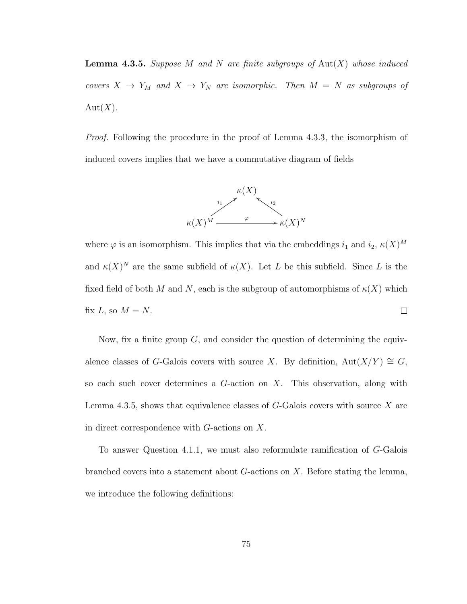**Lemma 4.3.5.** Suppose M and N are finite subgroups of  $Aut(X)$  whose induced covers  $X \to Y_M$  and  $X \to Y_N$  are isomorphic. Then  $M = N$  as subgroups of  $Aut(X).$ 

Proof. Following the procedure in the proof of Lemma 4.3.3, the isomorphism of induced covers implies that we have a commutative diagram of fields



where  $\varphi$  is an isomorphism. This implies that via the embeddings  $i_1$  and  $i_2$ ,  $\kappa(X)^M$ and  $\kappa(X)^N$  are the same subfield of  $\kappa(X)$ . Let L be this subfield. Since L is the fixed field of both M and N, each is the subgroup of automorphisms of  $\kappa(X)$  which  $\Box$ fix  $L$ , so  $M = N$ .

Now, fix a finite group  $G$ , and consider the question of determining the equivalence classes of G-Galois covers with source X. By definition,  $Aut(X/Y) \cong G$ , so each such cover determines a  $G$ -action on  $X$ . This observation, along with Lemma 4.3.5, shows that equivalence classes of  $G$ -Galois covers with source  $X$  are in direct correspondence with G-actions on X.

To answer Question 4.1.1, we must also reformulate ramification of G-Galois branched covers into a statement about  $G$ -actions on  $X$ . Before stating the lemma, we introduce the following definitions: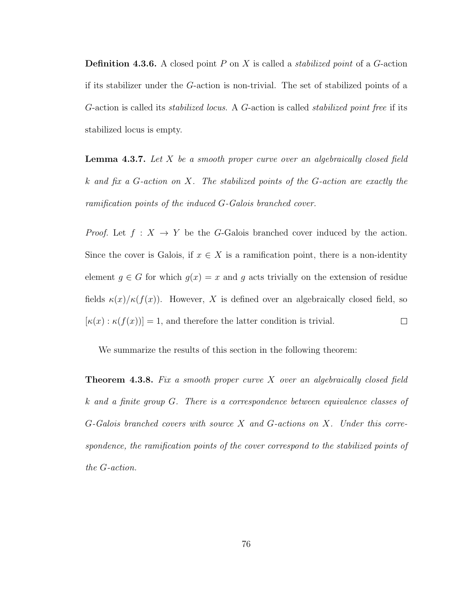**Definition 4.3.6.** A closed point  $P$  on  $X$  is called a *stabilized point* of a  $G$ -action if its stabilizer under the G-action is non-trivial. The set of stabilized points of a G-action is called its stabilized locus. A G-action is called stabilized point free if its stabilized locus is empty.

**Lemma 4.3.7.** Let  $X$  be a smooth proper curve over an algebraically closed field k and fix a G-action on X. The stabilized points of the G-action are exactly the ramification points of the induced G-Galois branched cover.

*Proof.* Let  $f : X \to Y$  be the G-Galois branched cover induced by the action. Since the cover is Galois, if  $x \in X$  is a ramification point, there is a non-identity element  $g \in G$  for which  $g(x) = x$  and g acts trivially on the extension of residue fields  $\kappa(x)/\kappa(f(x))$ . However, X is defined over an algebraically closed field, so  $[\kappa(x) : \kappa(f(x))] = 1$ , and therefore the latter condition is trivial.  $\Box$ 

We summarize the results of this section in the following theorem:

**Theorem 4.3.8.** Fix a smooth proper curve  $X$  over an algebraically closed field k and a finite group G. There is a correspondence between equivalence classes of G-Galois branched covers with source X and G-actions on X. Under this correspondence, the ramification points of the cover correspond to the stabilized points of the G-action.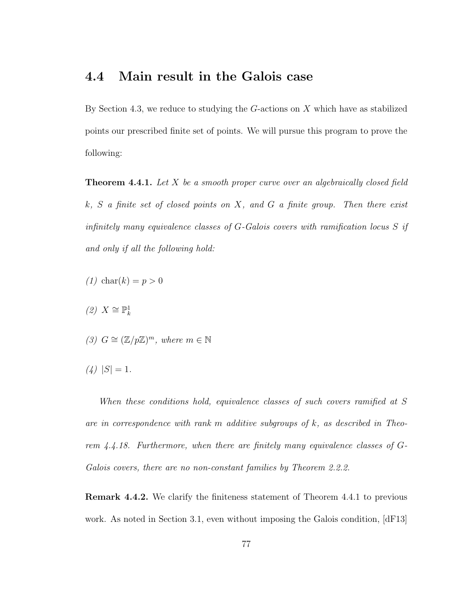### 4.4 Main result in the Galois case

By Section 4.3, we reduce to studying the  $G$ -actions on X which have as stabilized points our prescribed finite set of points. We will pursue this program to prove the following:

**Theorem 4.4.1.** Let  $X$  be a smooth proper curve over an algebraically closed field  $k, S$  a finite set of closed points on X, and G a finite group. Then there exist infinitely many equivalence classes of G-Galois covers with ramification locus S if and only if all the following hold:

- (1) char(k) =  $p > 0$
- $(2)$  X ≅  $\mathbb{P}^1_k$
- (3)  $G \cong (\mathbb{Z}/p\mathbb{Z})^m$ , where  $m \in \mathbb{N}$
- $(4)$   $|S| = 1$ .

When these conditions hold, equivalence classes of such covers ramified at S are in correspondence with rank m additive subgroups of  $k$ , as described in Theorem 4.4.18. Furthermore, when there are finitely many equivalence classes of G-Galois covers, there are no non-constant families by Theorem 2.2.2.

Remark 4.4.2. We clarify the finiteness statement of Theorem 4.4.1 to previous work. As noted in Section 3.1, even without imposing the Galois condition, [dF13]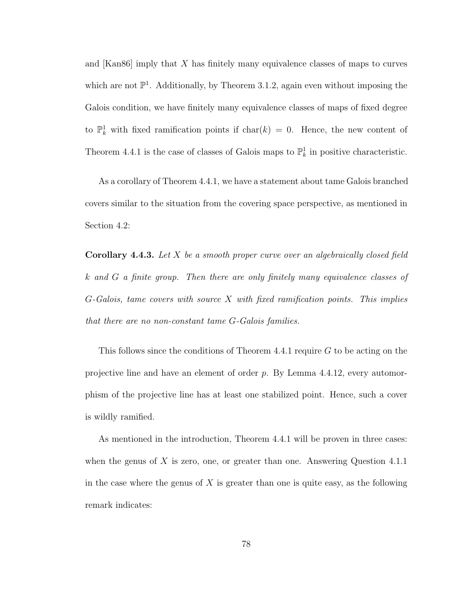and [Kan86] imply that X has finitely many equivalence classes of maps to curves which are not  $\mathbb{P}^1$ . Additionally, by Theorem 3.1.2, again even without imposing the Galois condition, we have finitely many equivalence classes of maps of fixed degree to  $\mathbb{P}_k^1$  with fixed ramification points if char $(k) = 0$ . Hence, the new content of Theorem 4.4.1 is the case of classes of Galois maps to  $\mathbb{P}^1_k$  in positive characteristic.

As a corollary of Theorem 4.4.1, we have a statement about tame Galois branched covers similar to the situation from the covering space perspective, as mentioned in Section 4.2:

**Corollary 4.4.3.** Let  $X$  be a smooth proper curve over an algebraically closed field k and G a finite group. Then there are only finitely many equivalence classes of G-Galois, tame covers with source X with fixed ramification points. This implies that there are no non-constant tame G-Galois families.

This follows since the conditions of Theorem 4.4.1 require G to be acting on the projective line and have an element of order p. By Lemma 4.4.12, every automorphism of the projective line has at least one stabilized point. Hence, such a cover is wildly ramified.

As mentioned in the introduction, Theorem 4.4.1 will be proven in three cases: when the genus of  $X$  is zero, one, or greater than one. Answering Question 4.1.1 in the case where the genus of  $X$  is greater than one is quite easy, as the following remark indicates: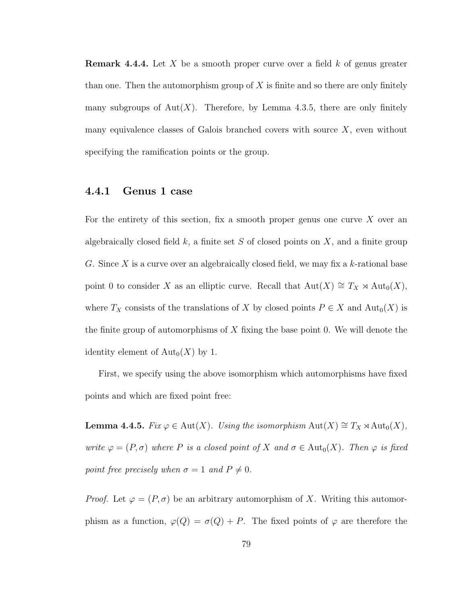**Remark 4.4.4.** Let X be a smooth proper curve over a field  $k$  of genus greater than one. Then the automorphism group of  $X$  is finite and so there are only finitely many subgroups of  $Aut(X)$ . Therefore, by Lemma 4.3.5, there are only finitely many equivalence classes of Galois branched covers with source  $X$ , even without specifying the ramification points or the group.

#### 4.4.1 Genus 1 case

For the entirety of this section, fix a smooth proper genus one curve  $X$  over an algebraically closed field  $k$ , a finite set  $S$  of closed points on  $X$ , and a finite group G. Since X is a curve over an algebraically closed field, we may fix a  $k$ -rational base point 0 to consider X as an elliptic curve. Recall that  $Aut(X) \cong T_X \rtimes Aut_0(X)$ , where  $T_X$  consists of the translations of X by closed points  $P \in X$  and  $\text{Aut}_0(X)$  is the finite group of automorphisms of  $X$  fixing the base point 0. We will denote the identity element of  $\text{Aut}_0(X)$  by 1.

First, we specify using the above isomorphism which automorphisms have fixed points and which are fixed point free:

**Lemma 4.4.5.** Fix  $\varphi \in \text{Aut}(X)$ . Using the isomorphism  $\text{Aut}(X) \cong T_X \rtimes \text{Aut}_0(X)$ , write  $\varphi = (P, \sigma)$  where P is a closed point of X and  $\sigma \in Aut_0(X)$ . Then  $\varphi$  is fixed point free precisely when  $\sigma = 1$  and  $P \neq 0$ .

*Proof.* Let  $\varphi = (P, \sigma)$  be an arbitrary automorphism of X. Writing this automorphism as a function,  $\varphi(Q) = \sigma(Q) + P$ . The fixed points of  $\varphi$  are therefore the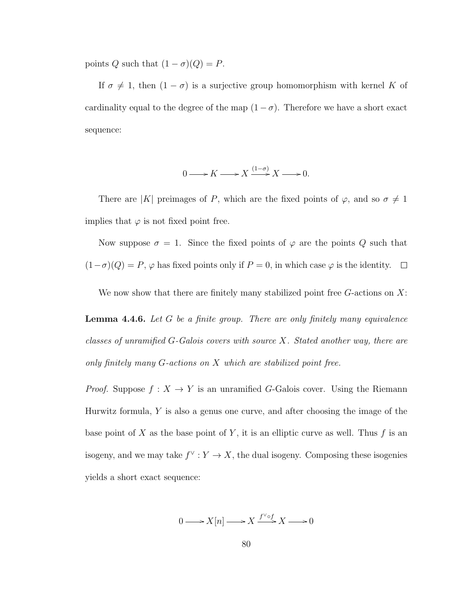points Q such that  $(1 - \sigma)(Q) = P$ .

If  $\sigma \neq 1$ , then  $(1 - \sigma)$  is a surjective group homomorphism with kernel K of cardinality equal to the degree of the map  $(1 - \sigma)$ . Therefore we have a short exact sequence:

$$
0 \longrightarrow K \longrightarrow X \xrightarrow{(1-\sigma)} X \longrightarrow 0.
$$

There are |K| preimages of P, which are the fixed points of  $\varphi$ , and so  $\sigma \neq 1$ implies that  $\varphi$  is not fixed point free.

Now suppose  $\sigma = 1$ . Since the fixed points of  $\varphi$  are the points Q such that  $(1-\sigma)(Q) = P$ ,  $\varphi$  has fixed points only if  $P = 0$ , in which case  $\varphi$  is the identity.  $\Box$ 

We now show that there are finitely many stabilized point free  $G$ -actions on  $X$ :

**Lemma 4.4.6.** Let  $G$  be a finite group. There are only finitely many equivalence classes of unramified G-Galois covers with source X. Stated another way, there are only finitely many G-actions on X which are stabilized point free.

*Proof.* Suppose  $f : X \to Y$  is an unramified G-Galois cover. Using the Riemann Hurwitz formula,  $Y$  is also a genus one curve, and after choosing the image of the base point of X as the base point of Y, it is an elliptic curve as well. Thus f is an isogeny, and we may take  $f^{\vee}: Y \to X$ , the dual isogeny. Composing these isogenies yields a short exact sequence:

$$
0 \longrightarrow X[n] \longrightarrow X \xrightarrow{f^{\vee} \circ f} X \longrightarrow 0
$$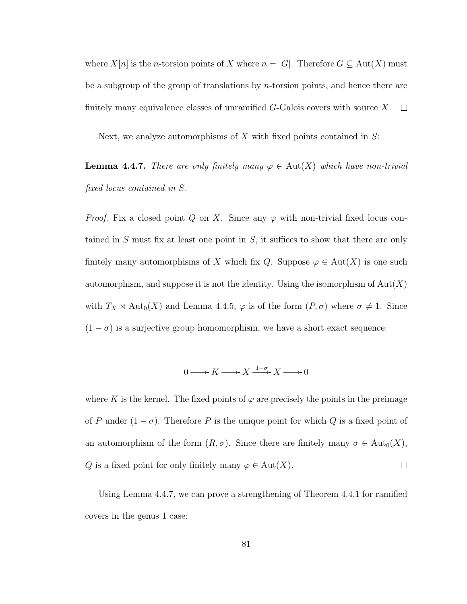where  $X[n]$  is the *n*-torsion points of X where  $n = |G|$ . Therefore  $G \subseteq Aut(X)$  must be a subgroup of the group of translations by *n*-torsion points, and hence there are finitely many equivalence classes of unramified G-Galois covers with source  $X$ .  $\Box$ 

Next, we analyze automorphisms of  $X$  with fixed points contained in  $S$ :

**Lemma 4.4.7.** There are only finitely many  $\varphi \in Aut(X)$  which have non-trivial fixed locus contained in S.

*Proof.* Fix a closed point Q on X. Since any  $\varphi$  with non-trivial fixed locus contained in  $S$  must fix at least one point in  $S$ , it suffices to show that there are only finitely many automorphisms of X which fix Q. Suppose  $\varphi \in Aut(X)$  is one such automorphism, and suppose it is not the identity. Using the isomorphism of  $Aut(X)$ with  $T_X \rtimes \text{Aut}_0(X)$  and Lemma 4.4.5,  $\varphi$  is of the form  $(P, \sigma)$  where  $\sigma \neq 1$ . Since  $(1 - \sigma)$  is a surjective group homomorphism, we have a short exact sequence:

$$
0 \longrightarrow K \longrightarrow X \xrightarrow{1-\sigma} X \longrightarrow 0
$$

where K is the kernel. The fixed points of  $\varphi$  are precisely the points in the preimage of P under  $(1 - \sigma)$ . Therefore P is the unique point for which Q is a fixed point of an automorphism of the form  $(R, \sigma)$ . Since there are finitely many  $\sigma \in \text{Aut}_0(X)$ , Q is a fixed point for only finitely many  $\varphi \in Aut(X)$ .  $\Box$ 

Using Lemma 4.4.7, we can prove a strengthening of Theorem 4.4.1 for ramified covers in the genus 1 case: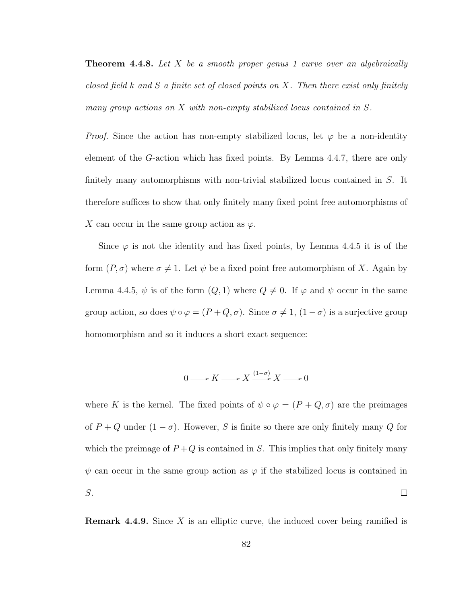**Theorem 4.4.8.** Let X be a smooth proper genus 1 curve over an algebraically closed field k and S a finite set of closed points on X. Then there exist only finitely many group actions on  $X$  with non-empty stabilized locus contained in  $S$ .

*Proof.* Since the action has non-empty stabilized locus, let  $\varphi$  be a non-identity element of the G-action which has fixed points. By Lemma 4.4.7, there are only finitely many automorphisms with non-trivial stabilized locus contained in S. It therefore suffices to show that only finitely many fixed point free automorphisms of X can occur in the same group action as  $\varphi$ .

Since  $\varphi$  is not the identity and has fixed points, by Lemma 4.4.5 it is of the form  $(P, \sigma)$  where  $\sigma \neq 1$ . Let  $\psi$  be a fixed point free automorphism of X. Again by Lemma 4.4.5,  $\psi$  is of the form  $(Q, 1)$  where  $Q \neq 0$ . If  $\varphi$  and  $\psi$  occur in the same group action, so does  $\psi \circ \varphi = (P + Q, \sigma)$ . Since  $\sigma \neq 1$ ,  $(1 - \sigma)$  is a surjective group homomorphism and so it induces a short exact sequence:

$$
0 \longrightarrow K \longrightarrow X \xrightarrow{(1-\sigma)} X \longrightarrow 0
$$

where K is the kernel. The fixed points of  $\psi \circ \varphi = (P + Q, \sigma)$  are the preimages of  $P + Q$  under  $(1 - \sigma)$ . However, S is finite so there are only finitely many Q for which the preimage of  $P+Q$  is contained in S. This implies that only finitely many  $\psi$  can occur in the same group action as  $\varphi$  if the stabilized locus is contained in S.  $\Box$ 

**Remark 4.4.9.** Since X is an elliptic curve, the induced cover being ramified is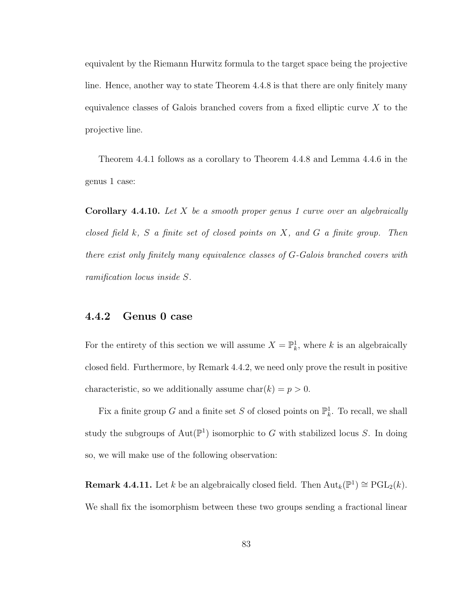equivalent by the Riemann Hurwitz formula to the target space being the projective line. Hence, another way to state Theorem 4.4.8 is that there are only finitely many equivalence classes of Galois branched covers from a fixed elliptic curve  $X$  to the projective line.

Theorem 4.4.1 follows as a corollary to Theorem 4.4.8 and Lemma 4.4.6 in the genus 1 case:

**Corollary 4.4.10.** Let X be a smooth proper genus 1 curve over an algebraically closed field  $k$ ,  $S$  a finite set of closed points on  $X$ , and  $G$  a finite group. Then there exist only finitely many equivalence classes of G-Galois branched covers with ramification locus inside S.

#### 4.4.2 Genus 0 case

For the entirety of this section we will assume  $X = \mathbb{P}_k^1$ , where k is an algebraically closed field. Furthermore, by Remark 4.4.2, we need only prove the result in positive characteristic, so we additionally assume  $char(k) = p > 0$ .

Fix a finite group G and a finite set S of closed points on  $\mathbb{P}^1_k$ . To recall, we shall study the subgroups of  $Aut(\mathbb{P}^1)$  isomorphic to G with stabilized locus S. In doing so, we will make use of the following observation:

**Remark 4.4.11.** Let k be an algebraically closed field. Then  $\text{Aut}_k(\mathbb{P}^1) \cong \text{PGL}_2(k)$ . We shall fix the isomorphism between these two groups sending a fractional linear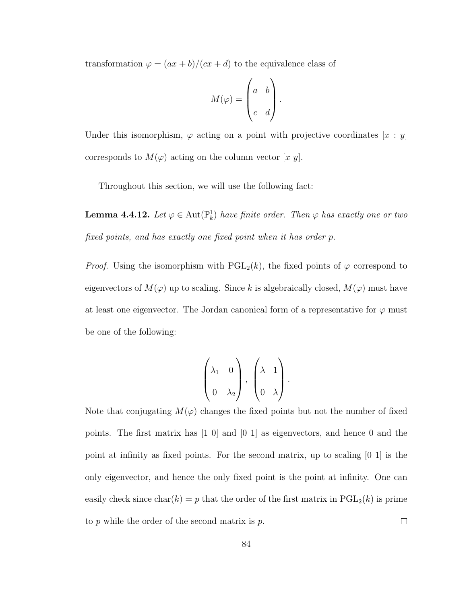transformation  $\varphi = (ax + b)/(cx + d)$  to the equivalence class of

$$
M(\varphi) = \begin{pmatrix} a & b \\ c & d \end{pmatrix}.
$$

Under this isomorphism,  $\varphi$  acting on a point with projective coordinates  $[x : y]$ corresponds to  $M(\varphi)$  acting on the column vector [x y].

Throughout this section, we will use the following fact:

**Lemma 4.4.12.** Let  $\varphi \in \text{Aut}(\mathbb{P}^1_k)$  have finite order. Then  $\varphi$  has exactly one or two fixed points, and has exactly one fixed point when it has order p.

*Proof.* Using the isomorphism with  $PGL_2(k)$ , the fixed points of  $\varphi$  correspond to eigenvectors of  $M(\varphi)$  up to scaling. Since  $k$  is algebraically closed,  $M(\varphi)$  must have at least one eigenvector. The Jordan canonical form of a representative for  $\varphi$  must be one of the following:

$$
\begin{pmatrix} \lambda_1 & 0 \\ 0 & \lambda_2 \end{pmatrix}, \begin{pmatrix} \lambda & 1 \\ 0 & \lambda \end{pmatrix}.
$$

Note that conjugating  $M(\varphi)$  changes the fixed points but not the number of fixed points. The first matrix has [1 0] and [0 1] as eigenvectors, and hence 0 and the point at infinity as fixed points. For the second matrix, up to scaling [0 1] is the only eigenvector, and hence the only fixed point is the point at infinity. One can easily check since char(k) = p that the order of the first matrix in  $PGL_2(k)$  is prime to  $p$  while the order of the second matrix is  $p$ .  $\Box$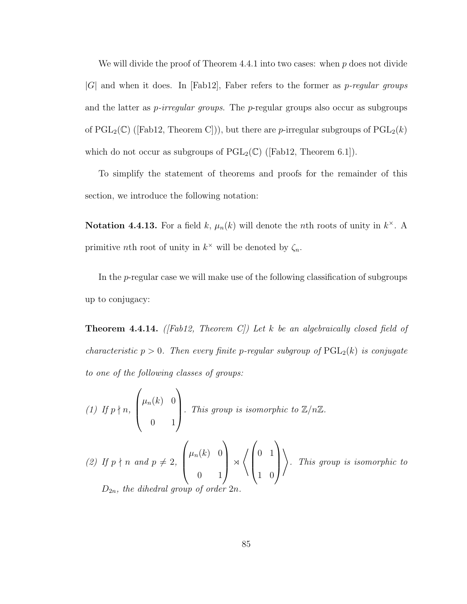We will divide the proof of Theorem 4.4.1 into two cases: when  $p$  does not divide  $|G|$  and when it does. In [Fab12], Faber refers to the former as *p-regular groups* and the latter as  $p\text{-}irregular groups$ . The p-regular groups also occur as subgroups of  $PGL_2(\mathbb{C})$  ([Fab12, Theorem C])), but there are *p*-irregular subgroups of  $PGL_2(k)$ which do not occur as subgroups of  $PGL_2(\mathbb{C})$  ([Fab12, Theorem 6.1]).

To simplify the statement of theorems and proofs for the remainder of this section, we introduce the following notation:

**Notation 4.4.13.** For a field k,  $\mu_n(k)$  will denote the *n*th roots of unity in  $k^{\times}$ . A primitive *n*th root of unity in  $k^{\times}$  will be denoted by  $\zeta_n$ .

In the p-regular case we will make use of the following classification of subgroups up to conjugacy:

**Theorem 4.4.14.** ([Fab12, Theorem C]) Let k be an algebraically closed field of characteristic  $p > 0$ . Then every finite p-regular subgroup of  $PGL_2(k)$  is conjugate to one of the following classes of groups:

(1) If  $p \nmid n$ ,  $\sqrt{ }$  $\overline{\phantom{a}}$  $\mu_n(k)$  0 0 1  $\setminus$ . This group is isomorphic to  $\mathbb{Z}/n\mathbb{Z}$ . (2) If  $p \nmid n \text{ and } p \neq 2$ ,  $\sqrt{ }$  $\vert$  $\mu_n(k)$  0 0 1  $\setminus$  $\Bigg| \times$ \*  $\sqrt{ }$  $\overline{\phantom{a}}$ 0 1 1 0  $\setminus$  $\Big\}$  $\setminus$ . This group is isomorphic to  $D_{2n}$ , the dihedral group of  $\alpha$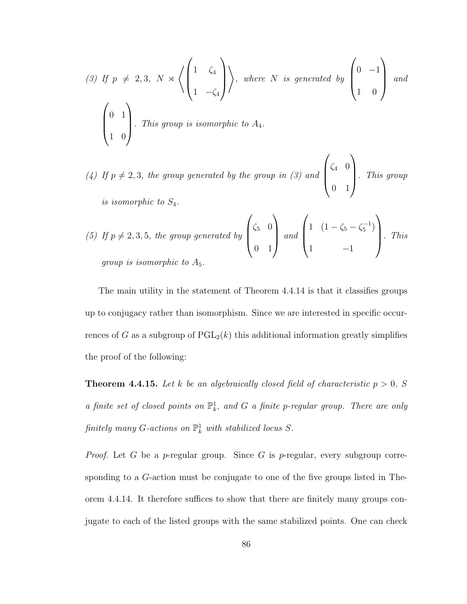(3) If 
$$
p \neq 2, 3
$$
,  $N \rtimes \left\langle \begin{pmatrix} 1 & \zeta_4 \\ 1 & -\zeta_4 \end{pmatrix} \right\rangle$ , where  $N$  is generated by  $\begin{pmatrix} 0 & -1 \\ 1 & 0 \end{pmatrix}$  and  $\begin{pmatrix} 0 & 1 \\ 1 & 0 \end{pmatrix}$ . This group is isomorphic to  $A_4$ .

(4) If  $p \neq 2, 3$ , the group generated by the group in (3) and  $\sqrt{ }$  $\overline{\phantom{a}}$  $\zeta_4$  0 0 1  $\setminus$  . This group is isomorphic to S4.

(5) If 
$$
p \neq 2, 3, 5
$$
, the group generated by  $\begin{pmatrix} \zeta_5 & 0 \\ 0 & 1 \end{pmatrix}$  and  $\begin{pmatrix} 1 & (1 - \zeta_5 - \zeta_5^{-1}) \\ 1 & -1 \end{pmatrix}$ . This  
group is isomorphic to  $A_5$ .

The main utility in the statement of Theorem 4.4.14 is that it classifies groups up to conjugacy rather than isomorphism. Since we are interested in specific occurrences of G as a subgroup of  $PGL_2(k)$  this additional information greatly simplifies the proof of the following:

**Theorem 4.4.15.** Let k be an algebraically closed field of characteristic  $p > 0$ , S a finite set of closed points on  $\mathbb{P}^1_k$ , and G a finite p-regular group. There are only finitely many G-actions on  $\mathbb{P}^1_k$  with stabilized locus S.

*Proof.* Let G be a p-regular group. Since G is p-regular, every subgroup corresponding to a G-action must be conjugate to one of the five groups listed in Theorem 4.4.14. It therefore suffices to show that there are finitely many groups conjugate to each of the listed groups with the same stabilized points. One can check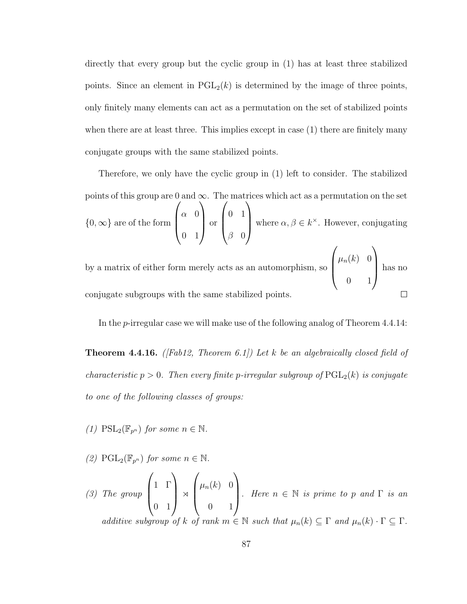directly that every group but the cyclic group in (1) has at least three stabilized points. Since an element in  $PGL_2(k)$  is determined by the image of three points, only finitely many elements can act as a permutation on the set of stabilized points when there are at least three. This implies except in case  $(1)$  there are finitely many conjugate groups with the same stabilized points.

Therefore, we only have the cyclic group in (1) left to consider. The stabilized points of this group are 0 and  $\infty$ . The matrices which act as a permutation on the set  $\{0,\infty\}$  are of the form  $\sqrt{ }$  $\overline{\phantom{a}}$  $\alpha$  0 0 1  $\setminus$  or  $\sqrt{ }$  $\overline{\phantom{a}}$ 0 1  $\beta$  0  $\setminus$ where  $\alpha, \beta \in k^{\times}$ . However, conjugating by a matrix of either form merely acts as an automorphism, so  $\sqrt{ }$  $\overline{\phantom{a}}$  $\mu_n(k)$  0 0 1  $\setminus$ has no

In the p-irregular case we will make use of the following analog of Theorem 4.4.14:

 $\Box$ 

conjugate subgroups with the same stabilized points.

**Theorem 4.4.16.** ([Fab12, Theorem 6.1]) Let k be an algebraically closed field of characteristic  $p > 0$ . Then every finite p-irregular subgroup of  $PGL_2(k)$  is conjugate to one of the following classes of groups:

(1)  $\text{PSL}_2(\mathbb{F}_{p^n})$  for some  $n \in \mathbb{N}$ .

(2)  $\text{PGL}_2(\mathbb{F}_{p^n})$  for some  $n \in \mathbb{N}$ .

(3) The group  $\sqrt{ }$  $\overline{\phantom{a}}$ 1 Γ 0 1  $\setminus$  $\begin{array}{c} \mathbb{R} \setminus \mathbb{R} \setminus \mathbb{R} \setminus \mathbb{R} \setminus \mathbb{R} \setminus \mathbb{R} \setminus \mathbb{R} \setminus \mathbb{R} \setminus \mathbb{R} \setminus \mathbb{R} \setminus \mathbb{R} \setminus \mathbb{R} \setminus \mathbb{R} \setminus \mathbb{R} \setminus \mathbb{R} \setminus \mathbb{R} \setminus \mathbb{R} \setminus \mathbb{R} \setminus \mathbb{R} \setminus \mathbb{R} \setminus \mathbb{R} \setminus \mathbb{R} \setminus \mathbb{R} \setminus \mathbb{R}$  $\sqrt{ }$  $\overline{\phantom{a}}$  $\mu_n(k)$  0 0 1  $\setminus$ . Here  $n \in \mathbb{N}$  is prime to p and  $\Gamma$  is an additive subgroup of k of rank  $m \in \mathbb{N}$  such that  $\mu_n(k) \subseteq \Gamma$  and  $\mu_n(k) \cdot \Gamma \subseteq \Gamma$ .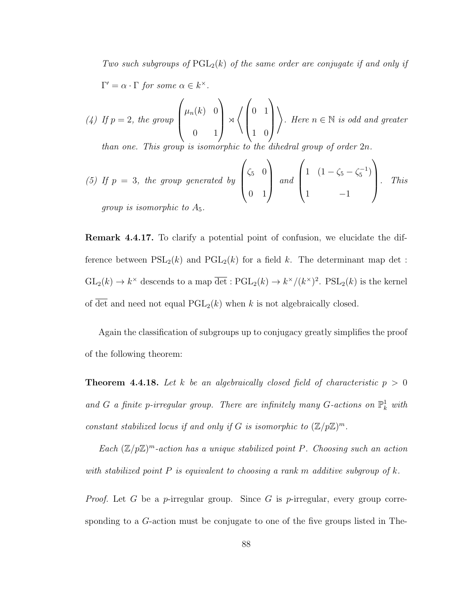Two such subgroups of  $PGL_2(k)$  of the same order are conjugate if and only if  $\Gamma' = \alpha \cdot \Gamma$  for some  $\alpha \in k^{\times}$ . (4) If  $p=2$ , the group  $\sqrt{ }$  $\overline{\phantom{a}}$  $\mu_n(k)$  0  $\setminus$  $\Bigg|$   $\times$ \*  $\sqrt{ }$  $\vert$ 0 1  $\setminus$  $\Bigg\}$  $\setminus$ . Here  $n \in \mathbb{N}$  is odd and greater

1 0

than one. This group is isomorphic to the dihedral group of order 2n.

0 1

(5) If 
$$
p = 3
$$
, the group generated by  $\begin{pmatrix} \zeta_5 & 0 \\ 0 & 1 \end{pmatrix}$  and  $\begin{pmatrix} 1 & (1 - \zeta_5 - \zeta_5^{-1}) \\ 1 & -1 \end{pmatrix}$ . This group is isomorphic to  $A_5$ .

Remark 4.4.17. To clarify a potential point of confusion, we elucidate the difference between  $PSL_2(k)$  and  $PGL_2(k)$  for a field k. The determinant map det :  $GL_2(k) \to k^{\times}$  descends to a map  $\overline{\det}: \mathrm{PGL}_2(k) \to k^{\times}/(k^{\times})^2$ .  $\mathrm{PSL}_2(k)$  is the kernel of det and need not equal  $PGL_2(k)$  when k is not algebraically closed.

Again the classification of subgroups up to conjugacy greatly simplifies the proof of the following theorem:

**Theorem 4.4.18.** Let k be an algebraically closed field of characteristic  $p > 0$ and G a finite p-irregular group. There are infinitely many G-actions on  $\mathbb{P}^1_k$  with constant stabilized locus if and only if G is isomorphic to  $(\mathbb{Z}/p\mathbb{Z})^m$ .

Each  $(\mathbb{Z}/p\mathbb{Z})^m$ -action has a unique stabilized point P. Choosing such an action with stabilized point  $P$  is equivalent to choosing a rank m additive subgroup of  $k$ .

*Proof.* Let G be a p-irregular group. Since G is p-irregular, every group corresponding to a G-action must be conjugate to one of the five groups listed in The-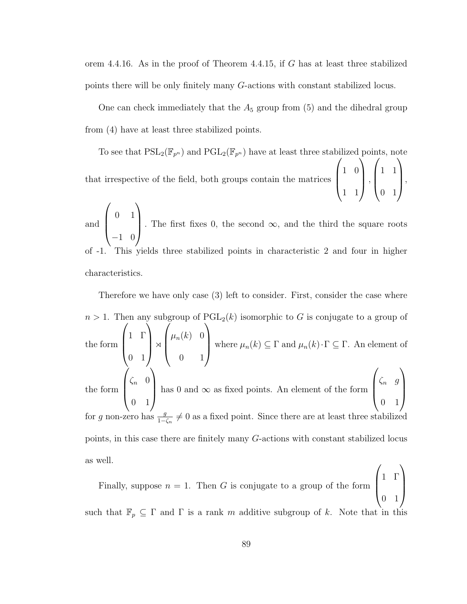orem 4.4.16. As in the proof of Theorem 4.4.15, if G has at least three stabilized points there will be only finitely many G-actions with constant stabilized locus.

One can check immediately that the  $A_5$  group from  $(5)$  and the dihedral group from (4) have at least three stabilized points.

To see that  $\mathrm{PSL}_2(\mathbb{F}_{p^n})$  and  $\mathrm{PGL}_2(\mathbb{F}_{p^n})$  have at least three stabilized points, note that irrespective of the field, both groups contain the matrices  $\sqrt{ }$  $\overline{\phantom{a}}$ 1 0 1 1  $\setminus$  $\Big\}$ ,  $\sqrt{ }$  $\overline{\phantom{a}}$ 1 1 0 1  $\setminus$  $\Big\}$ 

and  $\sqrt{ }$  $\overline{\phantom{a}}$ 0 1 −1 0  $\setminus$ . The first fixes 0, the second  $\infty$ , and the third the square roots This yields three stabilized points in characteristic 2 and four in higher characteristics.

Therefore we have only case (3) left to consider. First, consider the case where  $n > 1$ . Then any subgroup of  $PGL_2(k)$  isomorphic to G is conjugate to a group of the form  $\sqrt{ }$  $\overline{\phantom{a}}$ 1 Γ 0 1  $\setminus$  $\Bigg|$   $\times$  $\sqrt{ }$  $\overline{\phantom{a}}$  $\mu_n(k)$  0 0 1  $\setminus$ where  $\mu_n(k) \subseteq \Gamma$  and  $\mu_n(k) \cdot \Gamma \subseteq \Gamma$ . An element of the form  $\sqrt{ }$  $\overline{\phantom{a}}$  $\zeta_n$  0 0 1  $\setminus$ has 0 and  $\infty$  as fixed points. An element of the form  $\sqrt{ }$  $\overline{\phantom{a}}$  $\zeta_n$  g 0 1  $\setminus$  $\Big\}$ for g non-zero has  $\frac{g}{1-\zeta_n}\neq 0$  as a fixed point. Since there are at least three stabilized points, in this case there are finitely many G-actions with constant stabilized locus as well.  $\sqrt{ }$  $\setminus$ 

Finally, suppose  $n = 1$ . Then G is conjugate to a group of the form  $\overline{\phantom{a}}$ 1 Γ 0 1  $\Big\}$ such that  $\mathbb{F}_p \subseteq \Gamma$  and  $\Gamma$  is a rank m additive subgroup of k. Note that in this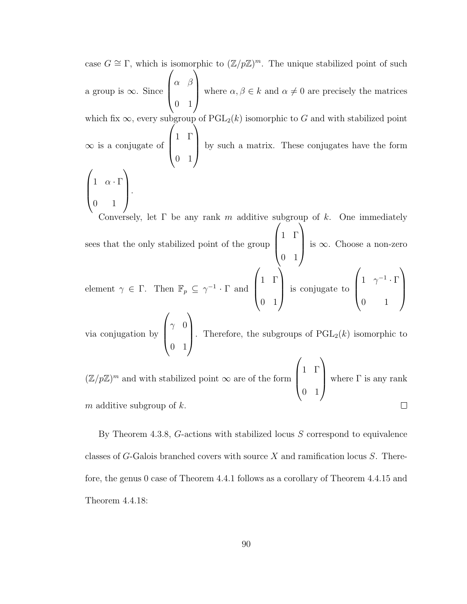case  $G \cong \Gamma$ , which is isomorphic to  $(\mathbb{Z}/p\mathbb{Z})^m$ . The unique stabilized point of such a group is ∞. Since  $\sqrt{ }$  $\overline{\phantom{a}}$  $\alpha$   $\beta$ 0 1  $\setminus$ where  $\alpha, \beta \in k$  and  $\alpha \neq 0$  are precisely the matrices which fix  $\infty$ , every subgroup of PGL<sub>2</sub>(k) isomorphic to G and with stabilized point ∞ is a conjugate of  $\sqrt{ }$  $\vert$ 1 Γ 0 1  $\setminus$  by such a matrix. These conjugates have the form  $\sqrt{ }$  $\overline{\phantom{a}}$  $1 \quad \alpha \cdot \Gamma$ 0 1  $\setminus$  $\left| \cdot \right|$ 

Conversely, let  $\Gamma$  be any rank m additive subgroup of k. One immediately sees that the only stabilized point of the group  $\sqrt{ }$  $\overline{\phantom{a}}$ 1 Γ 0 1  $\setminus$  is ∞. Choose a non-zero  $\sqrt{ }$  $\setminus$  $\sqrt{ }$  $\setminus$ 

element  $\gamma \in \Gamma$ . Then  $\mathbb{F}_p \subseteq \gamma^{-1} \cdot \Gamma$  and  $\overline{\phantom{a}}$ 1 Γ 0 1 is conjugate to  $\overline{\phantom{a}}$ 1  $\gamma^{-1} \cdot \Gamma$ 0 1  $\Bigg\}$ via conjugation by  $\sqrt{ }$  $\gamma$  0  $\setminus$ 

 $\overline{\phantom{a}}$ 0 1 . Therefore, the subgroups of  $\text{PGL}_2(k)$  isomorphic to  $\sqrt{ }$  $\setminus$ 

1 Γ  $(\mathbb{Z}/p\mathbb{Z})^m$  and with stabilized point  $\infty$  are of the form  $\overline{\phantom{a}}$ where  $\Gamma$  is any rank 0 1 m additive subgroup of  $k$ .  $\Box$ 

By Theorem 4.3.8, G-actions with stabilized locus S correspond to equivalence classes of G-Galois branched covers with source X and ramification locus S. Therefore, the genus 0 case of Theorem 4.4.1 follows as a corollary of Theorem 4.4.15 and Theorem 4.4.18: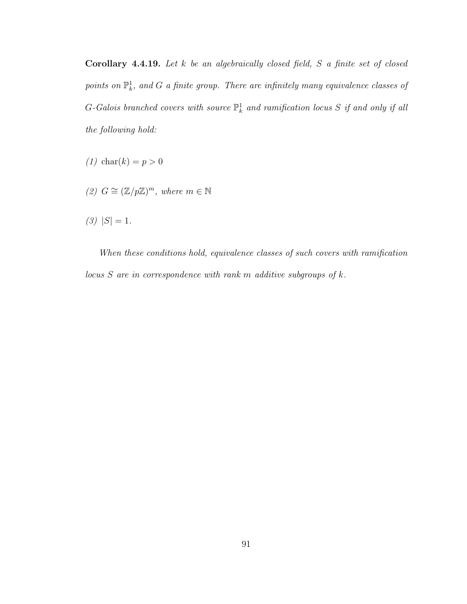Corollary 4.4.19. Let  $k$  be an algebraically closed field,  $S$  a finite set of closed points on  $\mathbb{P}^1_k$ , and G a finite group. There are infinitely many equivalence classes of G-Galois branched covers with source  $\mathbb{P}^1_k$  and ramification locus S if and only if all the following hold:

- (1) char(k) =  $p > 0$
- (2)  $G \cong (\mathbb{Z}/p\mathbb{Z})^m$ , where  $m \in \mathbb{N}$

 $(3)$   $|S| = 1$ .

When these conditions hold, equivalence classes of such covers with ramification locus  $S$  are in correspondence with rank m additive subgroups of  $k$ .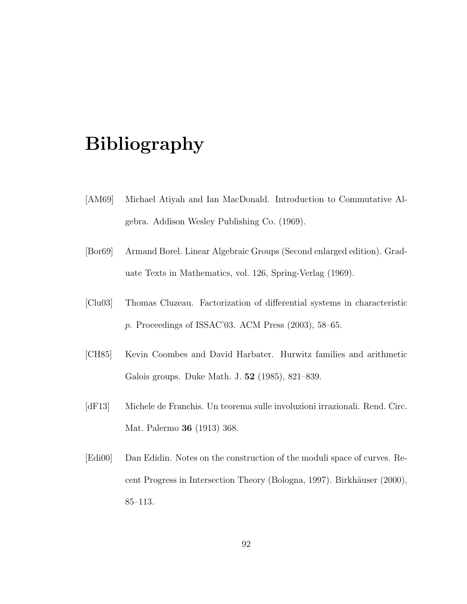## Bibliography

- [AM69] Michael Atiyah and Ian MacDonald. Introduction to Commutative Algebra. Addison Wesley Publishing Co. (1969).
- [Bor69] Armand Borel. Linear Algebraic Groups (Second enlarged edition). Graduate Texts in Mathematics, vol. 126, Spring-Verlag (1969).
- [Clu03] Thomas Cluzeau. Factorization of differential systems in characteristic p. Proceedings of ISSAC'03. ACM Press (2003), 58–65.
- [CH85] Kevin Coombes and David Harbater. Hurwitz families and arithmetic Galois groups. Duke Math. J. 52 (1985), 821–839.
- [dF13] Michele de Franchis. Un teorema sulle involuzioni irrazionali. Rend. Circ. Mat. Palermo 36 (1913) 368.
- [Edi00] Dan Edidin. Notes on the construction of the moduli space of curves. Recent Progress in Intersection Theory (Bologna, 1997). Birkhäuser (2000), 85–113.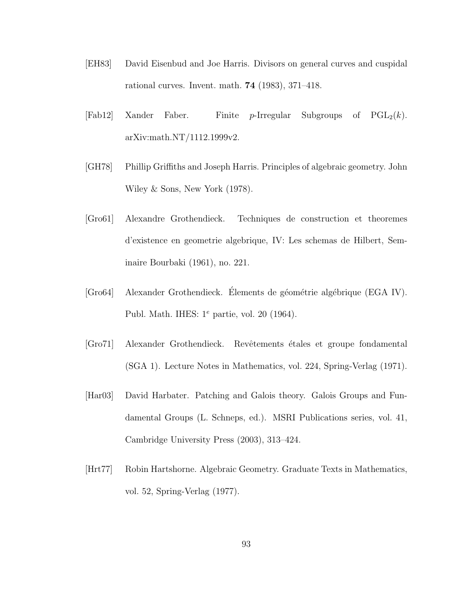- [EH83] David Eisenbud and Joe Harris. Divisors on general curves and cuspidal rational curves. Invent. math. 74 (1983), 371–418.
- $[Fab12]$  Xander Faber. Finite p-Irregular Subgroups of  $PGL_2(k)$ . arXiv:math.NT/1112.1999v2.
- [GH78] Phillip Griffiths and Joseph Harris. Principles of algebraic geometry. John Wiley & Sons, New York (1978).
- [Gro61] Alexandre Grothendieck. Techniques de construction et theoremes d'existence en geometrie algebrique, IV: Les schemas de Hilbert, Seminaire Bourbaki (1961), no. 221.
- [Gro64] Alexander Grothendieck. Elements de géométrie algébrique (EGA IV). Publ. Math. IHES:  $1^e$  partie, vol. 20 (1964).
- [Gro71] Alexander Grothendieck. Revˆetements ´etales et groupe fondamental (SGA 1). Lecture Notes in Mathematics, vol. 224, Spring-Verlag (1971).
- [Har03] David Harbater. Patching and Galois theory. Galois Groups and Fundamental Groups (L. Schneps, ed.). MSRI Publications series, vol. 41, Cambridge University Press (2003), 313–424.
- [Hrt77] Robin Hartshorne. Algebraic Geometry. Graduate Texts in Mathematics, vol. 52, Spring-Verlag (1977).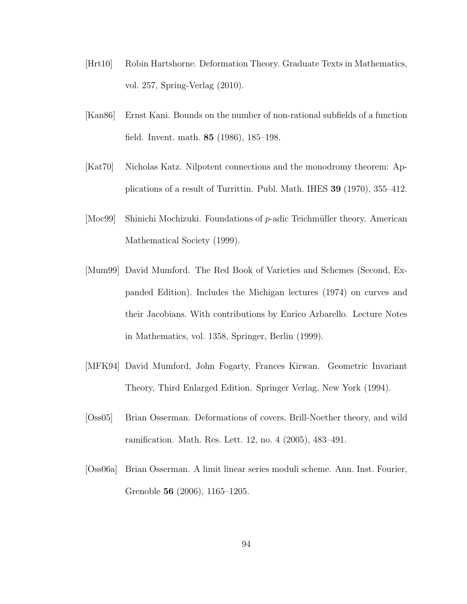- [Hrt10] Robin Hartshorne. Deformation Theory. Graduate Texts in Mathematics, vol. 257, Spring-Verlag (2010).
- [Kan86] Ernst Kani. Bounds on the number of non-rational subfields of a function field. Invent. math. 85 (1986), 185–198.
- [Kat70] Nicholas Katz. Nilpotent connections and the monodromy theorem: Applications of a result of Turrittin. Publ. Math. IHES 39 (1970), 355–412.
- [Moc99] Shinichi Mochizuki. Foundations of  $p$ -adic Teichmüller theory. American Mathematical Society (1999).
- [Mum99] David Mumford. The Red Book of Varieties and Schemes (Second, Expanded Edition). Includes the Michigan lectures (1974) on curves and their Jacobians. With contributions by Enrico Arbarello. Lecture Notes in Mathematics, vol. 1358, Springer, Berlin (1999).
- [MFK94] David Mumford, John Fogarty, Frances Kirwan. Geometric Invariant Theory, Third Enlarged Edition. Springer Verlag, New York (1994).
- [Oss05] Brian Osserman. Deformations of covers, Brill-Noether theory, and wild ramification. Math. Res. Lett. 12, no. 4 (2005), 483–491.
- [Oss06a] Brian Osserman. A limit linear series moduli scheme. Ann. Inst. Fourier, Grenoble 56 (2006), 1165–1205.